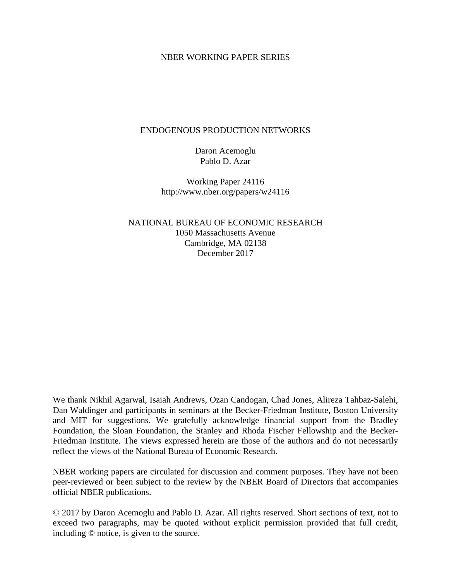## NBER WORKING PAPER SERIES

## ENDOGENOUS PRODUCTION NETWORKS

Daron Acemoglu Pablo D. Azar

Working Paper 24116 http://www.nber.org/papers/w24116

NATIONAL BUREAU OF ECONOMIC RESEARCH 1050 Massachusetts Avenue Cambridge, MA 02138 December 2017

We thank Nikhil Agarwal, Isaiah Andrews, Ozan Candogan, Chad Jones, Alireza Tahbaz-Salehi, Dan Waldinger and participants in seminars at the Becker-Friedman Institute, Boston University and MIT for suggestions. We gratefully acknowledge financial support from the Bradley Foundation, the Sloan Foundation, the Stanley and Rhoda Fischer Fellowship and the Becker-Friedman Institute. The views expressed herein are those of the authors and do not necessarily reflect the views of the National Bureau of Economic Research.

NBER working papers are circulated for discussion and comment purposes. They have not been peer-reviewed or been subject to the review by the NBER Board of Directors that accompanies official NBER publications.

© 2017 by Daron Acemoglu and Pablo D. Azar. All rights reserved. Short sections of text, not to exceed two paragraphs, may be quoted without explicit permission provided that full credit, including © notice, is given to the source.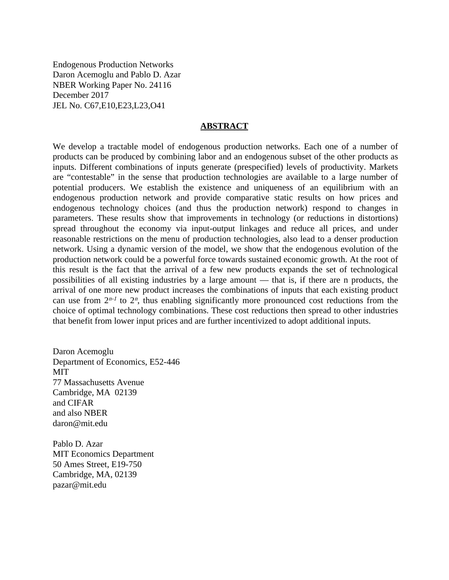Endogenous Production Networks Daron Acemoglu and Pablo D. Azar NBER Working Paper No. 24116 December 2017 JEL No. C67,E10,E23,L23,O41

### **ABSTRACT**

We develop a tractable model of endogenous production networks. Each one of a number of products can be produced by combining labor and an endogenous subset of the other products as inputs. Different combinations of inputs generate (prespecified) levels of productivity. Markets are "contestable" in the sense that production technologies are available to a large number of potential producers. We establish the existence and uniqueness of an equilibrium with an endogenous production network and provide comparative static results on how prices and endogenous technology choices (and thus the production network) respond to changes in parameters. These results show that improvements in technology (or reductions in distortions) spread throughout the economy via input-output linkages and reduce all prices, and under reasonable restrictions on the menu of production technologies, also lead to a denser production network. Using a dynamic version of the model, we show that the endogenous evolution of the production network could be a powerful force towards sustained economic growth. At the root of this result is the fact that the arrival of a few new products expands the set of technological possibilities of all existing industries by a large amount — that is, if there are n products, the arrival of one more new product increases the combinations of inputs that each existing product can use from  $2^{n-1}$  to  $2^n$ , thus enabling significantly more pronounced cost reductions from the choice of optimal technology combinations. These cost reductions then spread to other industries that benefit from lower input prices and are further incentivized to adopt additional inputs.

Daron Acemoglu Department of Economics, E52-446 MIT 77 Massachusetts Avenue Cambridge, MA 02139 and CIFAR and also NBER daron@mit.edu

Pablo D. Azar MIT Economics Department 50 Ames Street, E19-750 Cambridge, MA, 02139 pazar@mit.edu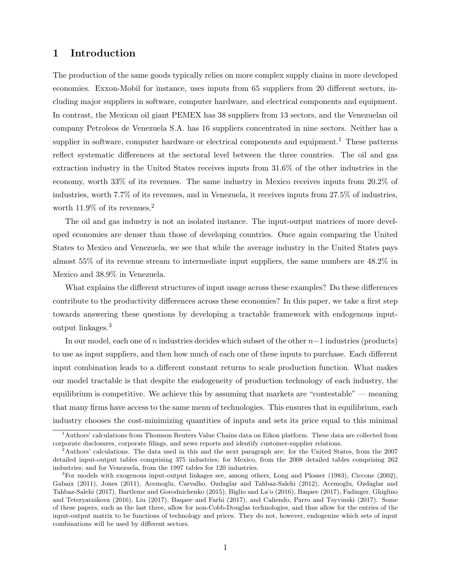# 1 Introduction

The production of the same goods typically relies on more complex supply chains in more developed economies. Exxon-Mobil for instance, uses inputs from 65 suppliers from 20 different sectors, including major suppliers in software, computer hardware, and electrical components and equipment. In contrast, the Mexican oil giant PEMEX has 38 suppliers from 13 sectors, and the Venezuelan oil company Petroleos de Venezuela S.A. has 16 suppliers concentrated in nine sectors. Neither has a supplier in software, computer hardware or electrical components and equipment.<sup>1</sup> These patterns reflect systematic differences at the sectoral level between the three countries. The oil and gas extraction industry in the United States receives inputs from 31.6% of the other industries in the economy, worth 33% of its revenues. The same industry in Mexico receives inputs from 20.2% of industries, worth 7.7% of its revenues, and in Venezuela, it receives inputs from 27.5% of industries, worth 11.9% of its revenues.<sup>2</sup>

The oil and gas industry is not an isolated instance. The input-output matrices of more developed economies are denser than those of developing countries. Once again comparing the United States to Mexico and Venezuela, we see that while the average industry in the United States pays almost 55% of its revenue stream to intermediate input suppliers, the same numbers are 48.2% in Mexico and 38.9% in Venezuela.

What explains the different structures of input usage across these examples? Do these differences contribute to the productivity differences across these economies? In this paper, we take a first step towards answering these questions by developing a tractable framework with endogenous inputoutput linkages.<sup>3</sup>

In our model, each one of n industries decides which subset of the other  $n-1$  industries (products) to use as input suppliers, and then how much of each one of these inputs to purchase. Each different input combination leads to a different constant returns to scale production function. What makes our model tractable is that despite the endogeneity of production technology of each industry, the equilibrium is competitive. We achieve this by assuming that markets are "contestable" — meaning that many firms have access to the same menu of technologies. This ensures that in equilibrium, each industry chooses the cost-minimizing quantities of inputs and sets its price equal to this minimal

<sup>1</sup>Authors' calculations from Thomson Reuters Value Chains data on Eikon platform. These data are collected from corporate disclosures, corporate filings, and news reports and identify customer-supplier relations.

<sup>2</sup>Authors' calculations. The data used in this and the next paragraph are: for the United States, from the 2007 detailed input-output tables comprising 375 industries; for Mexico, from the 2008 detailed tables comprising 262 industries; and for Venezuela, from the 1997 tables for 120 industries.

<sup>3</sup>For models with exogenous input-output linkages see, among others, Long and Plosser (1983), Ciccone (2002), Gabaix (2011), Jones (2011), Acemoglu, Carvalho, Ozdaglar and Tahbaz-Salehi (2012), Acemoglu, Ozdaglar and Tahbaz-Salehi (2017), Bartleme and Gorodnichenko (2015), Biglio and La'o (2016), Baqaee (2017), Fadinger, Ghiglino and Teteryatnikova (2016), Liu (2017), Baqaee and Farhi (2017), and Caliendo, Parro and Tsyvinski (2017). Some of these papers, such as the last three, allow for non-Cobb-Douglas technologies, and thus allow for the entries of the input-output matrix to be functions of technology and prices. They do not, however, endogenize which sets of input combinations will be used by different sectors.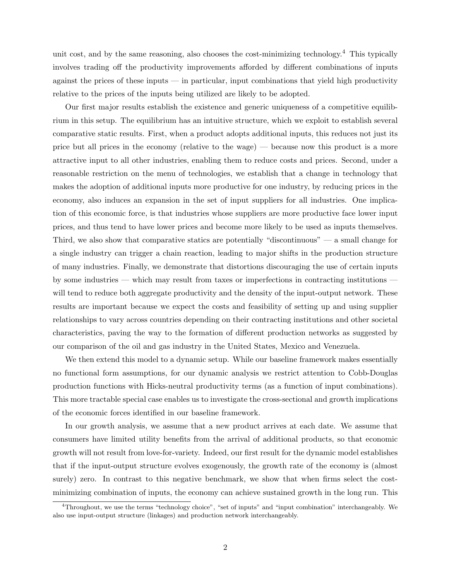unit cost, and by the same reasoning, also chooses the cost-minimizing technology.<sup>4</sup> This typically involves trading off the productivity improvements afforded by different combinations of inputs against the prices of these inputs  $-$  in particular, input combinations that yield high productivity relative to the prices of the inputs being utilized are likely to be adopted.

Our first major results establish the existence and generic uniqueness of a competitive equilibrium in this setup. The equilibrium has an intuitive structure, which we exploit to establish several comparative static results. First, when a product adopts additional inputs, this reduces not just its price but all prices in the economy (relative to the wage) — because now this product is a more attractive input to all other industries, enabling them to reduce costs and prices. Second, under a reasonable restriction on the menu of technologies, we establish that a change in technology that makes the adoption of additional inputs more productive for one industry, by reducing prices in the economy, also induces an expansion in the set of input suppliers for all industries. One implication of this economic force, is that industries whose suppliers are more productive face lower input prices, and thus tend to have lower prices and become more likely to be used as inputs themselves. Third, we also show that comparative statics are potentially "discontinuous" — a small change for a single industry can trigger a chain reaction, leading to major shifts in the production structure of many industries. Finally, we demonstrate that distortions discouraging the use of certain inputs by some industries — which may result from taxes or imperfections in contracting institutions will tend to reduce both aggregate productivity and the density of the input-output network. These results are important because we expect the costs and feasibility of setting up and using supplier relationships to vary across countries depending on their contracting institutions and other societal characteristics, paving the way to the formation of different production networks as suggested by our comparison of the oil and gas industry in the United States, Mexico and Venezuela.

We then extend this model to a dynamic setup. While our baseline framework makes essentially no functional form assumptions, for our dynamic analysis we restrict attention to Cobb-Douglas production functions with Hicks-neutral productivity terms (as a function of input combinations). This more tractable special case enables us to investigate the cross-sectional and growth implications of the economic forces identified in our baseline framework.

In our growth analysis, we assume that a new product arrives at each date. We assume that consumers have limited utility benefits from the arrival of additional products, so that economic growth will not result from love-for-variety. Indeed, our first result for the dynamic model establishes that if the input-output structure evolves exogenously, the growth rate of the economy is (almost surely) zero. In contrast to this negative benchmark, we show that when firms select the costminimizing combination of inputs, the economy can achieve sustained growth in the long run. This

<sup>4</sup>Throughout, we use the terms "technology choice", "set of inputs" and "input combination" interchangeably. We also use input-output structure (linkages) and production network interchangeably.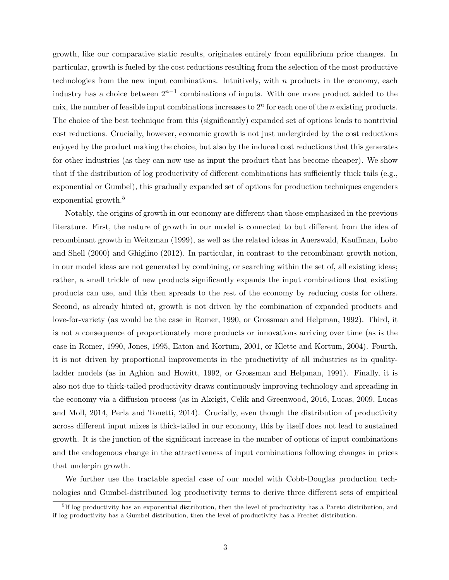growth, like our comparative static results, originates entirely from equilibrium price changes. In particular, growth is fueled by the cost reductions resulting from the selection of the most productive technologies from the new input combinations. Intuitively, with  $n$  products in the economy, each industry has a choice between  $2^{n-1}$  combinations of inputs. With one more product added to the mix, the number of feasible input combinations increases to  $2<sup>n</sup>$  for each one of the n existing products. The choice of the best technique from this (significantly) expanded set of options leads to nontrivial cost reductions. Crucially, however, economic growth is not just undergirded by the cost reductions enjoyed by the product making the choice, but also by the induced cost reductions that this generates for other industries (as they can now use as input the product that has become cheaper). We show that if the distribution of log productivity of different combinations has sufficiently thick tails (e.g., exponential or Gumbel), this gradually expanded set of options for production techniques engenders exponential growth.<sup>5</sup>

Notably, the origins of growth in our economy are different than those emphasized in the previous literature. First, the nature of growth in our model is connected to but different from the idea of recombinant growth in Weitzman (1999), as well as the related ideas in Auerswald, Kauffman, Lobo and Shell (2000) and Ghiglino (2012). In particular, in contrast to the recombinant growth notion, in our model ideas are not generated by combining, or searching within the set of, all existing ideas; rather, a small trickle of new products significantly expands the input combinations that existing products can use, and this then spreads to the rest of the economy by reducing costs for others. Second, as already hinted at, growth is not driven by the combination of expanded products and love-for-variety (as would be the case in Romer, 1990, or Grossman and Helpman, 1992). Third, it is not a consequence of proportionately more products or innovations arriving over time (as is the case in Romer, 1990, Jones, 1995, Eaton and Kortum, 2001, or Klette and Kortum, 2004). Fourth, it is not driven by proportional improvements in the productivity of all industries as in qualityladder models (as in Aghion and Howitt, 1992, or Grossman and Helpman, 1991). Finally, it is also not due to thick-tailed productivity draws continuously improving technology and spreading in the economy via a diffusion process (as in Akcigit, Celik and Greenwood, 2016, Lucas, 2009, Lucas and Moll, 2014, Perla and Tonetti, 2014). Crucially, even though the distribution of productivity across different input mixes is thick-tailed in our economy, this by itself does not lead to sustained growth. It is the junction of the significant increase in the number of options of input combinations and the endogenous change in the attractiveness of input combinations following changes in prices that underpin growth.

We further use the tractable special case of our model with Cobb-Douglas production technologies and Gumbel-distributed log productivity terms to derive three different sets of empirical

<sup>&</sup>lt;sup>5</sup>If log productivity has an exponential distribution, then the level of productivity has a Pareto distribution, and if log productivity has a Gumbel distribution, then the level of productivity has a Frechet distribution.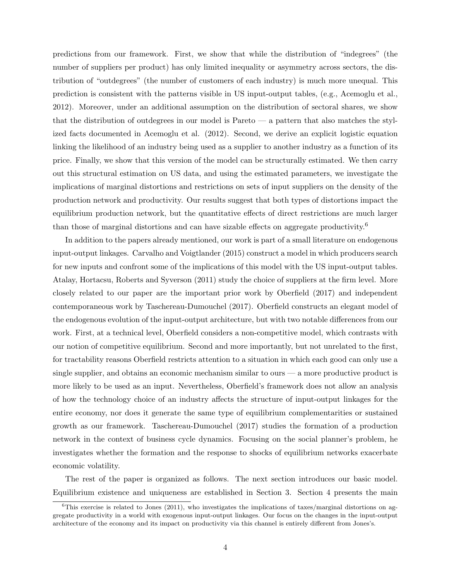predictions from our framework. First, we show that while the distribution of "indegrees" (the number of suppliers per product) has only limited inequality or asymmetry across sectors, the distribution of "outdegrees" (the number of customers of each industry) is much more unequal. This prediction is consistent with the patterns visible in US input-output tables, (e.g., Acemoglu et al., 2012). Moreover, under an additional assumption on the distribution of sectoral shares, we show that the distribution of outdegrees in our model is Pareto — a pattern that also matches the stylized facts documented in Acemoglu et al. (2012). Second, we derive an explicit logistic equation linking the likelihood of an industry being used as a supplier to another industry as a function of its price. Finally, we show that this version of the model can be structurally estimated. We then carry out this structural estimation on US data, and using the estimated parameters, we investigate the implications of marginal distortions and restrictions on sets of input suppliers on the density of the production network and productivity. Our results suggest that both types of distortions impact the equilibrium production network, but the quantitative effects of direct restrictions are much larger than those of marginal distortions and can have sizable effects on aggregate productivity.<sup>6</sup>

In addition to the papers already mentioned, our work is part of a small literature on endogenous input-output linkages. Carvalho and Voigtlander (2015) construct a model in which producers search for new inputs and confront some of the implications of this model with the US input-output tables. Atalay, Hortacsu, Roberts and Syverson (2011) study the choice of suppliers at the firm level. More closely related to our paper are the important prior work by Oberfield (2017) and independent contemporaneous work by Taschereau-Dumouchel (2017). Oberfield constructs an elegant model of the endogenous evolution of the input-output architecture, but with two notable differences from our work. First, at a technical level, Oberfield considers a non-competitive model, which contrasts with our notion of competitive equilibrium. Second and more importantly, but not unrelated to the first, for tractability reasons Oberfield restricts attention to a situation in which each good can only use a single supplier, and obtains an economic mechanism similar to ours — a more productive product is more likely to be used as an input. Nevertheless, Oberfield's framework does not allow an analysis of how the technology choice of an industry affects the structure of input-output linkages for the entire economy, nor does it generate the same type of equilibrium complementarities or sustained growth as our framework. Taschereau-Dumouchel (2017) studies the formation of a production network in the context of business cycle dynamics. Focusing on the social planner's problem, he investigates whether the formation and the response to shocks of equilibrium networks exacerbate economic volatility.

The rest of the paper is organized as follows. The next section introduces our basic model. Equilibrium existence and uniqueness are established in Section 3. Section 4 presents the main

 $6$ This exercise is related to Jones (2011), who investigates the implications of taxes/marginal distortions on aggregate productivity in a world with exogenous input-output linkages. Our focus on the changes in the input-output architecture of the economy and its impact on productivity via this channel is entirely different from Jones's.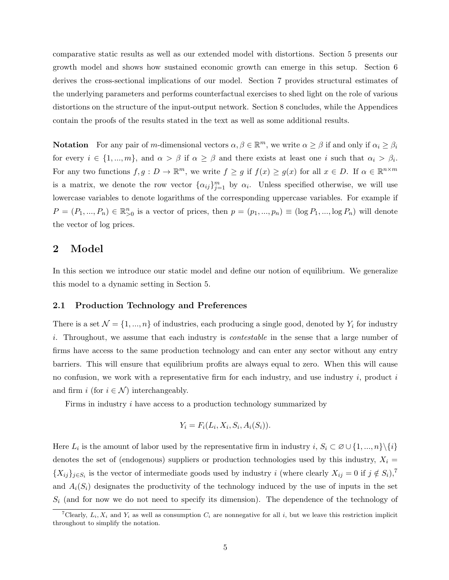comparative static results as well as our extended model with distortions. Section 5 presents our growth model and shows how sustained economic growth can emerge in this setup. Section 6 derives the cross-sectional implications of our model. Section 7 provides structural estimates of the underlying parameters and performs counterfactual exercises to shed light on the role of various distortions on the structure of the input-output network. Section 8 concludes, while the Appendices contain the proofs of the results stated in the text as well as some additional results.

**Notation** For any pair of m-dimensional vectors  $\alpha, \beta \in \mathbb{R}^m$ , we write  $\alpha \geq \beta$  if and only if  $\alpha_i \geq \beta_i$ for every  $i \in \{1, ..., m\}$ , and  $\alpha > \beta$  if  $\alpha \ge \beta$  and there exists at least one i such that  $\alpha_i > \beta_i$ . For any two functions  $f, g: D \to \mathbb{R}^m$ , we write  $f \ge g$  if  $f(x) \ge g(x)$  for all  $x \in D$ . If  $\alpha \in \mathbb{R}^{n \times m}$ is a matrix, we denote the row vector  $\{\alpha_{ij}\}_{j=1}^m$  by  $\alpha_i$ . Unless specified otherwise, we will use lowercase variables to denote logarithms of the corresponding uppercase variables. For example if  $P = (P_1, ..., P_n) \in \mathbb{R}_{\geq 0}^n$  is a vector of prices, then  $p = (p_1, ..., p_n) \equiv (\log P_1, ..., \log P_n)$  will denote the vector of log prices.

## 2 Model

In this section we introduce our static model and define our notion of equilibrium. We generalize this model to a dynamic setting in Section 5.

#### 2.1 Production Technology and Preferences

There is a set  $\mathcal{N} = \{1, ..., n\}$  of industries, each producing a single good, denoted by  $Y_i$  for industry i. Throughout, we assume that each industry is *contestable* in the sense that a large number of firms have access to the same production technology and can enter any sector without any entry barriers. This will ensure that equilibrium profits are always equal to zero. When this will cause no confusion, we work with a representative firm for each industry, and use industry  $i$ , product  $i$ and firm i (for  $i \in \mathcal{N}$ ) interchangeably.

Firms in industry i have access to a production technology summarized by

$$
Y_i = F_i(L_i, X_i, S_i, A_i(S_i)).
$$

Here  $L_i$  is the amount of labor used by the representative firm in industry  $i, S_i \subset \emptyset \cup \{1, ..., n\} \setminus \{i\}$ denotes the set of (endogenous) suppliers or production technologies used by this industry,  $X_i =$  $\{X_{ij}\}_{j\in S_i}$  is the vector of intermediate goods used by industry i (where clearly  $X_{ij} = 0$  if  $j \notin S_i$ ),<sup>7</sup> and  $A_i(S_i)$  designates the productivity of the technology induced by the use of inputs in the set  $S_i$  (and for now we do not need to specify its dimension). The dependence of the technology of

<sup>&</sup>lt;sup>7</sup>Clearly,  $L_i$ ,  $X_i$  and  $Y_i$  as well as consumption  $C_i$  are nonnegative for all i, but we leave this restriction implicit throughout to simplify the notation.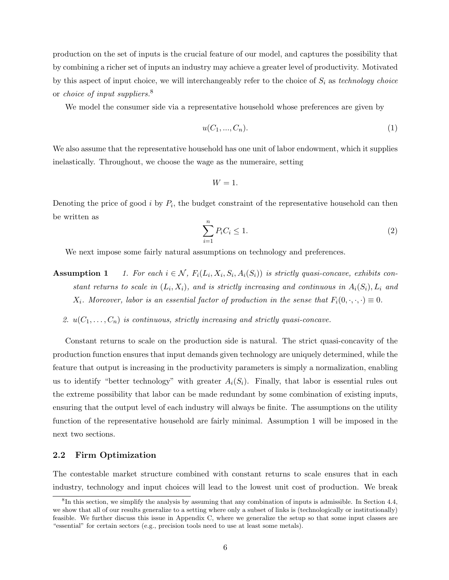production on the set of inputs is the crucial feature of our model, and captures the possibility that by combining a richer set of inputs an industry may achieve a greater level of productivity. Motivated by this aspect of input choice, we will interchangeably refer to the choice of  $S_i$  as technology choice or choice of input suppliers.<sup>8</sup>

We model the consumer side via a representative household whose preferences are given by

$$
u(C_1, \ldots, C_n). \tag{1}
$$

We also assume that the representative household has one unit of labor endowment, which it supplies inelastically. Throughout, we choose the wage as the numeraire, setting

$$
W=1.
$$

Denoting the price of good i by  $P_i$ , the budget constraint of the representative household can then be written as

$$
\sum_{i=1}^{n} P_i C_i \le 1. \tag{2}
$$

We next impose some fairly natural assumptions on technology and preferences.

- **Assumption 1** 1. For each  $i \in \mathcal{N}$ ,  $F_i(L_i, X_i, S_i, A_i(S_i))$  is strictly quasi-concave, exhibits constant returns to scale in  $(L_i, X_i)$ , and is strictly increasing and continuous in  $A_i(S_i)$ ,  $L_i$  and  $X_i$ . Moreover, labor is an essential factor of production in the sense that  $F_i(0, \cdot, \cdot, \cdot) \equiv 0$ .
	- 2.  $u(C_1, \ldots, C_n)$  is continuous, strictly increasing and strictly quasi-concave.

Constant returns to scale on the production side is natural. The strict quasi-concavity of the production function ensures that input demands given technology are uniquely determined, while the feature that output is increasing in the productivity parameters is simply a normalization, enabling us to identify "better technology" with greater  $A_i(S_i)$ . Finally, that labor is essential rules out the extreme possibility that labor can be made redundant by some combination of existing inputs, ensuring that the output level of each industry will always be finite. The assumptions on the utility function of the representative household are fairly minimal. Assumption 1 will be imposed in the next two sections.

### 2.2 Firm Optimization

The contestable market structure combined with constant returns to scale ensures that in each industry, technology and input choices will lead to the lowest unit cost of production. We break

<sup>8</sup> In this section, we simplify the analysis by assuming that any combination of inputs is admissible. In Section 4.4, we show that all of our results generalize to a setting where only a subset of links is (technologically or institutionally) feasible. We further discuss this issue in Appendix C, where we generalize the setup so that some input classes are "essential" for certain sectors (e.g., precision tools need to use at least some metals).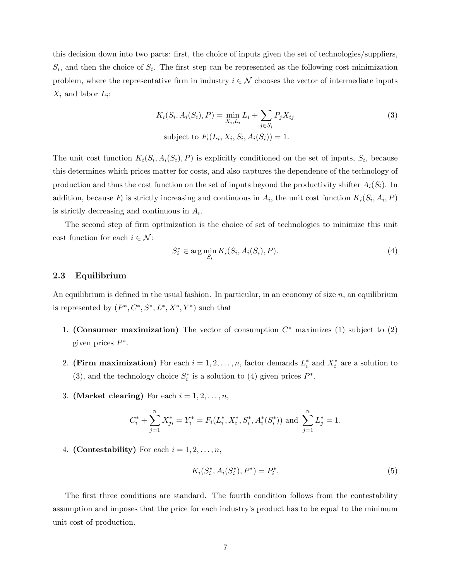this decision down into two parts: first, the choice of inputs given the set of technologies/suppliers,  $S_i$ , and then the choice of  $S_i$ . The first step can be represented as the following cost minimization problem, where the representative firm in industry  $i \in \mathcal{N}$  chooses the vector of intermediate inputs  $X_i$  and labor  $L_i$ :

$$
K_i(S_i, A_i(S_i), P) = \min_{X_i, L_i} L_i + \sum_{j \in S_i} P_j X_{ij}
$$
  
subject to  $F_i(L_i, X_i, S_i, A_i(S_i)) = 1$ . (3)

The unit cost function  $K_i(S_i, A_i(S_i), P)$  is explicitly conditioned on the set of inputs,  $S_i$ , because this determines which prices matter for costs, and also captures the dependence of the technology of production and thus the cost function on the set of inputs beyond the productivity shifter  $A_i(S_i)$ . In addition, because  $F_i$  is strictly increasing and continuous in  $A_i$ , the unit cost function  $K_i(S_i, A_i, P)$ is strictly decreasing and continuous in  $A_i$ .

The second step of firm optimization is the choice of set of technologies to minimize this unit cost function for each  $i \in \mathcal{N}$ :

$$
S_i^* \in \arg\min_{S_i} K_i(S_i, A_i(S_i), P). \tag{4}
$$

#### 2.3 Equilibrium

An equilibrium is defined in the usual fashion. In particular, in an economy of size  $n$ , an equilibrium is represented by  $(P^*, C^*, S^*, L^*, X^*, Y^*)$  such that

- 1. (Consumer maximization) The vector of consumption  $C^*$  maximizes (1) subject to (2) given prices  $P^*$ .
- 2. (Firm maximization) For each  $i = 1, 2, ..., n$ , factor demands  $L_i^*$  and  $X_i^*$  are a solution to (3), and the technology choice  $S_i^*$  is a solution to (4) given prices  $P^*$ .
- 3. (Market clearing) For each  $i = 1, 2, \ldots, n$ ,

$$
C_i^* + \sum_{j=1}^n X_{ji}^* = Y_i^* = F_i(L_i^*, X_i^*, S_i^*, A_i^*(S_i^*)) \text{ and } \sum_{j=1}^n L_j^* = 1.
$$

4. (Contestability) For each  $i = 1, 2, \ldots, n$ ,

$$
K_i(S_i^*, A_i(S_i^*), P^*) = P_i^*.
$$
\n(5)

The first three conditions are standard. The fourth condition follows from the contestability assumption and imposes that the price for each industry's product has to be equal to the minimum unit cost of production.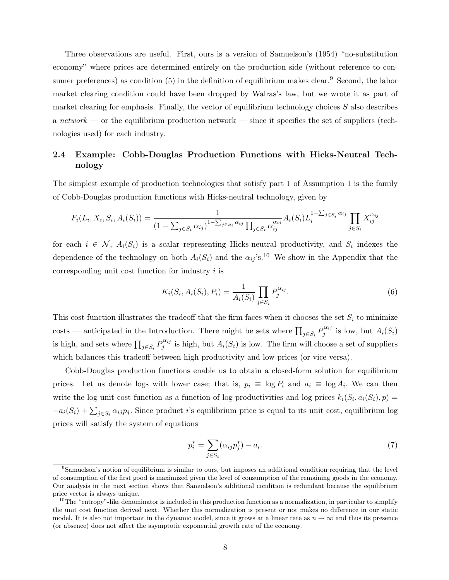Three observations are useful. First, ours is a version of Samuelson's (1954) "no-substitution economy" where prices are determined entirely on the production side (without reference to consumer preferences) as condition (5) in the definition of equilibrium makes clear.<sup>9</sup> Second, the labor market clearing condition could have been dropped by Walras's law, but we wrote it as part of market clearing for emphasis. Finally, the vector of equilibrium technology choices  $S$  also describes a network — or the equilibrium production network — since it specifies the set of suppliers (technologies used) for each industry.

# 2.4 Example: Cobb-Douglas Production Functions with Hicks-Neutral Technology

The simplest example of production technologies that satisfy part 1 of Assumption 1 is the family of Cobb-Douglas production functions with Hicks-neutral technology, given by

$$
F_i(L_i, X_i, S_i, A_i(S_i)) = \frac{1}{(1 - \sum_{j \in S_i} \alpha_{ij})^{1 - \sum_{j \in S_i} \alpha_{ij}} \prod_{j \in S_i} \alpha_{ij}^{\alpha_{ij}} A_i(S_i) L_i^{1 - \sum_{j \in S_i} \alpha_{ij}} \prod_{j \in S_i} X_{ij}^{\alpha_{ij}}}
$$

for each  $i \in \mathcal{N}$ ,  $A_i(S_i)$  is a scalar representing Hicks-neutral productivity, and  $S_i$  indexes the dependence of the technology on both  $A_i(S_i)$  and the  $\alpha_{ij}$ 's.<sup>10</sup> We show in the Appendix that the corresponding unit cost function for industry i is

$$
K_i(S_i, A_i(S_i), P_i) = \frac{1}{A_i(S_i)} \prod_{j \in S_i} P_j^{\alpha_{ij}}.
$$
\n(6)

This cost function illustrates the tradeoff that the firm faces when it chooses the set  $S_i$  to minimize costs — anticipated in the Introduction. There might be sets where  $\prod_{j \in S_i} P_j^{\alpha_{ij}}$  $j^{(\alpha_{ij})}$  is low, but  $A_i(S_i)$ is high, and sets where  $\prod_{j \in S_i} P_j^{\alpha_{ij}}$  $j^{a_{ij}}$  is high, but  $A_i(S_i)$  is low. The firm will choose a set of suppliers which balances this tradeoff between high productivity and low prices (or vice versa).

Cobb-Douglas production functions enable us to obtain a closed-form solution for equilibrium prices. Let us denote logs with lower case; that is,  $p_i \equiv \log P_i$  and  $a_i \equiv \log A_i$ . We can then write the log unit cost function as a function of log productivities and log prices  $k_i(S_i, a_i(S_i), p) =$  $-a_i(S_i) + \sum_{j \in S_i} \alpha_{ij} p_j$ . Since product i's equilibrium price is equal to its unit cost, equilibrium log prices will satisfy the system of equations

$$
p_i^* = \sum_{j \in S_i} (\alpha_{ij} p_j^*) - a_i.
$$
 (7)

<sup>9</sup>Samuelson's notion of equilibrium is similar to ours, but imposes an additional condition requiring that the level of consumption of the first good is maximized given the level of consumption of the remaining goods in the economy. Our analysis in the next section shows that Samuelson's additional condition is redundant because the equilibrium price vector is always unique.

<sup>&</sup>lt;sup>10</sup>The "entropy"-like denominator is included in this production function as a normalization, in particular to simplify the unit cost function derived next. Whether this normalization is present or not makes no difference in our static model. It is also not important in the dynamic model, since it grows at a linear rate as  $n \to \infty$  and thus its presence (or absence) does not affect the asymptotic exponential growth rate of the economy.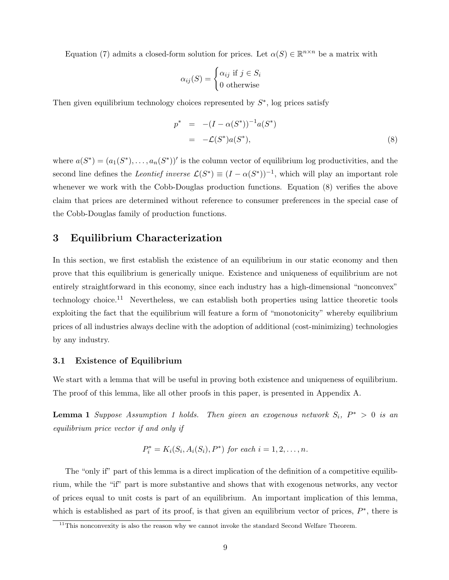Equation (7) admits a closed-form solution for prices. Let  $\alpha(S) \in \mathbb{R}^{n \times n}$  be a matrix with

$$
\alpha_{ij}(S) = \begin{cases} \alpha_{ij} \text{ if } j \in S_i \\ 0 \text{ otherwise} \end{cases}
$$

Then given equilibrium technology choices represented by  $S^*$ , log prices satisfy

$$
p^* = -(I - \alpha(S^*))^{-1} a(S^*)
$$
  
= -\mathcal{L}(S^\*) a(S^\*), (8)

where  $a(S^*) = (a_1(S^*), \ldots, a_n(S^*))'$  is the column vector of equilibrium log productivities, and the second line defines the Leontief inverse  $\mathcal{L}(S^*) \equiv (I - \alpha(S^*))^{-1}$ , which will play an important role whenever we work with the Cobb-Douglas production functions. Equation (8) verifies the above claim that prices are determined without reference to consumer preferences in the special case of the Cobb-Douglas family of production functions.

## 3 Equilibrium Characterization

In this section, we first establish the existence of an equilibrium in our static economy and then prove that this equilibrium is generically unique. Existence and uniqueness of equilibrium are not entirely straightforward in this economy, since each industry has a high-dimensional "nonconvex" technology choice.<sup>11</sup> Nevertheless, we can establish both properties using lattice theoretic tools exploiting the fact that the equilibrium will feature a form of "monotonicity" whereby equilibrium prices of all industries always decline with the adoption of additional (cost-minimizing) technologies by any industry.

#### 3.1 Existence of Equilibrium

We start with a lemma that will be useful in proving both existence and uniqueness of equilibrium. The proof of this lemma, like all other proofs in this paper, is presented in Appendix A.

**Lemma 1** Suppose Assumption 1 holds. Then given an exogenous network  $S_i$ ,  $P^* > 0$  is an equilibrium price vector if and only if

$$
P_i^* = K_i(S_i, A_i(S_i), P^*) \text{ for each } i = 1, 2, ..., n.
$$

The "only if" part of this lemma is a direct implication of the definition of a competitive equilibrium, while the "if" part is more substantive and shows that with exogenous networks, any vector of prices equal to unit costs is part of an equilibrium. An important implication of this lemma, which is established as part of its proof, is that given an equilibrium vector of prices,  $P^*$ , there is

<sup>&</sup>lt;sup>11</sup>This nonconvexity is also the reason why we cannot invoke the standard Second Welfare Theorem.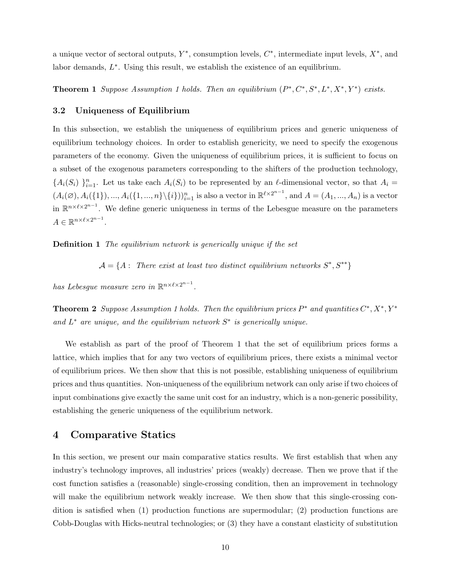a unique vector of sectoral outputs,  $Y^*$ , consumption levels,  $C^*$ , intermediate input levels,  $X^*$ , and labor demands,  $L^*$ . Using this result, we establish the existence of an equilibrium.

**Theorem 1** Suppose Assumption 1 holds. Then an equilibrium  $(P^*, C^*, S^*, L^*, X^*, Y^*)$  exists.

### 3.2 Uniqueness of Equilibrium

In this subsection, we establish the uniqueness of equilibrium prices and generic uniqueness of equilibrium technology choices. In order to establish genericity, we need to specify the exogenous parameters of the economy. Given the uniqueness of equilibrium prices, it is sufficient to focus on a subset of the exogenous parameters corresponding to the shifters of the production technology,  ${A_i(S_i) \}_{i=1}^n$ . Let us take each  $A_i(S_i)$  to be represented by an  $\ell$ -dimensional vector, so that  $A_i =$  $(A_i(\emptyset), A_i(\{1\}),..., A_i(\{1,...,n\}\setminus\{i\}))_{i=1}^n$  is also a vector in  $\mathbb{R}^{\ell \times 2^{n-1}}$ , and  $A = (A_1,..., A_n)$  is a vector in  $\mathbb{R}^{n\times \ell \times 2^{n-1}}$ . We define generic uniqueness in terms of the Lebesgue measure on the parameters  $A \in \mathbb{R}^{n \times \ell \times 2^{n-1}}$ .

**Definition 1** The equilibrium network is generically unique if the set

 $\mathcal{A} = \{A : \text{ There exist at least two distinct equilibrium networks } S^*, S^{**}\}\$ 

has Lebesgue measure zero in  $\mathbb{R}^{n \times \ell \times 2^{n-1}}$ .

**Theorem 2** Suppose Assumption 1 holds. Then the equilibrium prices  $P^*$  and quantities  $C^*, X^*, Y^*$ and  $L^*$  are unique, and the equilibrium network  $S^*$  is generically unique.

We establish as part of the proof of Theorem 1 that the set of equilibrium prices forms a lattice, which implies that for any two vectors of equilibrium prices, there exists a minimal vector of equilibrium prices. We then show that this is not possible, establishing uniqueness of equilibrium prices and thus quantities. Non-uniqueness of the equilibrium network can only arise if two choices of input combinations give exactly the same unit cost for an industry, which is a non-generic possibility, establishing the generic uniqueness of the equilibrium network.

# 4 Comparative Statics

In this section, we present our main comparative statics results. We first establish that when any industry's technology improves, all industries' prices (weakly) decrease. Then we prove that if the cost function satisfies a (reasonable) single-crossing condition, then an improvement in technology will make the equilibrium network weakly increase. We then show that this single-crossing condition is satisfied when (1) production functions are supermodular; (2) production functions are Cobb-Douglas with Hicks-neutral technologies; or (3) they have a constant elasticity of substitution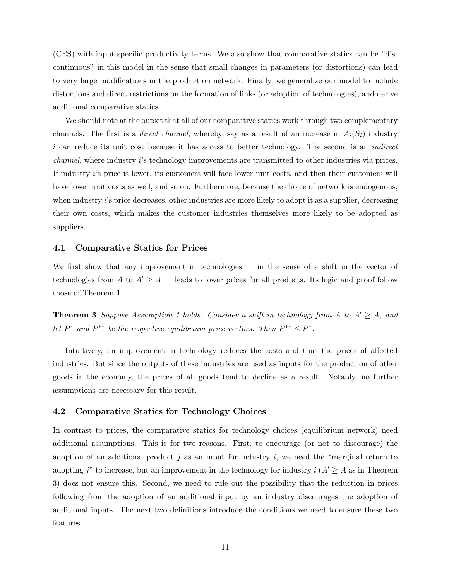(CES) with input-specific productivity terms. We also show that comparative statics can be "discontinuous" in this model in the sense that small changes in parameters (or distortions) can lead to very large modifications in the production network. Finally, we generalize our model to include distortions and direct restrictions on the formation of links (or adoption of technologies), and derive additional comparative statics.

We should note at the outset that all of our comparative statics work through two complementary channels. The first is a *direct channel*, whereby, say as a result of an increase in  $A_i(S_i)$  industry i can reduce its unit cost because it has access to better technology. The second is an *indirect* channel, where industry i's technology improvements are transmitted to other industries via prices. If industry i's price is lower, its customers will face lower unit costs, and then their customers will have lower unit costs as well, and so on. Furthermore, because the choice of network is endogenous, when industry *i*'s price decreases, other industries are more likely to adopt it as a supplier, decreasing their own costs, which makes the customer industries themselves more likely to be adopted as suppliers.

#### 4.1 Comparative Statics for Prices

We first show that any improvement in technologies — in the sense of a shift in the vector of technologies from A to  $A' \geq A$  — leads to lower prices for all products. Its logic and proof follow those of Theorem 1.

**Theorem 3** Suppose Assumption 1 holds. Consider a shift in technology from A to  $A' \geq A$ , and let  $P^*$  and  $P^{**}$  be the respective equilibrium price vectors. Then  $P^{**} \leq P^*$ .

Intuitively, an improvement in technology reduces the costs and thus the prices of affected industries. But since the outputs of these industries are used as inputs for the production of other goods in the economy, the prices of all goods tend to decline as a result. Notably, no further assumptions are necessary for this result.

#### 4.2 Comparative Statics for Technology Choices

In contrast to prices, the comparative statics for technology choices (equilibrium network) need additional assumptions. This is for two reasons. First, to encourage (or not to discourage) the adoption of an additional product  $j$  as an input for industry  $i$ , we need the "marginal return to adopting j" to increase, but an improvement in the technology for industry  $i (A' \geq A)$  as in Theorem 3) does not ensure this. Second, we need to rule out the possibility that the reduction in prices following from the adoption of an additional input by an industry discourages the adoption of additional inputs. The next two definitions introduce the conditions we need to ensure these two features.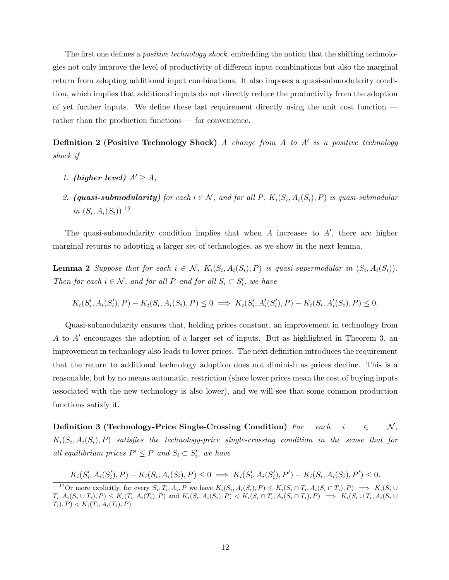The first one defines a *positive technology shock*, embedding the notion that the shifting technologies not only improve the level of productivity of different input combinations but also the marginal return from adopting additional input combinations. It also imposes a quasi-submodularity condition, which implies that additional inputs do not directly reduce the productivity from the adoption of yet further inputs. We define these last requirement directly using the unit cost function rather than the production functions — for convenience.

**Definition 2 (Positive Technology Shock)** A change from A to  $A'$  is a positive technology shock if

- 1. (higher level)  $A' \geq A$ ;
- 2. (quasi-submodularity) for each  $i \in \mathcal{N}$ , and for all P,  $K_i(S_i, A_i(S_i), P)$  is quasi-submodular in  $(S_i, A_i(S_i))$ .<sup>12</sup>

The quasi-submodularity condition implies that when  $A$  increases to  $A'$ , there are higher marginal returns to adopting a larger set of technologies, as we show in the next lemma.

**Lemma 2** Suppose that for each  $i \in \mathcal{N}$ ,  $K_i(S_i, A_i(S_i), P)$  is quasi-supermodular in  $(S_i, A_i(S_i))$ . Then for each  $i \in \mathcal{N}$ , and for all P and for all  $S_i \subset S'_i$ , we have

$$
K_i(S'_i, A_i(S'_i), P) - K_i(S_i, A_i(S_i), P) \le 0 \implies K_i(S'_i, A'_i(S'_i), P) - K_i(S_i, A'_i(S_i), P) \le 0.
$$

Quasi-submodularity ensures that, holding prices constant, an improvement in technology from  $A$  to  $A'$  encourages the adoption of a larger set of inputs. But as highlighted in Theorem 3, an improvement in technology also leads to lower prices. The next definition introduces the requirement that the return to additional technology adoption does not diminish as prices decline. This is a reasonable, but by no means automatic, restriction (since lower prices mean the cost of buying inputs associated with the new technology is also lower), and we will see that some common production functions satisfy it.

Definition 3 (Technology-Price Single-Crossing Condition) For each  $i \in \mathcal{N}$ ,  $K_i(S_i, A_i(S_i), P)$  satisfies the technology-price single-crossing condition in the sense that for all equilibrium prices  $P' \leq P$  and  $S_i \subset S'_i$ , we have

$$
K_i(S'_i, A_i(S'_i), P) - K_i(S_i, A_i(S_i), P) \le 0 \implies K_i(S'_i, A_i(S'_i), P') - K_i(S_i, A_i(S_i), P') \le 0.
$$

<sup>&</sup>lt;sup>12</sup>Or more explicitly, for every  $S_i, T_i, A_i, P$  we have  $K_i(S_i, A_i(S_i), P) \leq K_i(S_i \cap T_i, A_i(S_i \cap T_i), P) \implies K_i(S_i \cup T_i, P)$  $T_i, A_i(S_i \cup T_i), P) \leq K_i(T_i, A_i(T_i), P)$  and  $K_i(S_i, A_i(S_i), P) < K_i(S_i \cap T_i, A_i(S_i \cap T_i), P) \implies K_i(S_i \cup T_i, A_i(S_i \cup T_i))$  $(T_i), P) < K_i(T_i, A_i(T_i), P).$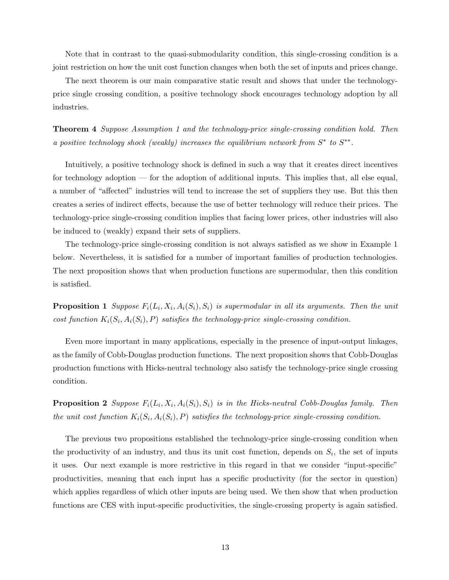Note that in contrast to the quasi-submodularity condition, this single-crossing condition is a joint restriction on how the unit cost function changes when both the set of inputs and prices change.

The next theorem is our main comparative static result and shows that under the technologyprice single crossing condition, a positive technology shock encourages technology adoption by all industries.

Theorem 4 Suppose Assumption 1 and the technology-price single-crossing condition hold. Then a positive technology shock (weakly) increases the equilibrium network from  $S^*$  to  $S^{**}$ .

Intuitively, a positive technology shock is defined in such a way that it creates direct incentives for technology adoption — for the adoption of additional inputs. This implies that, all else equal, a number of "affected" industries will tend to increase the set of suppliers they use. But this then creates a series of indirect effects, because the use of better technology will reduce their prices. The technology-price single-crossing condition implies that facing lower prices, other industries will also be induced to (weakly) expand their sets of suppliers.

The technology-price single-crossing condition is not always satisfied as we show in Example 1 below. Nevertheless, it is satisfied for a number of important families of production technologies. The next proposition shows that when production functions are supermodular, then this condition is satisfied.

**Proposition 1** Suppose  $F_i(L_i, X_i, A_i(S_i), S_i)$  is supermodular in all its arguments. Then the unit cost function  $K_i(S_i, A_i(S_i), P)$  satisfies the technology-price single-crossing condition.

Even more important in many applications, especially in the presence of input-output linkages, as the family of Cobb-Douglas production functions. The next proposition shows that Cobb-Douglas production functions with Hicks-neutral technology also satisfy the technology-price single crossing condition.

**Proposition 2** Suppose  $F_i(L_i, X_i, A_i(S_i), S_i)$  is in the Hicks-neutral Cobb-Douglas family. Then the unit cost function  $K_i(S_i, A_i(S_i), P)$  satisfies the technology-price single-crossing condition.

The previous two propositions established the technology-price single-crossing condition when the productivity of an industry, and thus its unit cost function, depends on  $S_i$ , the set of inputs it uses. Our next example is more restrictive in this regard in that we consider "input-specific" productivities, meaning that each input has a specific productivity (for the sector in question) which applies regardless of which other inputs are being used. We then show that when production functions are CES with input-specific productivities, the single-crossing property is again satisfied.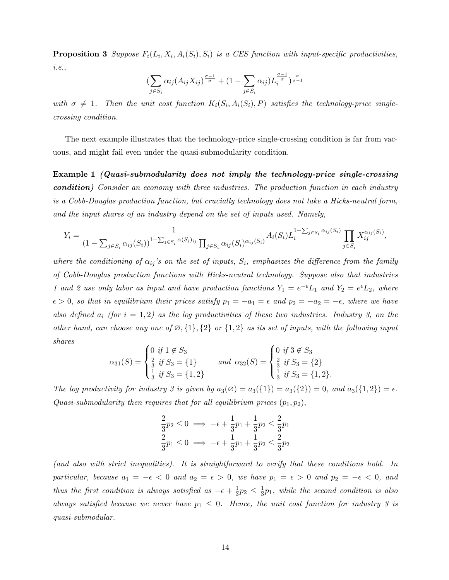**Proposition 3** Suppose  $F_i(L_i, X_i, A_i(S_i), S_i)$  is a CES function with input-specific productivities, i.e.,

$$
\left(\sum_{j\in S_i} \alpha_{ij} (A_{ij} X_{ij})^{\frac{\sigma-1}{\sigma}} + (1 - \sum_{j\in S_i} \alpha_{ij}) L_i^{\frac{\sigma-1}{\sigma}}\right)_{\sigma-1}^{\frac{\sigma}{\sigma-1}}
$$

with  $\sigma \neq 1$ . Then the unit cost function  $K_i(S_i, A_i(S_i), P)$  satisfies the technology-price singlecrossing condition.

The next example illustrates that the technology-price single-crossing condition is far from vacuous, and might fail even under the quasi-submodularity condition.

Example 1 (Quasi-submodularity does not imply the technology-price single-crossing condition) Consider an economy with three industries. The production function in each industry is a Cobb-Douglas production function, but crucially technology does not take a Hicks-neutral form, and the input shares of an industry depend on the set of inputs used. Namely,

$$
Y_i = \frac{1}{(1 - \sum_{j \in S_i} \alpha_{ij}(S_i))^{1 - \sum_{j \in S_i} \alpha(S_i)_{ij}} \prod_{j \in S_i} \alpha_{ij}(S_i)^{\alpha_{ij}(S_i)}} A_i(S_i) L_i^{1 - \sum_{j \in S_i} \alpha_{ij}(S_i)} \prod_{j \in S_i} X_{ij}^{\alpha_{ij}(S_i)},
$$

where the conditioning of  $\alpha_{ij}$ 's on the set of inputs,  $S_i$ , emphasizes the difference from the family of Cobb-Douglas production functions with Hicks-neutral technology. Suppose also that industries 1 and 2 use only labor as input and have production functions  $Y_1 = e^{-\epsilon} L_1$  and  $Y_2 = e^{\epsilon} L_2$ , where  $\epsilon > 0$ , so that in equilibrium their prices satisfy  $p_1 = -a_1 = \epsilon$  and  $p_2 = -a_2 = -\epsilon$ , where we have also defined  $a_i$  (for  $i = 1, 2$ ) as the log productivities of these two industries. Industry 3, on the other hand, can choose any one of  $\emptyset$ ,  $\{1\}$ ,  $\{2\}$  or  $\{1,2\}$  as its set of inputs, with the following input shares

$$
\alpha_{31}(S) = \begin{cases} 0 & \text{if } 1 \notin S_3 \\ \frac{2}{3} & \text{if } S_3 = \{1\} \\ \frac{1}{3} & \text{if } S_3 = \{1, 2\} \end{cases} \quad \text{and } \alpha_{32}(S) = \begin{cases} 0 & \text{if } 3 \notin S_3 \\ \frac{2}{3} & \text{if } S_3 = \{2\} \\ \frac{1}{3} & \text{if } S_3 = \{1, 2\}. \end{cases}
$$

The log productivity for industry 3 is given by  $a_3(\emptyset) = a_3({1}) = a_3({2}) = 0$ , and  $a_3({1, 2}) = \epsilon$ . Quasi-submodularity then requires that for all equilibrium prices  $(p_1, p_2)$ ,

$$
\frac{2}{3}p_2 \le 0 \implies -\epsilon + \frac{1}{3}p_1 + \frac{1}{3}p_2 \le \frac{2}{3}p_1 \n\frac{2}{3}p_1 \le 0 \implies -\epsilon + \frac{1}{3}p_1 + \frac{1}{3}p_2 \le \frac{2}{3}p_2
$$

(and also with strict inequalities). It is straightforward to verify that these conditions hold. In particular, because  $a_1 = -\epsilon < 0$  and  $a_2 = \epsilon > 0$ , we have  $p_1 = \epsilon > 0$  and  $p_2 = -\epsilon < 0$ , and thus the first condition is always satisfied as  $-\epsilon + \frac{1}{3}$  $\frac{1}{3}p_2 \leq \frac{1}{3}$  $\frac{1}{3}p_1$ , while the second condition is also always satisfied because we never have  $p_1 \leq 0$ . Hence, the unit cost function for industry 3 is quasi-submodular.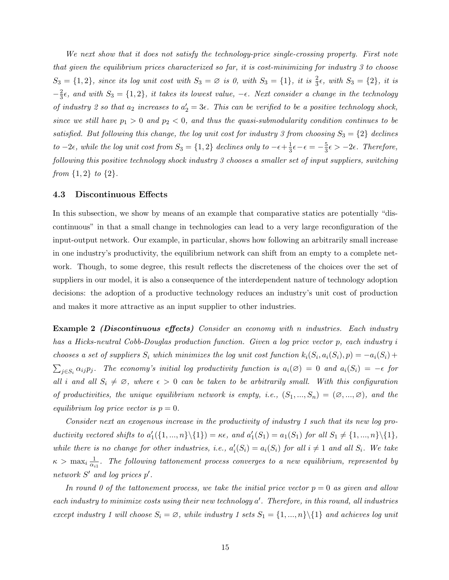We next show that it does not satisfy the technology-price single-crossing property. First note that given the equilibrium prices characterized so far, it is cost-minimizing for industry 3 to choose  $S_3 = \{1,2\}$ , since its log unit cost with  $S_3 = \emptyset$  is 0, with  $S_3 = \{1\}$ , it is  $\frac{2}{3}\epsilon$ , with  $S_3 = \{2\}$ , it is  $-\frac{2}{3}$  $\frac{2}{3}\epsilon$ , and with  $S_3 = \{1,2\}$ , it takes its lowest value,  $-\epsilon$ . Next consider a change in the technology of industry 2 so that  $a_2$  increases to  $a'_2 = 3\epsilon$ . This can be verified to be a positive technology shock, since we still have  $p_1 > 0$  and  $p_2 < 0$ , and thus the quasi-submodularity condition continues to be satisfied. But following this change, the log unit cost for industry 3 from choosing  $S_3 = \{2\}$  declines to  $-2\epsilon$ , while the log unit cost from  $S_3 = \{1,2\}$  declines only to  $-\epsilon + \frac{1}{3}$  $\frac{1}{3}\epsilon-\epsilon=-\frac{5}{3}$  $\frac{5}{3}\epsilon > -2\epsilon$ . Therefore, following this positive technology shock industry 3 chooses a smaller set of input suppliers, switching from  $\{1,2\}$  to  $\{2\}$ .

#### 4.3 Discontinuous Effects

In this subsection, we show by means of an example that comparative statics are potentially "discontinuous" in that a small change in technologies can lead to a very large reconfiguration of the input-output network. Our example, in particular, shows how following an arbitrarily small increase in one industry's productivity, the equilibrium network can shift from an empty to a complete network. Though, to some degree, this result reflects the discreteness of the choices over the set of suppliers in our model, it is also a consequence of the interdependent nature of technology adoption decisions: the adoption of a productive technology reduces an industry's unit cost of production and makes it more attractive as an input supplier to other industries.

**Example 2 (Discontinuous effects)** Consider an economy with n industries. Each industry has a Hicks-neutral Cobb-Douglas production function. Given a log price vector p, each industry i chooses a set of suppliers  $S_i$  which minimizes the log unit cost function  $k_i(S_i, a_i(S_i), p) = -a_i(S_i) +$  $\sum_{j \in S_i} \alpha_{ij} p_j$ . The economy's initial log productivity function is  $a_i(\emptyset) = 0$  and  $a_i(S_i) = -\epsilon$  for all i and all  $S_i \neq \emptyset$ , where  $\epsilon > 0$  can be taken to be arbitrarily small. With this configuration of productivities, the unique equilibrium network is empty, i.e.,  $(S_1, ..., S_n) = (\emptyset, ..., \emptyset)$ , and the equilibrium log price vector is  $p = 0$ .

Consider next an exogenous increase in the productivity of industry 1 such that its new log productivity vectored shifts to  $a'_1({1,...,n}\setminus{1}) = \kappa \epsilon$ , and  $a'_1(S_1) = a_1(S_1)$  for all  $S_1 \neq {1,...,n}\setminus{1}$ , while there is no change for other industries, i.e.,  $a'_i(S_i) = a_i(S_i)$  for all  $i \neq 1$  and all  $S_i$ . We take  $\kappa > \max_i \frac{1}{\alpha_i}$  $\frac{1}{\alpha_{i1}}$ . The following tattonement process converges to a new equilibrium, represented by network  $S'$  and log prices  $p'$ .

In round 0 of the tattonement process, we take the initial price vector  $p = 0$  as given and allow each industry to minimize costs using their new technology a'. Therefore, in this round, all industries except industry 1 will choose  $S_i = \emptyset$ , while industry 1 sets  $S_1 = \{1, ..., n\} \setminus \{1\}$  and achieves log unit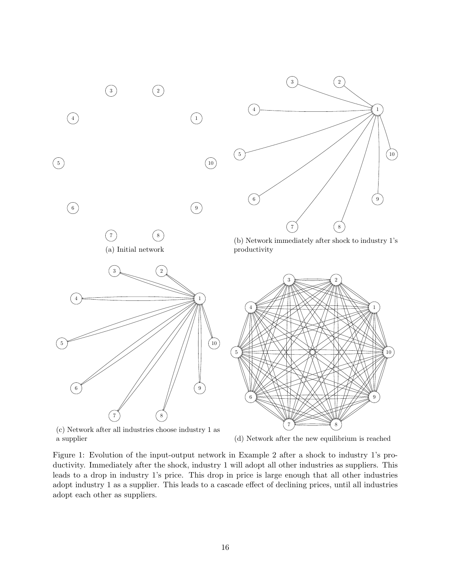

(c) Network after all industries choose industry 1 as a supplier

(d) Network after the new equilibrium is reached

Figure 1: Evolution of the input-output network in Example 2 after a shock to industry 1's productivity. Immediately after the shock, industry 1 will adopt all other industries as suppliers. This leads to a drop in industry 1's price. This drop in price is large enough that all other industries adopt industry 1 as a supplier. This leads to a cascade effect of declining prices, until all industries adopt each other as suppliers.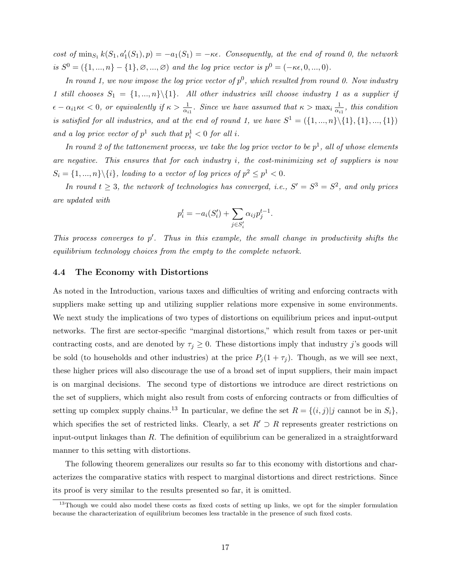cost of  $\min_{S_1} k(S_1, a'_1(S_1), p) = -a_1(S_1) = -\kappa \epsilon$ . Consequently, at the end of round 0, the network is  $S^0 = (\{1, ..., n\} - \{1\}, \emptyset, ..., \emptyset)$  and the log price vector is  $p^0 = (-\kappa \epsilon, 0, ..., 0)$ .

In round 1, we now impose the log price vector of  $p^0$ , which resulted from round 0. Now industry 1 still chooses  $S_1 = \{1, ..., n\} \setminus \{1\}$ . All other industries will choose industry 1 as a supplier if  $\epsilon - \alpha_{i1} \kappa \epsilon < 0$ , or equivalently if  $\kappa > \frac{1}{\alpha_{i1}}$ . Since we have assumed that  $\kappa > \max_i \frac{1}{\alpha_i}$  $\frac{1}{\alpha_{i1}}$ , this condition is satisfied for all industries, and at the end of round 1, we have  $S^1 = (\{1, ..., n\} \setminus \{1\}, \{1\}, ..., \{1\})$ and a log price vector of  $p^1$  such that  $p^1_i < 0$  for all i.

In round 2 of the tattonement process, we take the log price vector to be  $p^1$ , all of whose elements are negative. This ensures that for each industry i, the cost-minimizing set of suppliers is now  $S_i = \{1, ..., n\} \backslash \{i\}$ , leading to a vector of log prices of  $p^2 \leq p^1 < 0$ .

In round  $t \geq 3$ , the network of technologies has converged, i.e.,  $S' = S^3 = S^2$ , and only prices are updated with

$$
p_i^t = -a_i(S_i') + \sum_{j \in S_i'} \alpha_{ij} p_j^{t-1}.
$$

This process converges to  $p'$ . Thus in this example, the small change in productivity shifts the equilibrium technology choices from the empty to the complete network.

#### 4.4 The Economy with Distortions

As noted in the Introduction, various taxes and difficulties of writing and enforcing contracts with suppliers make setting up and utilizing supplier relations more expensive in some environments. We next study the implications of two types of distortions on equilibrium prices and input-output networks. The first are sector-specific "marginal distortions," which result from taxes or per-unit contracting costs, and are denoted by  $\tau_j \geq 0$ . These distortions imply that industry j's goods will be sold (to households and other industries) at the price  $P_i(1 + \tau_i)$ . Though, as we will see next, these higher prices will also discourage the use of a broad set of input suppliers, their main impact is on marginal decisions. The second type of distortions we introduce are direct restrictions on the set of suppliers, which might also result from costs of enforcing contracts or from difficulties of setting up complex supply chains.<sup>13</sup> In particular, we define the set  $R = \{(i, j)|j \text{ cannot be in } S_i\},\$ which specifies the set of restricted links. Clearly, a set  $R' \supset R$  represents greater restrictions on input-output linkages than R. The definition of equilibrium can be generalized in a straightforward manner to this setting with distortions.

The following theorem generalizes our results so far to this economy with distortions and characterizes the comparative statics with respect to marginal distortions and direct restrictions. Since its proof is very similar to the results presented so far, it is omitted.

<sup>&</sup>lt;sup>13</sup>Though we could also model these costs as fixed costs of setting up links, we opt for the simpler formulation because the characterization of equilibrium becomes less tractable in the presence of such fixed costs.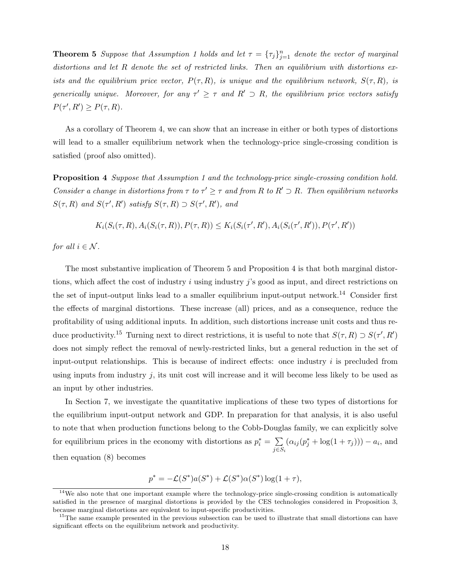**Theorem 5** Suppose that Assumption 1 holds and let  $\tau = {\tau_j}_{j=1}^n$  denote the vector of marginal distortions and let R denote the set of restricted links. Then an equilibrium with distortions exists and the equilibrium price vector,  $P(\tau, R)$ , is unique and the equilibrium network,  $S(\tau, R)$ , is generically unique. Moreover, for any  $\tau' \geq \tau$  and  $R' \supset R$ , the equilibrium price vectors satisfy  $P(\tau', R') \ge P(\tau, R).$ 

As a corollary of Theorem 4, we can show that an increase in either or both types of distortions will lead to a smaller equilibrium network when the technology-price single-crossing condition is satisfied (proof also omitted).

Proposition 4 Suppose that Assumption 1 and the technology-price single-crossing condition hold. Consider a change in distortions from  $\tau$  to  $\tau' \geq \tau$  and from R to R'  $\supset$  R. Then equilibrium networks  $S(\tau, R)$  and  $S(\tau', R')$  satisfy  $S(\tau, R) \supset S(\tau', R')$ , and

$$
K_i(S_i(\tau, R), A_i(S_i(\tau, R)), P(\tau, R)) \le K_i(S_i(\tau', R'), A_i(S_i(\tau', R')), P(\tau', R'))
$$

for all  $i \in \mathcal{N}$ .

The most substantive implication of Theorem 5 and Proposition 4 is that both marginal distortions, which affect the cost of industry  $i$  using industry  $j$ 's good as input, and direct restrictions on the set of input-output links lead to a smaller equilibrium input-output network.<sup>14</sup> Consider first the effects of marginal distortions. These increase (all) prices, and as a consequence, reduce the profitability of using additional inputs. In addition, such distortions increase unit costs and thus reduce productivity.<sup>15</sup> Turning next to direct restrictions, it is useful to note that  $S(\tau, R) \supset S(\tau', R')$ does not simply reflect the removal of newly-restricted links, but a general reduction in the set of input-output relationships. This is because of indirect effects: once industry  $i$  is precluded from using inputs from industry  $j$ , its unit cost will increase and it will become less likely to be used as an input by other industries.

In Section 7, we investigate the quantitative implications of these two types of distortions for the equilibrium input-output network and GDP. In preparation for that analysis, it is also useful to note that when production functions belong to the Cobb-Douglas family, we can explicitly solve for equilibrium prices in the economy with distortions as  $p_i^* = \sum_i$  $j\in S_i$  $(\alpha_{ij}(p_j^* + \log(1 + \tau_j))) - a_i$ , and then equation (8) becomes

$$
p^* = -\mathcal{L}(S^*)a(S^*) + \mathcal{L}(S^*)\alpha(S^*)\log(1+\tau),
$$

 $14$ We also note that one important example where the technology-price single-crossing condition is automatically satisfied in the presence of marginal distortions is provided by the CES technologies considered in Proposition 3, because marginal distortions are equivalent to input-specific productivities.

<sup>&</sup>lt;sup>15</sup>The same example presented in the previous subsection can be used to illustrate that small distortions can have significant effects on the equilibrium network and productivity.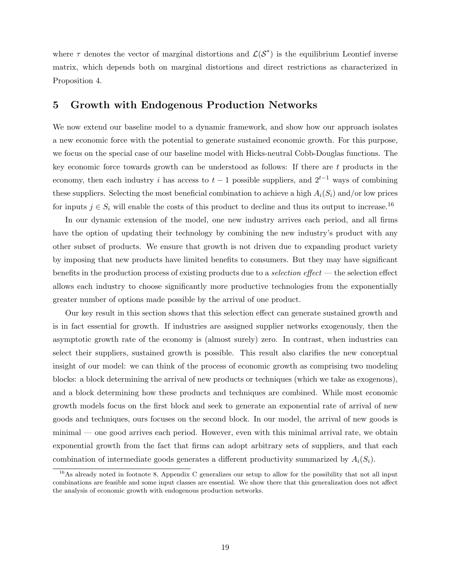where  $\tau$  denotes the vector of marginal distortions and  $\mathcal{L}(\mathcal{S}^*)$  is the equilibrium Leontief inverse matrix, which depends both on marginal distortions and direct restrictions as characterized in Proposition 4.

## 5 Growth with Endogenous Production Networks

We now extend our baseline model to a dynamic framework, and show how our approach isolates a new economic force with the potential to generate sustained economic growth. For this purpose, we focus on the special case of our baseline model with Hicks-neutral Cobb-Douglas functions. The key economic force towards growth can be understood as follows: If there are  $t$  products in the economy, then each industry i has access to  $t-1$  possible suppliers, and  $2^{t-1}$  ways of combining these suppliers. Selecting the most beneficial combination to achieve a high  $A_i(S_i)$  and/or low prices for inputs  $j \in S_i$  will enable the costs of this product to decline and thus its output to increase.<sup>16</sup>

In our dynamic extension of the model, one new industry arrives each period, and all firms have the option of updating their technology by combining the new industry's product with any other subset of products. We ensure that growth is not driven due to expanding product variety by imposing that new products have limited benefits to consumers. But they may have significant benefits in the production process of existing products due to a *selection effect* — the selection effect allows each industry to choose significantly more productive technologies from the exponentially greater number of options made possible by the arrival of one product.

Our key result in this section shows that this selection effect can generate sustained growth and is in fact essential for growth. If industries are assigned supplier networks exogenously, then the asymptotic growth rate of the economy is (almost surely) zero. In contrast, when industries can select their suppliers, sustained growth is possible. This result also clarifies the new conceptual insight of our model: we can think of the process of economic growth as comprising two modeling blocks: a block determining the arrival of new products or techniques (which we take as exogenous), and a block determining how these products and techniques are combined. While most economic growth models focus on the first block and seek to generate an exponential rate of arrival of new goods and techniques, ours focuses on the second block. In our model, the arrival of new goods is minimal — one good arrives each period. However, even with this minimal arrival rate, we obtain exponential growth from the fact that firms can adopt arbitrary sets of suppliers, and that each combination of intermediate goods generates a different productivity summarized by  $A_i(S_i)$ .

<sup>&</sup>lt;sup>16</sup>As already noted in footnote 8, Appendix C generalizes our setup to allow for the possibility that not all input combinations are feasible and some input classes are essential. We show there that this generalization does not affect the analysis of economic growth with endogenous production networks.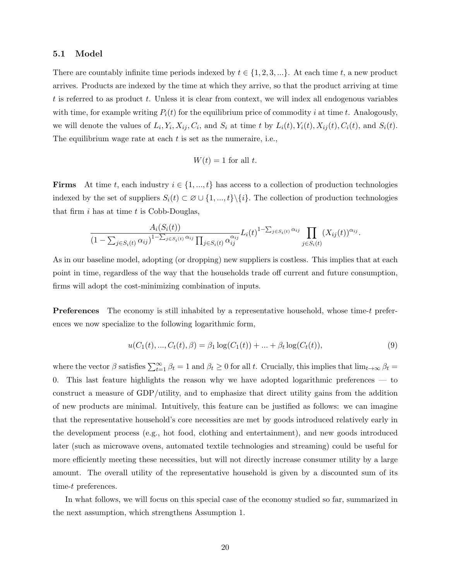### 5.1 Model

There are countably infinite time periods indexed by  $t \in \{1, 2, 3, ...\}$ . At each time t, a new product arrives. Products are indexed by the time at which they arrive, so that the product arriving at time  $t$  is referred to as product  $t$ . Unless it is clear from context, we will index all endogenous variables with time, for example writing  $P_i(t)$  for the equilibrium price of commodity i at time t. Analogously, we will denote the values of  $L_i, Y_i, X_{ij}, C_i$ , and  $S_i$  at time t by  $L_i(t), Y_i(t), X_{ij}(t), C_i(t)$ , and  $S_i(t)$ . The equilibrium wage rate at each  $t$  is set as the numeraire, i.e.,

$$
W(t) = 1
$$
 for all  $t$ .

Firms At time t, each industry  $i \in \{1, ..., t\}$  has access to a collection of production technologies indexed by the set of suppliers  $S_i(t) \subset \emptyset \cup \{1, ..., t\} \setminus \{i\}$ . The collection of production technologies that firm  $i$  has at time  $t$  is Cobb-Douglas,

$$
\frac{A_i(S_i(t))}{(1-\sum_{j\in S_i(t)}\alpha_{ij})^{1-\sum_{j\in S_i(t)}\alpha_{ij}}\prod_{j\in S_i(t)}\alpha_{ij}^{\alpha_{ij}}}L_i(t)^{1-\sum_{j\in S_i(t)}\alpha_{ij}}\prod_{j\in S_i(t)}(X_{ij}(t))^{\alpha_{ij}}.
$$

As in our baseline model, adopting (or dropping) new suppliers is costless. This implies that at each point in time, regardless of the way that the households trade off current and future consumption, firms will adopt the cost-minimizing combination of inputs.

**Preferences** The economy is still inhabited by a representative household, whose time-t preferences we now specialize to the following logarithmic form,

$$
u(C_1(t),...,C_t(t),\beta) = \beta_1 \log(C_1(t)) + ... + \beta_t \log(C_t(t)),
$$
\n(9)

where the vector  $\beta$  satisfies  $\sum_{t=1}^{\infty} \beta_t = 1$  and  $\beta_t \geq 0$  for all t. Crucially, this implies that  $\lim_{t\to\infty} \beta_t =$ 0. This last feature highlights the reason why we have adopted logarithmic preferences  $-$  to construct a measure of GDP/utility, and to emphasize that direct utility gains from the addition of new products are minimal. Intuitively, this feature can be justified as follows: we can imagine that the representative household's core necessities are met by goods introduced relatively early in the development process (e.g., hot food, clothing and entertainment), and new goods introduced later (such as microwave ovens, automated textile technologies and streaming) could be useful for more efficiently meeting these necessities, but will not directly increase consumer utility by a large amount. The overall utility of the representative household is given by a discounted sum of its time-t preferences.

In what follows, we will focus on this special case of the economy studied so far, summarized in the next assumption, which strengthens Assumption 1.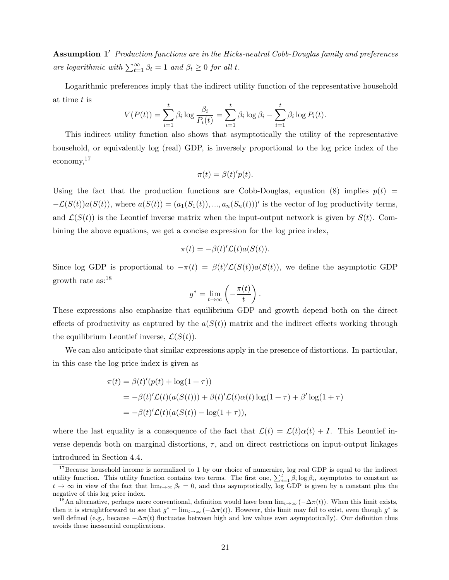**Assumption 1'** Production functions are in the Hicks-neutral Cobb-Douglas family and preferences are logarithmic with  $\sum_{t=1}^{\infty} \beta_t = 1$  and  $\beta_t \geq 0$  for all t.

Logarithmic preferences imply that the indirect utility function of the representative household at time t is

$$
V(P(t)) = \sum_{i=1}^{t} \beta_i \log \frac{\beta_i}{P_i(t)} = \sum_{i=1}^{t} \beta_i \log \beta_i - \sum_{i=1}^{t} \beta_i \log P_i(t).
$$

This indirect utility function also shows that asymptotically the utility of the representative household, or equivalently log (real) GDP, is inversely proportional to the log price index of the economy,<sup>17</sup>

$$
\pi(t) = \beta(t)'p(t).
$$

Using the fact that the production functions are Cobb-Douglas, equation (8) implies  $p(t)$  =  $-\mathcal{L}(S(t))a(S(t))$ , where  $a(S(t)) = (a_1(S_1(t)), ..., a_n(S_n(t)))'$  is the vector of log productivity terms, and  $\mathcal{L}(S(t))$  is the Leontief inverse matrix when the input-output network is given by  $S(t)$ . Combining the above equations, we get a concise expression for the log price index,

$$
\pi(t) = -\beta(t)'\mathcal{L}(t)a(S(t)).
$$

Since log GDP is proportional to  $-\pi(t) = \beta(t)'\mathcal{L}(S(t))a(S(t))$ , we define the asymptotic GDP growth rate as:<sup>18</sup>

$$
g^* = \lim_{t \to \infty} \left( -\frac{\pi(t)}{t} \right).
$$

These expressions also emphasize that equilibrium GDP and growth depend both on the direct effects of productivity as captured by the  $a(S(t))$  matrix and the indirect effects working through the equilibrium Leontief inverse,  $\mathcal{L}(S(t))$ .

We can also anticipate that similar expressions apply in the presence of distortions. In particular, in this case the log price index is given as

$$
\pi(t) = \beta(t)'(p(t) + \log(1 + \tau))
$$
  
=  $-\beta(t)'\mathcal{L}(t)(a(S(t))) + \beta(t)'\mathcal{L}(t)\alpha(t)\log(1 + \tau) + \beta'\log(1 + \tau)$   
=  $-\beta(t)'\mathcal{L}(t)(a(S(t)) - \log(1 + \tau)),$ 

where the last equality is a consequence of the fact that  $\mathcal{L}(t) = \mathcal{L}(t)\alpha(t) + I$ . This Leontief inverse depends both on marginal distortions,  $\tau$ , and on direct restrictions on input-output linkages introduced in Section 4.4.

<sup>&</sup>lt;sup>17</sup>Because household income is normalized to 1 by our choice of numeraire, log real GDP is equal to the indirect utility function. This utility function contains two terms. The first one,  $\sum_{i=1}^{t} \beta_i \log \beta_i$ , asymptotes to constant as  $t \to \infty$  in view of the fact that  $\lim_{t\to\infty} \beta_t = 0$ , and thus asymptotically, log GDP is given by a constant plus the negative of this log price index.

<sup>&</sup>lt;sup>18</sup>An alternative, perhaps more conventional, definition would have been  $\lim_{t\to\infty}$  ( $-\Delta\pi(t)$ ). When this limit exists, then it is straightforward to see that  $g^* = \lim_{t \to \infty} (-\Delta \pi(t))$ . However, this limit may fail to exist, even though  $g^*$  is well defined (e.g., because  $-\Delta\pi(t)$  fluctuates between high and low values even asymptotically). Our definition thus avoids these inessential complications.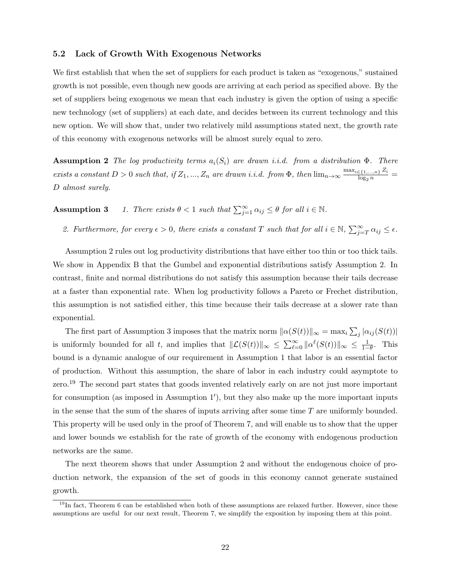#### 5.2 Lack of Growth With Exogenous Networks

We first establish that when the set of suppliers for each product is taken as "exogenous," sustained growth is not possible, even though new goods are arriving at each period as specified above. By the set of suppliers being exogenous we mean that each industry is given the option of using a specific new technology (set of suppliers) at each date, and decides between its current technology and this new option. We will show that, under two relatively mild assumptions stated next, the growth rate of this economy with exogenous networks will be almost surely equal to zero.

**Assumption 2** The log productivity terms  $a_i(S_i)$  are drawn i.i.d. from a distribution  $\Phi$ . There exists a constant  $D > 0$  such that, if  $Z_1, ..., Z_n$  are drawn i.i.d. from  $\Phi$ , then  $\lim_{n \to \infty} \frac{\max_{i \in \{1,...,n\}} Z_i}{\log_2 n}$ D almost surely.

**Assumption 3** 1. There exists  $\theta < 1$  such that  $\sum_{j=1}^{\infty} \alpha_{ij} \leq \theta$  for all  $i \in \mathbb{N}$ .

2. Furthermore, for every  $\epsilon > 0$ , there exists a constant T such that for all  $i \in \mathbb{N}$ ,  $\sum_{j=T}^{\infty} \alpha_{ij} \leq \epsilon$ .

Assumption 2 rules out log productivity distributions that have either too thin or too thick tails. We show in Appendix B that the Gumbel and exponential distributions satisfy Assumption 2. In contrast, finite and normal distributions do not satisfy this assumption because their tails decrease at a faster than exponential rate. When log productivity follows a Pareto or Frechet distribution, this assumption is not satisfied either, this time because their tails decrease at a slower rate than exponential.

The first part of Assumption 3 imposes that the matrix norm  $\|\alpha(S(t))\|_{\infty} = \max_{i} \sum_{j} |\alpha_{ij}(S(t))|$ is uniformly bounded for all t, and implies that  $\|\mathcal{L}(S(t))\|_{\infty} \leq \sum_{\ell=0}^{\infty} \|\alpha^{\ell}(S(t))\|_{\infty} \leq \frac{1}{1-\theta}$ . This bound is a dynamic analogue of our requirement in Assumption 1 that labor is an essential factor of production. Without this assumption, the share of labor in each industry could asymptote to zero.<sup>19</sup> The second part states that goods invented relatively early on are not just more important for consumption (as imposed in Assumption 1'), but they also make up the more important inputs in the sense that the sum of the shares of inputs arriving after some time  $T$  are uniformly bounded. This property will be used only in the proof of Theorem 7, and will enable us to show that the upper and lower bounds we establish for the rate of growth of the economy with endogenous production networks are the same.

The next theorem shows that under Assumption 2 and without the endogenous choice of production network, the expansion of the set of goods in this economy cannot generate sustained growth.

 $19$ In fact, Theorem 6 can be established when both of these assumptions are relaxed further. However, since these assumptions are useful for our next result, Theorem 7, we simplify the exposition by imposing them at this point.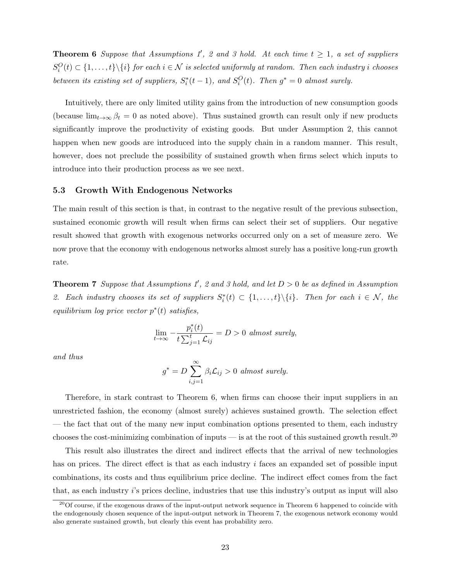**Theorem 6** Suppose that Assumptions 1', 2 and 3 hold. At each time  $t \geq 1$ , a set of suppliers  $S_i^O(t) \subset \{1, \ldots, t\} \backslash \{i\}$  for each  $i \in \mathcal{N}$  is selected uniformly at random. Then each industry i chooses between its existing set of suppliers,  $S_i^*(t-1)$ , and  $S_i^O(t)$ . Then  $g^* = 0$  almost surely.

Intuitively, there are only limited utility gains from the introduction of new consumption goods (because  $\lim_{t\to\infty} \beta_t = 0$  as noted above). Thus sustained growth can result only if new products significantly improve the productivity of existing goods. But under Assumption 2, this cannot happen when new goods are introduced into the supply chain in a random manner. This result, however, does not preclude the possibility of sustained growth when firms select which inputs to introduce into their production process as we see next.

#### 5.3 Growth With Endogenous Networks

The main result of this section is that, in contrast to the negative result of the previous subsection, sustained economic growth will result when firms can select their set of suppliers. Our negative result showed that growth with exogenous networks occurred only on a set of measure zero. We now prove that the economy with endogenous networks almost surely has a positive long-run growth rate.

**Theorem 7** Suppose that Assumptions 1', 2 and 3 hold, and let  $D > 0$  be as defined in Assumption 2. Each industry chooses its set of suppliers  $S_i^*(t) \subset \{1,\ldots,t\} \setminus \{i\}$ . Then for each  $i \in \mathcal{N}$ , the equilibrium log price vector  $p^*(t)$  satisfies,

$$
\lim_{t \to \infty} -\frac{p_i^*(t)}{t \sum_{j=1}^t \mathcal{L}_{ij}} = D > 0 \text{ almost surely,}
$$

and thus

$$
g^* = D \sum_{i,j=1}^{\infty} \beta_i \mathcal{L}_{ij} > 0 \text{ almost surely.}
$$

Therefore, in stark contrast to Theorem 6, when firms can choose their input suppliers in an unrestricted fashion, the economy (almost surely) achieves sustained growth. The selection effect — the fact that out of the many new input combination options presented to them, each industry chooses the cost-minimizing combination of inputs — is at the root of this sustained growth result.<sup>20</sup>

This result also illustrates the direct and indirect effects that the arrival of new technologies has on prices. The direct effect is that as each industry  $i$  faces an expanded set of possible input combinations, its costs and thus equilibrium price decline. The indirect effect comes from the fact that, as each industry i's prices decline, industries that use this industry's output as input will also

<sup>&</sup>lt;sup>20</sup>Of course, if the exogenous draws of the input-output network sequence in Theorem 6 happened to coincide with the endogenously chosen sequence of the input-output network in Theorem 7, the exogenous network economy would also generate sustained growth, but clearly this event has probability zero.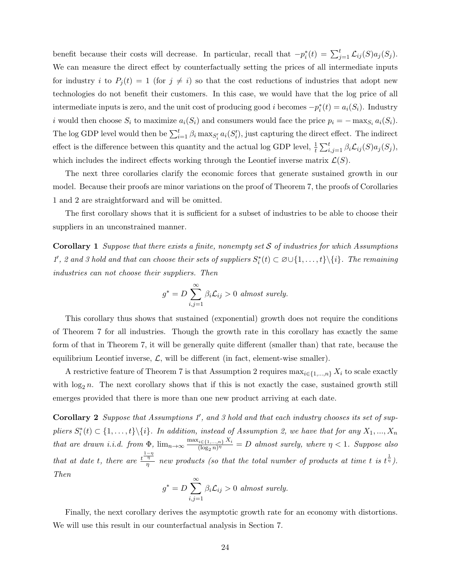benefit because their costs will decrease. In particular, recall that  $-p_i^*(t) = \sum_{j=1}^t \mathcal{L}_{ij}(S) a_j(S_j)$ . We can measure the direct effect by counterfactually setting the prices of all intermediate inputs for industry i to  $P_j(t) = 1$  (for  $j \neq i$ ) so that the cost reductions of industries that adopt new technologies do not benefit their customers. In this case, we would have that the log price of all intermediate inputs is zero, and the unit cost of producing good i becomes  $-p_i^*(t) = a_i(S_i)$ . Industry i would then choose  $S_i$  to maximize  $a_i(S_i)$  and consumers would face the price  $p_i = -\max_{S_i} a_i(S_i)$ . The log GDP level would then be  $\sum_{i=1}^t \beta_i \max_{S'_i} a_i(S'_i)$ , just capturing the direct effect. The indirect effect is the difference between this quantity and the actual log GDP level,  $\frac{1}{t} \sum_{i,j=1}^{t} \beta_i \mathcal{L}_{ij}(S) a_j(S_j)$ , which includes the indirect effects working through the Leontief inverse matrix  $\mathcal{L}(S)$ .

The next three corollaries clarify the economic forces that generate sustained growth in our model. Because their proofs are minor variations on the proof of Theorem 7, the proofs of Corollaries 1 and 2 are straightforward and will be omitted.

The first corollary shows that it is sufficient for a subset of industries to be able to choose their suppliers in an unconstrained manner.

Corollary 1 Suppose that there exists a finite, nonempty set S of industries for which Assumptions 1', 2 and 3 hold and that can choose their sets of suppliers  $S_i^*(t) \subset \emptyset \cup \{1,\ldots,t\} \backslash \{i\}$ . The remaining industries can not choose their suppliers. Then

$$
g^* = D \sum_{i,j=1}^{\infty} \beta_i \mathcal{L}_{ij} > 0
$$
 almost surely.

This corollary thus shows that sustained (exponential) growth does not require the conditions of Theorem 7 for all industries. Though the growth rate in this corollary has exactly the same form of that in Theorem 7, it will be generally quite different (smaller than) that rate, because the equilibrium Leontief inverse,  $\mathcal{L}$ , will be different (in fact, element-wise smaller).

A restrictive feature of Theorem 7 is that Assumption 2 requires  $\max_{i\in\{1,\ldots,n\}} X_i$  to scale exactly with  $\log_2 n$ . The next corollary shows that if this is not exactly the case, sustained growth still emerges provided that there is more than one new product arriving at each date.

**Corollary 2** Suppose that Assumptions 1', and 3 hold and that each industry chooses its set of suppliers  $S_i^*(t) \subset \{1, \ldots, t\} \backslash \{i\}$ . In addition, instead of Assumption 2, we have that for any  $X_1, \ldots, X_n$ that are drawn i.i.d. from  $\Phi$ ,  $\lim_{n\to\infty} \frac{\max_{i\in\{1,\dots,n\}} X_i}{(\log_n n)^{\eta}}$  $\frac{i\in\{1,\dots,n\}}{\log_2 n)^{\eta}} = D$  almost surely, where  $\eta < 1$ . Suppose also that at date t, there are  $\frac{t^{\frac{1-\eta}{\eta}}}{n}$  $\frac{\overline{\eta}^\eta}{\eta}$  new products (so that the total number of products at time t is  $t^{\frac{1}{\eta}}$ ). Then

$$
g^* = D \sum_{i,j=1}^{\infty} \beta_i \mathcal{L}_{ij} > 0 \text{ almost surely.}
$$

Finally, the next corollary derives the asymptotic growth rate for an economy with distortions. We will use this result in our counterfactual analysis in Section 7.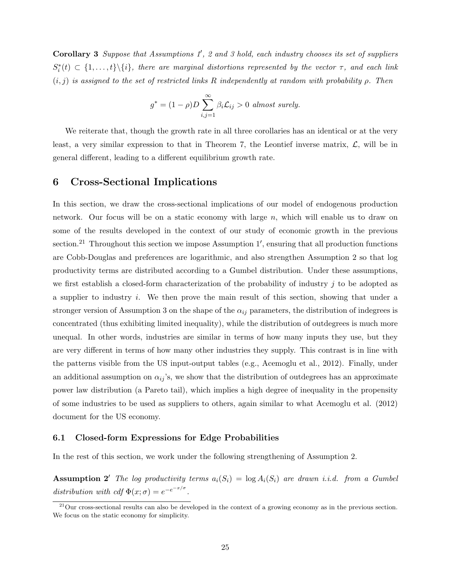**Corollary 3** Suppose that Assumptions  $1'$ , 2 and 3 hold, each industry chooses its set of suppliers  $S_i^*(t) \subset \{1,\ldots,t\} \backslash \{i\}$ , there are marginal distortions represented by the vector  $\tau$ , and each link  $(i, j)$  is assigned to the set of restricted links R independently at random with probability  $\rho$ . Then

$$
g^* = (1 - \rho)D \sum_{i,j=1}^{\infty} \beta_i \mathcal{L}_{ij} > 0 \text{ almost surely.}
$$

We reiterate that, though the growth rate in all three corollaries has an identical or at the very least, a very similar expression to that in Theorem 7, the Leontief inverse matrix,  $\mathcal{L}$ , will be in general different, leading to a different equilibrium growth rate.

## 6 Cross-Sectional Implications

In this section, we draw the cross-sectional implications of our model of endogenous production network. Our focus will be on a static economy with large n, which will enable us to draw on some of the results developed in the context of our study of economic growth in the previous section.<sup>21</sup> Throughout this section we impose Assumption 1', ensuring that all production functions are Cobb-Douglas and preferences are logarithmic, and also strengthen Assumption 2 so that log productivity terms are distributed according to a Gumbel distribution. Under these assumptions, we first establish a closed-form characterization of the probability of industry j to be adopted as a supplier to industry i. We then prove the main result of this section, showing that under a stronger version of Assumption 3 on the shape of the  $\alpha_{ij}$  parameters, the distribution of indegrees is concentrated (thus exhibiting limited inequality), while the distribution of outdegrees is much more unequal. In other words, industries are similar in terms of how many inputs they use, but they are very different in terms of how many other industries they supply. This contrast is in line with the patterns visible from the US input-output tables (e.g., Acemoglu et al., 2012). Finally, under an additional assumption on  $\alpha_{ij}$ 's, we show that the distribution of outdegrees has an approximate power law distribution (a Pareto tail), which implies a high degree of inequality in the propensity of some industries to be used as suppliers to others, again similar to what Acemoglu et al. (2012) document for the US economy.

#### 6.1 Closed-form Expressions for Edge Probabilities

In the rest of this section, we work under the following strengthening of Assumption 2.

**Assumption 2'** The log productivity terms  $a_i(S_i) = \log A_i(S_i)$  are drawn i.i.d. from a Gumbel distribution with cdf  $\Phi(x;\sigma) = e^{-e^{-x/\sigma}}$ .

 $21$ Our cross-sectional results can also be developed in the context of a growing economy as in the previous section. We focus on the static economy for simplicity.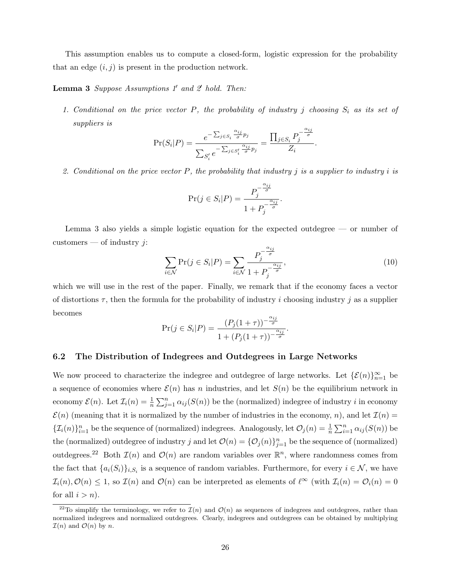This assumption enables us to compute a closed-form, logistic expression for the probability that an edge  $(i, j)$  is present in the production network.

### **Lemma 3** Suppose Assumptions  $1'$  and  $2'$  hold. Then:

1. Conditional on the price vector  $P$ , the probability of industry j choosing  $S_i$  as its set of suppliers is

$$
\Pr(S_i|P) = \frac{e^{-\sum_{j \in S_i} \frac{\alpha_{ij}}{\sigma} p_j}}{\sum_{S_i'} e^{-\sum_{j \in S_i'} \frac{\alpha_{ij}}{\sigma} p_j}} = \frac{\prod_{j \in S_i} P_j^{-\frac{\alpha_{ij}}{\sigma}}}{Z_i}.
$$

2. Conditional on the price vector  $P$ , the probability that industry j is a supplier to industry i is

$$
\Pr(j \in S_i | P) = \frac{P_j^{-\frac{\alpha_{ij}}{\sigma}}}{1 + P_j^{-\frac{\alpha_{ij}}{\sigma}}}.
$$

Lemma 3 also yields a simple logistic equation for the expected outdegree — or number of customers — of industry  $j$ :  $\alpha_{i,i}$ 

$$
\sum_{i \in \mathcal{N}} \Pr(j \in S_i | P) = \sum_{i \in \mathcal{N}} \frac{P_j^{-\frac{\alpha_{ij}}{\sigma}}}{1 + P_j^{-\frac{\alpha_{ij}}{\sigma}}},\tag{10}
$$

which we will use in the rest of the paper. Finally, we remark that if the economy faces a vector of distortions  $\tau$ , then the formula for the probability of industry *i* choosing industry *j* as a supplier becomes

$$
\Pr(j \in S_i | P) = \frac{(P_j(1+\tau))^{-\frac{\alpha_{ij}}{\sigma}}}{1 + (P_j(1+\tau))^{-\frac{\alpha_{ij}}{\sigma}}}.
$$

### 6.2 The Distribution of Indegrees and Outdegrees in Large Networks

We now proceed to characterize the indegree and outdegree of large networks. Let  $\{\mathcal{E}(n)\}_{n=1}^{\infty}$  be a sequence of economies where  $\mathcal{E}(n)$  has n industries, and let  $S(n)$  be the equilibrium network in economy  $\mathcal{E}(n)$ . Let  $\mathcal{I}_i(n) = \frac{1}{n} \sum_{j=1}^n \alpha_{ij}(S(n))$  be the (normalized) indegree of industry *i* in economy  $\mathcal{E}(n)$  (meaning that it is normalized by the number of industries in the economy, n), and let  $\mathcal{I}(n)$  =  $\{\mathcal{I}_i(n)\}_{i=1}^n$  be the sequence of (normalized) indegrees. Analogously, let  $\mathcal{O}_j(n) = \frac{1}{n} \sum_{i=1}^n \alpha_{ij}(S(n))$  be the (normalized) outdegree of industry j and let  $\mathcal{O}(n) = \{ \mathcal{O}_j(n) \}_{j=1}^n$  be the sequence of (normalized) outdegrees.<sup>22</sup> Both  $\mathcal{I}(n)$  and  $\mathcal{O}(n)$  are random variables over  $\mathbb{R}^n$ , where randomness comes from the fact that  $\{a_i(S_i)\}_{i,S_i}$  is a sequence of random variables. Furthermore, for every  $i \in \mathcal{N}$ , we have  $\mathcal{I}_i(n), \mathcal{O}(n) \leq 1$ , so  $\mathcal{I}(n)$  and  $\mathcal{O}(n)$  can be interpreted as elements of  $\ell^{\infty}$  (with  $\mathcal{I}_i(n) = \mathcal{O}_i(n) = 0$ for all  $i > n$ ).

<sup>&</sup>lt;sup>22</sup>To simplify the terminology, we refer to  $\mathcal{I}(n)$  and  $\mathcal{O}(n)$  as sequences of indegrees and outdegrees, rather than normalized indegrees and normalized outdegrees. Clearly, indegrees and outdegrees can be obtained by multiplying  $\mathcal{I}(n)$  and  $\mathcal{O}(n)$  by n.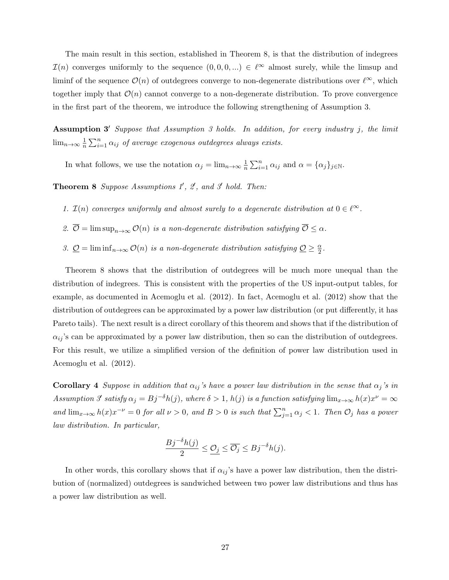The main result in this section, established in Theorem 8, is that the distribution of indegrees  $\mathcal{I}(n)$  converges uniformly to the sequence  $(0, 0, 0, ...) \in \ell^{\infty}$  almost surely, while the limsup and liminf of the sequence  $\mathcal{O}(n)$  of outdegrees converge to non-degenerate distributions over  $\ell^{\infty}$ , which together imply that  $\mathcal{O}(n)$  cannot converge to a non-degenerate distribution. To prove convergence in the first part of the theorem, we introduce the following strengthening of Assumption 3.

Assumption 3' Suppose that Assumption 3 holds. In addition, for every industry j, the limit  $\lim_{n\to\infty}\frac{1}{n}$  $\frac{1}{n}\sum_{i=1}^n \alpha_{ij}$  of average exogenous outdegrees always exists.

In what follows, we use the notation  $\alpha_j = \lim_{n \to \infty} \frac{1}{n}$  $\frac{1}{n} \sum_{i=1}^{n} \alpha_{ij}$  and  $\alpha = {\alpha_j}_{j \in \mathbb{N}}$ .

**Theorem 8** Suppose Assumptions 1',  $2'$ , and 3' hold. Then:

- 1.  $\mathcal{I}(n)$  converges uniformly and almost surely to a degenerate distribution at  $0 \in \ell^{\infty}$ .
- 2.  $\overline{\mathcal{O}} = \limsup_{n \to \infty} \mathcal{O}(n)$  is a non-degenerate distribution satisfying  $\overline{\mathcal{O}} \leq \alpha$ .
- 3.  $\mathcal{Q} = \liminf_{n \to \infty} \mathcal{O}(n)$  is a non-degenerate distribution satisfying  $\mathcal{Q} \geq \frac{\alpha}{2}$  $\frac{\alpha}{2}$ .

Theorem 8 shows that the distribution of outdegrees will be much more unequal than the distribution of indegrees. This is consistent with the properties of the US input-output tables, for example, as documented in Acemoglu et al. (2012). In fact, Acemoglu et al. (2012) show that the distribution of outdegrees can be approximated by a power law distribution (or put differently, it has Pareto tails). The next result is a direct corollary of this theorem and shows that if the distribution of  $\alpha_{ij}$ 's can be approximated by a power law distribution, then so can the distribution of outdegrees. For this result, we utilize a simplified version of the definition of power law distribution used in Acemoglu et al. (2012).

Corollary 4 Suppose in addition that  $\alpha_{ij}$ 's have a power law distribution in the sense that  $\alpha_j$ 's in Assumption 3' satisfy  $\alpha_j = Bj^{-\delta}h(j)$ , where  $\delta > 1$ ,  $h(j)$  is a function satisfying  $\lim_{x\to\infty} h(x)x^{\nu} = \infty$ and  $\lim_{x\to\infty} h(x)x^{-\nu} = 0$  for all  $\nu > 0$ , and  $B > 0$  is such that  $\sum_{j=1}^{n} \alpha_j < 1$ . Then  $\mathcal{O}_j$  has a power law distribution. In particular,

$$
\frac{Bj^{-\delta}h(j)}{2}\leq \underline{\mathcal{O}_j}\leq \overline{\mathcal{O}_j}\leq Bj^{-\delta}h(j).
$$

In other words, this corollary shows that if  $\alpha_{ij}$ 's have a power law distribution, then the distribution of (normalized) outdegrees is sandwiched between two power law distributions and thus has a power law distribution as well.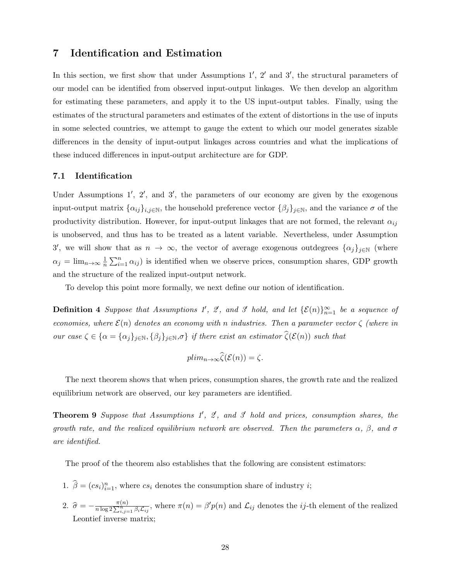## 7 Identification and Estimation

In this section, we first show that under Assumptions  $1'$ ,  $2'$  and  $3'$ , the structural parameters of our model can be identified from observed input-output linkages. We then develop an algorithm for estimating these parameters, and apply it to the US input-output tables. Finally, using the estimates of the structural parameters and estimates of the extent of distortions in the use of inputs in some selected countries, we attempt to gauge the extent to which our model generates sizable differences in the density of input-output linkages across countries and what the implications of these induced differences in input-output architecture are for GDP.

#### 7.1 Identification

Under Assumptions  $1', 2',$  and  $3'$ , the parameters of our economy are given by the exogenous input-output matrix  $\{\alpha_{ij}\}_{i,j\in\mathbb{N}}$ , the household preference vector  $\{\beta_j\}_{j\in\mathbb{N}}$ , and the variance  $\sigma$  of the productivity distribution. However, for input-output linkages that are not formed, the relevant  $\alpha_{ij}$ is unobserved, and thus has to be treated as a latent variable. Nevertheless, under Assumption 3', we will show that as  $n \to \infty$ , the vector of average exogenous outdegrees  $\{\alpha_j\}_{j\in\mathbb{N}}$  (where  $\alpha_j = \lim_{n \to \infty} \frac{1}{n}$  $\frac{1}{n} \sum_{i=1}^{n} \alpha_{ij}$  is identified when we observe prices, consumption shares, GDP growth and the structure of the realized input-output network.

To develop this point more formally, we next define our notion of identification.

**Definition 4** Suppose that Assumptions 1', 2', and 3' hold, and let  $\{\mathcal{E}(n)\}_{n=1}^{\infty}$  be a sequence of economies, where  $\mathcal{E}(n)$  denotes an economy with n industries. Then a parameter vector  $\zeta$  (where in our case  $\zeta \in {\alpha = {\alpha_j}_{j \in \mathbb{N}}, {\beta_j}_{j \in \mathbb{N}}, \sigma}$  if there exist an estimator  $\widehat{\zeta}(\mathcal{E}(n))$  such that

$$
plim_{n\to\infty}\widehat{\zeta}(\mathcal{E}(n))=\zeta.
$$

The next theorem shows that when prices, consumption shares, the growth rate and the realized equilibrium network are observed, our key parameters are identified.

**Theorem 9** Suppose that Assumptions  $1', 2',$  and  $3'$  hold and prices, consumption shares, the growth rate, and the realized equilibrium network are observed. Then the parameters  $\alpha$ ,  $\beta$ , and  $\sigma$ are identified.

The proof of the theorem also establishes that the following are consistent estimators:

- 1.  $\hat{\beta} = (cs_i)_{i=1}^n$ , where  $cs_i$  denotes the consumption share of industry *i*;
- 2.  $\hat{\sigma} = -\frac{\pi(n)}{n \log 2 \sum_{i,j=1}^n \beta_i \mathcal{L}_{ij}}$ , where  $\pi(n) = \beta' p(n)$  and  $\mathcal{L}_{ij}$  denotes the *ij*-th element of the realized Leontief inverse matrix;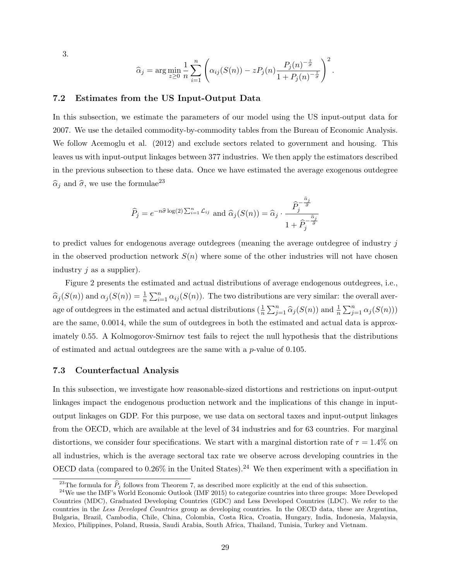3.

$$
\widehat{\alpha}_j = \arg \min_{z \ge 0} \frac{1}{n} \sum_{i=1}^n \left( \alpha_{ij}(S(n)) - zP_j(n) \frac{P_j(n)^{-\frac{z}{\sigma}}}{1 + P_j(n)^{-\frac{z}{\sigma}}} \right)^2.
$$

#### 7.2 Estimates from the US Input-Output Data

In this subsection, we estimate the parameters of our model using the US input-output data for 2007. We use the detailed commodity-by-commodity tables from the Bureau of Economic Analysis. We follow Acemoglu et al. (2012) and exclude sectors related to government and housing. This leaves us with input-output linkages between 377 industries. We then apply the estimators described in the previous subsection to these data. Once we have estimated the average exogenous outdegree  $\hat{\alpha}_i$  and  $\hat{\sigma}$ , we use the formulae<sup>23</sup>

$$
\widehat{P}_j = e^{-n\widehat{\sigma}\log(2)\sum_{i=1}^n \mathcal{L}_{ij}} \text{ and } \widehat{\alpha}_j(S(n)) = \widehat{\alpha}_j \cdot \frac{\widehat{P}_j^{-\frac{\widehat{\alpha}_j}{\widehat{\sigma}}}}{1 + \widehat{P}_j^{-\frac{\widehat{\alpha}_j}{\widehat{\sigma}}}}
$$

to predict values for endogenous average outdegrees (meaning the average outdegree of industry j in the observed production network  $S(n)$  where some of the other industries will not have chosen industry  $j$  as a supplier).

Figure 2 presents the estimated and actual distributions of average endogenous outdegrees, i.e.,  $\widehat{\alpha}_j(S(n))$  and  $\alpha_j(S(n)) = \frac{1}{n} \sum_{i=1}^n \alpha_{ij}(S(n))$ . The two distributions are very similar: the overall average of outdegrees in the estimated and actual distributions  $(\frac{1}{n}\sum_{j=1}^{n}\hat{\alpha}_j(S(n))$  and  $\frac{1}{n}\sum_{j=1}^{n}\alpha_j(S(n)))$ are the same, 0.0014, while the sum of outdegrees in both the estimated and actual data is approximately 0.55. A Kolmogorov-Smirnov test fails to reject the null hypothesis that the distributions of estimated and actual outdegrees are the same with a  $p$ -value of 0.105.

#### 7.3 Counterfactual Analysis

In this subsection, we investigate how reasonable-sized distortions and restrictions on input-output linkages impact the endogenous production network and the implications of this change in inputoutput linkages on GDP. For this purpose, we use data on sectoral taxes and input-output linkages from the OECD, which are available at the level of 34 industries and for 63 countries. For marginal distortions, we consider four specifications. We start with a marginal distortion rate of  $\tau = 1.4\%$  on all industries, which is the average sectoral tax rate we observe across developing countries in the OECD data (compared to  $0.26\%$  in the United States).<sup>24</sup> We then experiment with a specifiation in

<sup>&</sup>lt;sup>23</sup>The formula for  $\hat{P}_i$  follows from Theorem 7, as described more explicitly at the end of this subsection.

<sup>&</sup>lt;sup>24</sup>We use the IMF's World Economic Outlook (IMF 2015) to categorize countries into three groups: More Developed Countries (MDC), Graduated Developing Countries (GDC) and Less Developed Countries (LDC). We refer to the countries in the Less Developed Countries group as developing countries. In the OECD data, these are Argentina, Bulgaria, Brazil, Cambodia, Chile, China, Colombia, Costa Rica, Croatia, Hungary, India, Indonesia, Malaysia, Mexico, Philippines, Poland, Russia, Saudi Arabia, South Africa, Thailand, Tunisia, Turkey and Vietnam.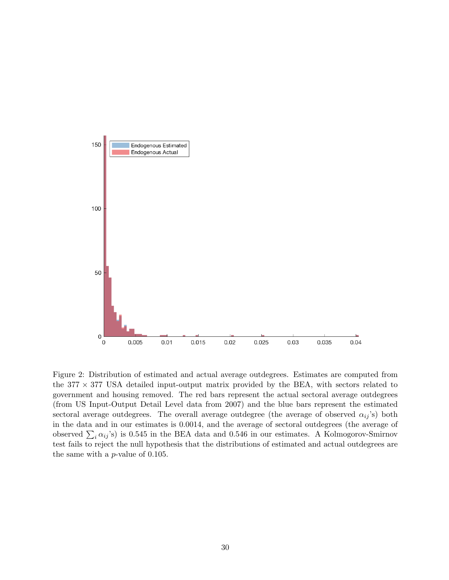

Figure 2: Distribution of estimated and actual average outdegrees. Estimates are computed from the  $377 \times 377$  USA detailed input-output matrix provided by the BEA, with sectors related to government and housing removed. The red bars represent the actual sectoral average outdegrees (from US Input-Output Detail Level data from 2007) and the blue bars represent the estimated sectoral average outdegrees. The overall average outdegree (the average of observed  $\alpha_{ij}$ 's) both in the data and in our estimates is 0.0014, and the average of sectoral outdegrees (the average of observed  $\sum_i \alpha_{ij}$ 's) is 0.545 in the BEA data and 0.546 in our estimates. A Kolmogorov-Smirnov test fails to reject the null hypothesis that the distributions of estimated and actual outdegrees are the same with a p-value of 0.105.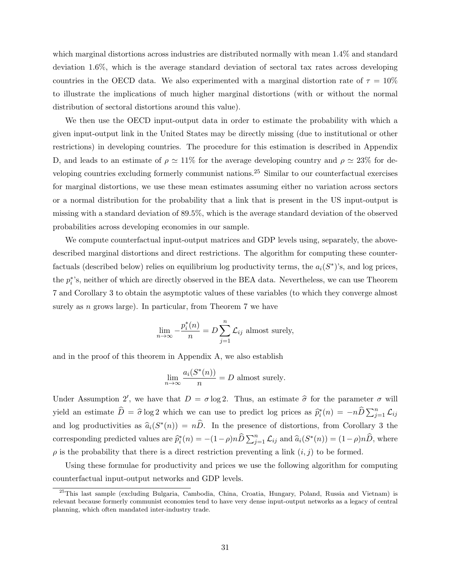which marginal distortions across industries are distributed normally with mean 1.4% and standard deviation 1.6%, which is the average standard deviation of sectoral tax rates across developing countries in the OECD data. We also experimented with a marginal distortion rate of  $\tau = 10\%$ to illustrate the implications of much higher marginal distortions (with or without the normal distribution of sectoral distortions around this value).

We then use the OECD input-output data in order to estimate the probability with which a given input-output link in the United States may be directly missing (due to institutional or other restrictions) in developing countries. The procedure for this estimation is described in Appendix D, and leads to an estimate of  $\rho \simeq 11\%$  for the average developing country and  $\rho \simeq 23\%$  for developing countries excluding formerly communist nations.<sup>25</sup> Similar to our counterfactual exercises for marginal distortions, we use these mean estimates assuming either no variation across sectors or a normal distribution for the probability that a link that is present in the US input-output is missing with a standard deviation of 89.5%, which is the average standard deviation of the observed probabilities across developing economies in our sample.

We compute counterfactual input-output matrices and GDP levels using, separately, the abovedescribed marginal distortions and direct restrictions. The algorithm for computing these counterfactuals (described below) relies on equilibrium log productivity terms, the  $a_i(S^*)$ 's, and log prices, the  $p_i^*$ 's, neither of which are directly observed in the BEA data. Nevertheless, we can use Theorem 7 and Corollary 3 to obtain the asymptotic values of these variables (to which they converge almost surely as n grows large). In particular, from Theorem 7 we have

$$
\lim_{n \to \infty} -\frac{p_i^*(n)}{n} = D \sum_{j=1}^n \mathcal{L}_{ij}
$$
 almost surely,

and in the proof of this theorem in Appendix A, we also establish

$$
\lim_{n \to \infty} \frac{a_i(S^*(n))}{n} = D
$$
 almost surely.

Under Assumption 2', we have that  $D = \sigma \log 2$ . Thus, an estimate  $\hat{\sigma}$  for the parameter  $\sigma$  will yield an estimate  $\hat{D} = \hat{\sigma} \log 2$  which we can use to predict log prices as  $\hat{p}_i^*(n) = -n\hat{D} \sum_{j=1}^n \mathcal{L}_{ij}$ and log productivities as  $\hat{a}_i(S^*(n)) = n\hat{D}$ . In the presence of distortions, from Corollary 3 the corresponding predicted values are  $\hat{p}_i^*(n) = -(1-\rho)n\hat{D}\sum_{j=1}^n \mathcal{L}_{ij}$  and  $\hat{a}_i(S^*(n)) = (1-\rho)n\hat{D}$ , where  $\rho$  is the probability that there is a direct restriction preventing a link  $(i, j)$  to be formed.

Using these formulae for productivity and prices we use the following algorithm for computing counterfactual input-output networks and GDP levels.

<sup>25</sup>This last sample (excluding Bulgaria, Cambodia, China, Croatia, Hungary, Poland, Russia and Vietnam) is relevant because formerly communist economies tend to have very dense input-output networks as a legacy of central planning, which often mandated inter-industry trade.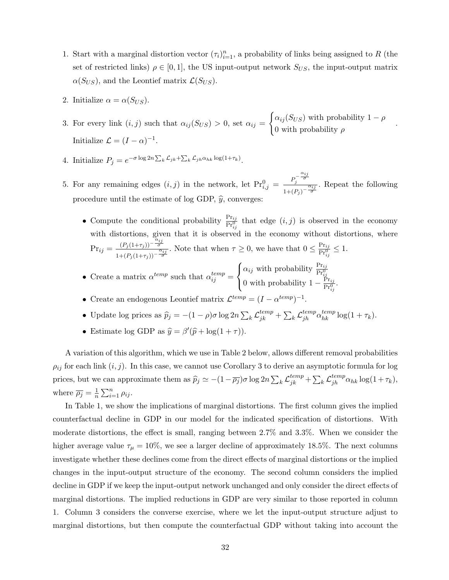- 1. Start with a marginal distortion vector  $(\tau_i)_{i=1}^n$ , a probability of links being assigned to R (the set of restricted links)  $\rho \in [0, 1]$ , the US input-output network  $S_{US}$ , the input-output matrix  $\alpha(S_{US})$ , and the Leontief matrix  $\mathcal{L}(S_{US})$ .
- 2. Initialize  $\alpha = \alpha(S_{US})$ .
- 3. For every link  $(i, j)$  such that  $\alpha_{ij}(S_{US}) > 0$ , set  $\alpha_{ij} =$  $\int \alpha_{ij}(S_{US})$  with probability  $1 - \rho$ 0 with probability  $\rho$ Initialize  $\mathcal{L} = (I - \alpha)^{-1}$ .

.

- 4. Initialize  $P_j = e^{-\sigma \log 2n \sum_k \mathcal{L}_{jk} + \sum_k \mathcal{L}_{jh} \alpha_{hk} \log(1 + \tau_k)}$ .
- 5. For any remaining edges  $(i, j)$  in the network, let  $\Pr_{i,j}^0 = \frac{P_j^{-\frac{\alpha_{ij}}{\sigma}}}{\sum_{i,j} P_i^{-\frac{\alpha_{ij}}{\sigma}}}$  $\frac{1}{1+(P_j )^{-\frac{\alpha_{ij}}{\sigma}}}$ . Repeat the following procedure until the estimate of log GDP,  $\hat{y}$ , converges:
	- Compute the conditional probability  $\frac{\Pr_{ij}}{\Pr_{ij}^0}$  that edge  $(i, j)$  is observed in the economy with distortions, given that it is observed in the economy without distortions, where  $\Pr_{ij} = \frac{(P_j(1+\tau_j))^{-\frac{\alpha_{ij}}{\sigma}}}{\alpha}$  $\frac{(P_j(1+\tau_j))^{-\frac{\alpha}{\sigma}}}{1+(P_j(1+\tau_j))^{-\frac{\alpha_{ij}}{\sigma}}}$ . Note that when  $\tau \geq 0$ , we have that  $0 \leq \frac{\Pr_{ij}}{\Pr_{ij}^0}$  $\frac{\overline{\text{Pr}_{ij}}}{\overline{\text{Pr}_{ij}^0}} \leq 1.$

.

- Create a matrix  $\alpha^{temp}$  such that  $\alpha_{ij}^{temp} =$  $\sqrt{ }$ J  $\mathcal{L}$  $\alpha_{ij}$  with probability  $\frac{\text{Pr}_{ij}}{\text{Pr}_{ij}^0}$ 0 with probability  $1 - \frac{\hat{P}r_{ij}}{P_r}$  $\frac{\Gamma \Gamma_{ij}}{\Pr^0_{ij}}.$
- Create an endogenous Leontief matrix  $\mathcal{L}^{temp} = (I \alpha^{temp})^{-1}$
- Update log prices as  $\hat{p}_j = -(1 \rho)\sigma \log 2n \sum_k \mathcal{L}_{jk}^{temp} + \sum_k \mathcal{L}_{jh}^{temp} \alpha_{hk}^{temp} \log(1 + \tau_k).$
- Estimate log GDP as  $\hat{y} = \beta'(\hat{p} + \log(1 + \tau)).$

A variation of this algorithm, which we use in Table 2 below, allows different removal probabilities  $\rho_{ij}$  for each link  $(i, j)$ . In this case, we cannot use Corollary 3 to derive an asymptotic formula for log prices, but we can approximate them as  $\hat{p}_j \simeq -(1-\overline{\rho_j})\sigma \log 2n \sum_k \mathcal{L}_{jk}^{temp} + \sum_k \mathcal{L}_{jh}^{temp} \alpha_{hk} \log(1+\tau_k),$ where  $\overline{\rho_j} = \frac{1}{n}$  $\frac{1}{n} \sum_{i=1}^{n} \rho_{ij}$ .

In Table 1, we show the implications of marginal distortions. The first column gives the implied counterfactual decline in GDP in our model for the indicated specification of distortions. With moderate distortions, the effect is small, ranging between 2.7% and 3.3%. When we consider the higher average value  $\tau_{\mu} = 10\%$ , we see a larger decline of approximately 18.5%. The next columns investigate whether these declines come from the direct effects of marginal distortions or the implied changes in the input-output structure of the economy. The second column considers the implied decline in GDP if we keep the input-output network unchanged and only consider the direct effects of marginal distortions. The implied reductions in GDP are very similar to those reported in column 1. Column 3 considers the converse exercise, where we let the input-output structure adjust to marginal distortions, but then compute the counterfactual GDP without taking into account the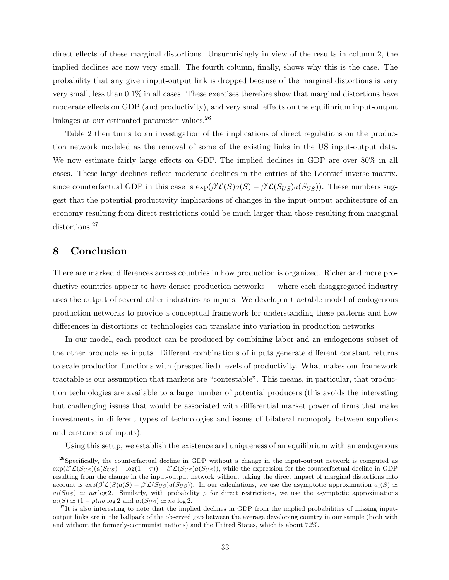direct effects of these marginal distortions. Unsurprisingly in view of the results in column 2, the implied declines are now very small. The fourth column, finally, shows why this is the case. The probability that any given input-output link is dropped because of the marginal distortions is very very small, less than 0.1% in all cases. These exercises therefore show that marginal distortions have moderate effects on GDP (and productivity), and very small effects on the equilibrium input-output linkages at our estimated parameter values.<sup>26</sup>

Table 2 then turns to an investigation of the implications of direct regulations on the production network modeled as the removal of some of the existing links in the US input-output data. We now estimate fairly large effects on GDP. The implied declines in GDP are over 80% in all cases. These large declines reflect moderate declines in the entries of the Leontief inverse matrix, since counterfactual GDP in this case is  $exp(\beta' \mathcal{L}(S)a(S) - \beta' \mathcal{L}(S_{US})a(S_{US}))$ . These numbers suggest that the potential productivity implications of changes in the input-output architecture of an economy resulting from direct restrictions could be much larger than those resulting from marginal distortions.<sup>27</sup>

# 8 Conclusion

There are marked differences across countries in how production is organized. Richer and more productive countries appear to have denser production networks — where each disaggregated industry uses the output of several other industries as inputs. We develop a tractable model of endogenous production networks to provide a conceptual framework for understanding these patterns and how differences in distortions or technologies can translate into variation in production networks.

In our model, each product can be produced by combining labor and an endogenous subset of the other products as inputs. Different combinations of inputs generate different constant returns to scale production functions with (prespecified) levels of productivity. What makes our framework tractable is our assumption that markets are "contestable". This means, in particular, that production technologies are available to a large number of potential producers (this avoids the interesting but challenging issues that would be associated with differential market power of firms that make investments in different types of technologies and issues of bilateral monopoly between suppliers and customers of inputs).

Using this setup, we establish the existence and uniqueness of an equilibrium with an endogenous

<sup>&</sup>lt;sup>26</sup>Specifically, the counterfactual decline in GDP without a change in the input-output network is computed as  $\exp(\beta' \mathcal{L}(S_{US})(a(S_{US}) + \log(1+\tau)) - \beta' \mathcal{L}(S_{US})a(S_{US}))$ , while the expression for the counterfactual decline in GDP resulting from the change in the input-output network without taking the direct impact of marginal distortions into account is  $\exp(\beta' \mathcal{L}(S) a(S) - \beta' \mathcal{L}(S_{US}) a(S_{US}))$ . In our calculations, we use the asymptotic approximation  $a_i(S) \simeq$  $a_i(S_{US}) \simeq n\sigma \log 2$ . Similarly, with probability  $\rho$  for direct restrictions, we use the asymptotic approximations  $a_i(S) \simeq (1 - \rho)n\sigma \log 2$  and  $a_i(S_{US}) \simeq n\sigma \log 2$ .

 $27$ It is also interesting to note that the implied declines in GDP from the implied probabilities of missing inputoutput links are in the ballpark of the observed gap between the average developing country in our sample (both with and without the formerly-communist nations) and the United States, which is about 72%.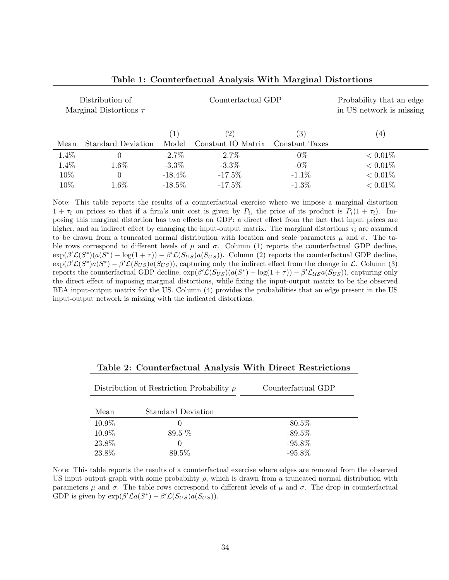| Distribution of<br>Marginal Distortions $\tau$ |                    | Counterfactual GDP |                                                        |                   | Probability that an edge<br>in US network is missing |
|------------------------------------------------|--------------------|--------------------|--------------------------------------------------------|-------------------|------------------------------------------------------|
| Mean                                           | Standard Deviation | Model              | $\left( 2\right)$<br>Constant IO Matrix Constant Taxes | $\left( 3\right)$ | (4)                                                  |
| $1.4\%$                                        | 0                  | $-2.7\%$           | $-2.7\%$                                               | $-0\%$            | $< 0.01\%$                                           |
| 1.4%                                           | $1.6\%$            | $-3.3\%$           | $-3.3\%$                                               | $-0\%$            | $< 0.01\%$                                           |
| 10%                                            | $\theta$           | $-18.4\%$          | $-17.5\%$                                              | $-1.1\%$          | $< 0.01\%$                                           |
| 10%                                            | $1.6\%$            | $-18.5\%$          | $-17.5\%$                                              | $-1.3\%$          | $< 0.01\%$                                           |

| Table 1: Counterfactual Analysis With Marginal Distortions |  |  |
|------------------------------------------------------------|--|--|
|                                                            |  |  |

Note: This table reports the results of a counterfactual exercise where we impose a marginal distortion  $1 + \tau_i$  on prices so that if a firm's unit cost is given by  $P_i$ , the price of its product is  $P_i(1 + \tau_i)$ . Imposing this marginal distortion has two effects on GDP: a direct effect from the fact that input prices are higher, and an indirect effect by changing the input-output matrix. The marginal distortions  $\tau_i$  are assumed to be drawn from a truncated normal distribution with location and scale parameters  $\mu$  and  $\sigma$ . The table rows correspond to different levels of  $\mu$  and  $\sigma$ . Column (1) reports the counterfactual GDP decline,  $\exp(\beta' \mathcal{L}(S^*)(a(S^*) - \log(1+\tau)) - \beta' \mathcal{L}(S_{US})a(S_{US}))$ . Column (2) reports the counterfactual GDP decline,  $\exp(\beta' \mathcal{L}(S^*) a(S^*) - \beta' \mathcal{L}(S_{US}) a(S_{US}))$ , capturing only the indirect effect from the change in  $\mathcal{L}$ . Column (3) reports the counterfactual GDP decline,  $\exp(\beta' \mathcal{L}(S_{US})(a(S^*) - \log(1+\tau)) - \beta' \mathcal{L}_{US}a(S_{US}))$ , capturing only the direct effect of imposing marginal distortions, while fixing the input-output matrix to be the observed BEA input-output matrix for the US. Column (4) provides the probabilities that an edge present in the US input-output network is missing with the indicated distortions.

|          | Distribution of Restriction Probability $\rho$ | Counterfactual GDP |  |  |
|----------|------------------------------------------------|--------------------|--|--|
| Mean     | Standard Deviation                             |                    |  |  |
| $10.9\%$ |                                                | $-80.5\%$          |  |  |
| 10.9%    | $89.5\%$                                       | $-89.5\%$          |  |  |
| 23.8%    |                                                | $-95.8\%$          |  |  |
| 23.8%    | 89.5%                                          | $-95.8\%$          |  |  |

### Table 2: Counterfactual Analysis With Direct Restrictions

Note: This table reports the results of a counterfactual exercise where edges are removed from the observed US input output graph with some probability  $\rho$ , which is drawn from a truncated normal distribution with parameters  $\mu$  and  $\sigma$ . The table rows correspond to different levels of  $\mu$  and  $\sigma$ . The drop in counterfactual GDP is given by  $\exp(\beta' \mathcal{L}a(S^*) - \beta' \mathcal{L}(S_{US})a(S_{US}))$ .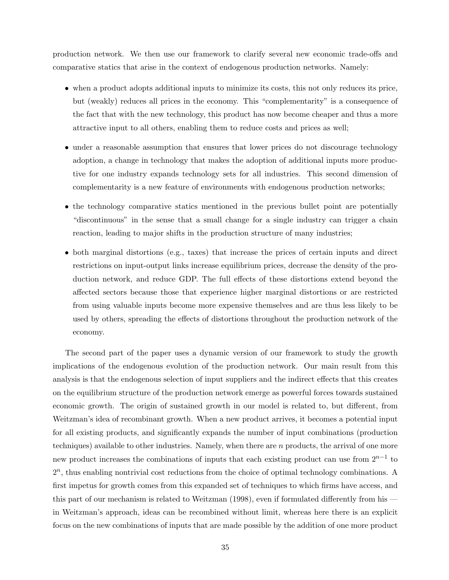production network. We then use our framework to clarify several new economic trade-offs and comparative statics that arise in the context of endogenous production networks. Namely:

- when a product adopts additional inputs to minimize its costs, this not only reduces its price, but (weakly) reduces all prices in the economy. This "complementarity" is a consequence of the fact that with the new technology, this product has now become cheaper and thus a more attractive input to all others, enabling them to reduce costs and prices as well;
- under a reasonable assumption that ensures that lower prices do not discourage technology adoption, a change in technology that makes the adoption of additional inputs more productive for one industry expands technology sets for all industries. This second dimension of complementarity is a new feature of environments with endogenous production networks;
- the technology comparative statics mentioned in the previous bullet point are potentially "discontinuous" in the sense that a small change for a single industry can trigger a chain reaction, leading to major shifts in the production structure of many industries;
- both marginal distortions (e.g., taxes) that increase the prices of certain inputs and direct restrictions on input-output links increase equilibrium prices, decrease the density of the production network, and reduce GDP. The full effects of these distortions extend beyond the affected sectors because those that experience higher marginal distortions or are restricted from using valuable inputs become more expensive themselves and are thus less likely to be used by others, spreading the effects of distortions throughout the production network of the economy.

The second part of the paper uses a dynamic version of our framework to study the growth implications of the endogenous evolution of the production network. Our main result from this analysis is that the endogenous selection of input suppliers and the indirect effects that this creates on the equilibrium structure of the production network emerge as powerful forces towards sustained economic growth. The origin of sustained growth in our model is related to, but different, from Weitzman's idea of recombinant growth. When a new product arrives, it becomes a potential input for all existing products, and significantly expands the number of input combinations (production techniques) available to other industries. Namely, when there are n products, the arrival of one more new product increases the combinations of inputs that each existing product can use from  $2^{n-1}$  to  $2<sup>n</sup>$ , thus enabling nontrivial cost reductions from the choice of optimal technology combinations. A first impetus for growth comes from this expanded set of techniques to which firms have access, and this part of our mechanism is related to Weitzman (1998), even if formulated differently from his in Weitzman's approach, ideas can be recombined without limit, whereas here there is an explicit focus on the new combinations of inputs that are made possible by the addition of one more product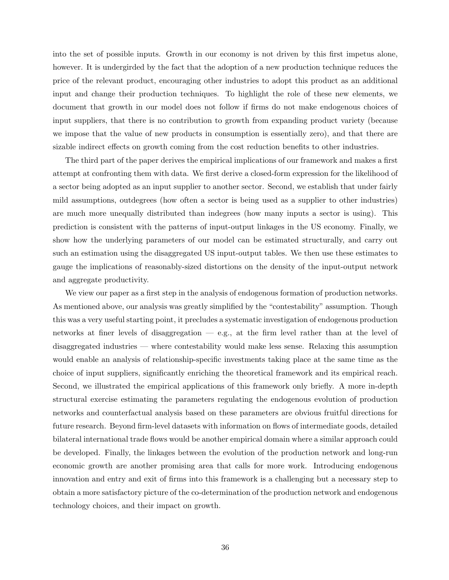into the set of possible inputs. Growth in our economy is not driven by this first impetus alone, however. It is undergirded by the fact that the adoption of a new production technique reduces the price of the relevant product, encouraging other industries to adopt this product as an additional input and change their production techniques. To highlight the role of these new elements, we document that growth in our model does not follow if firms do not make endogenous choices of input suppliers, that there is no contribution to growth from expanding product variety (because we impose that the value of new products in consumption is essentially zero), and that there are sizable indirect effects on growth coming from the cost reduction benefits to other industries.

The third part of the paper derives the empirical implications of our framework and makes a first attempt at confronting them with data. We first derive a closed-form expression for the likelihood of a sector being adopted as an input supplier to another sector. Second, we establish that under fairly mild assumptions, outdegrees (how often a sector is being used as a supplier to other industries) are much more unequally distributed than indegrees (how many inputs a sector is using). This prediction is consistent with the patterns of input-output linkages in the US economy. Finally, we show how the underlying parameters of our model can be estimated structurally, and carry out such an estimation using the disaggregated US input-output tables. We then use these estimates to gauge the implications of reasonably-sized distortions on the density of the input-output network and aggregate productivity.

We view our paper as a first step in the analysis of endogenous formation of production networks. As mentioned above, our analysis was greatly simplified by the "contestability" assumption. Though this was a very useful starting point, it precludes a systematic investigation of endogenous production networks at finer levels of disaggregation — e.g., at the firm level rather than at the level of disaggregated industries — where contestability would make less sense. Relaxing this assumption would enable an analysis of relationship-specific investments taking place at the same time as the choice of input suppliers, significantly enriching the theoretical framework and its empirical reach. Second, we illustrated the empirical applications of this framework only briefly. A more in-depth structural exercise estimating the parameters regulating the endogenous evolution of production networks and counterfactual analysis based on these parameters are obvious fruitful directions for future research. Beyond firm-level datasets with information on flows of intermediate goods, detailed bilateral international trade flows would be another empirical domain where a similar approach could be developed. Finally, the linkages between the evolution of the production network and long-run economic growth are another promising area that calls for more work. Introducing endogenous innovation and entry and exit of firms into this framework is a challenging but a necessary step to obtain a more satisfactory picture of the co-determination of the production network and endogenous technology choices, and their impact on growth.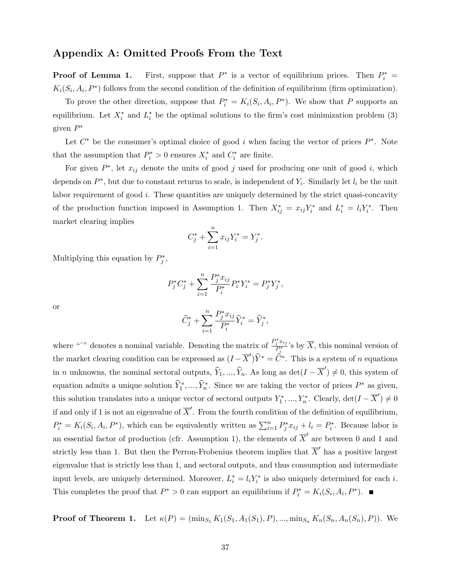# Appendix A: Omitted Proofs From the Text

**Proof of Lemma 1.** First, suppose that  $P^*$  is a vector of equilibrium prices. Then  $P_i^* =$  $K_i(S_i, A_i, P^*)$  follows from the second condition of the definition of equilibrium (firm optimization).

To prove the other direction, suppose that  $P_i^* = K_i(S_i, A_i, P^*)$ . We show that P supports an equilibrium. Let  $X_i^*$  and  $L_i^*$  be the optimal solutions to the firm's cost minimization problem (3) given  $P^*$ 

Let  $C^*$  be the consumer's optimal choice of good i when facing the vector of prices  $P^*$ . Note that the assumption that  $P_i^* > 0$  ensures  $X_i^*$  and  $C_i^*$  are finite.

For given  $P^*$ , let  $x_{ij}$  denote the units of good j used for producing one unit of good i, which depends on  $P^*$ , but due to constant returns to scale, is independent of  $Y_i$ . Similarly let  $l_i$  be the unit labor requirement of good  $i$ . These quantities are uniquely determined by the strict quasi-concavity of the production function imposed in Assumption 1. Then  $X_{ij}^* = x_{ij} Y_i^*$  and  $L_i^* = l_i Y_i^*$ . Then market clearing implies

$$
C_j^* + \sum_{i=1}^n x_{ij} Y_i^* = Y_j^*.
$$

Multiplying this equation by  $P_j^*$ ,

$$
P_j^* C_j^* + \sum_{i=1}^n \frac{P_j^* x_{ij}}{P_i^*} P_i^* Y_i^* = P_j^* Y_j^*,
$$

or

$$
\widehat{C}_j^* + \sum_{i=1}^n \frac{P_j^*x_{ij}}{P_i^*} \widehat{Y}_i^* = \widehat{Y}_j^*,
$$

where "<sup>o</sup>" denotes a nominal variable. Denoting the matrix of  $\frac{P_j^* x_{ij}}{P_j^*}$  $\frac{j^{x_i}j^{x_i}}{P_i^*}$ 's by X, this nominal version of the market clearing condition can be expressed as  $(I - \overline{X}')\widehat{Y}^* = \widehat{C}^*$ . This is a system of n equations in *n* unknowns, the nominal sectoral outputs,  $\widehat{Y}_1, ..., \widehat{Y}_n$ . As long as  $\det(I - \overline{X}') \neq 0$ , this system of equation admits a unique solution  $\hat{Y}_1^*,...,\hat{Y}_n^*$ . Since we are taking the vector of prices  $P^*$  as given, this solution translates into a unique vector of sectoral outputs  $Y_1^*,..., Y_n^*$ . Clearly,  $\det(I - \overline{X}') \neq 0$ if and only if 1 is not an eigenvalue of  $\overline{X}'$ . From the fourth condition of the definition of equilibrium,  $P_i^* = K_i(S_i, A_i, P^*)$ , which can be equivalently written as  $\sum_{i=1}^n P_j^* x_{ij} + l_i = P_i^*$ . Because labor is an essential factor of production (cfr. Assumption 1), the elements of  $\overline{X}'$  are between 0 and 1 and strictly less than 1. But then the Perron-Frobenius theorem implies that  $\overline{X}'$  has a positive largest eigenvalue that is strictly less than 1, and sectoral outputs, and thus consumption and intermediate input levels, are uniquely determined. Moreover,  $L_i^* = l_i Y_i^*$  is also uniquely determined for each *i*. This completes the proof that  $P^* > 0$  can support an equilibrium if  $P_i^* = K_i(S_i, A_i, P^*)$ .

**Proof of Theorem 1.** Let  $\kappa(P) = (\min_{S_1} K_1(S_1, A_1(S_1), P), ..., \min_{S_n} K_n(S_n, A_n(S_n), P)).$  We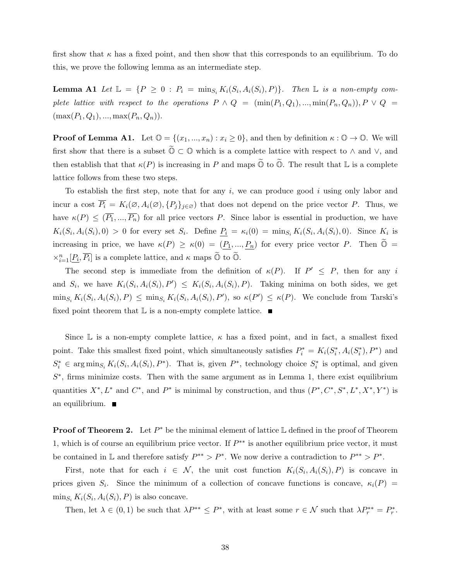first show that  $\kappa$  has a fixed point, and then show that this corresponds to an equilibrium. To do this, we prove the following lemma as an intermediate step.

**Lemma A1** Let  $\mathbb{L} = \{P \geq 0 : P_i = \min_{S_i} K_i(S_i, A_i(S_i), P)\}$ . Then  $\mathbb{L}$  is a non-empty complete lattice with respect to the operations  $P \wedge Q = (\min(P_1, Q_1), ..., \min(P_n, Q_n)), P \vee Q =$  $(\max(P_1, Q_1), ..., \max(P_n, Q_n)).$ 

**Proof of Lemma A1.** Let  $\mathbb{O} = \{(x_1, ..., x_n) : x_i \geq 0\}$ , and then by definition  $\kappa : \mathbb{O} \to \mathbb{O}$ . We will first show that there is a subset  $\tilde{\mathbb{O}} \subset \mathbb{O}$  which is a complete lattice with respect to  $\wedge$  and  $\vee$ , and then establish that that  $\kappa(P)$  is increasing in P and maps  $\widetilde{\mathbb{O}}$  to  $\widetilde{\mathbb{O}}$ . The result that  $\mathbb{L}$  is a complete lattice follows from these two steps.

To establish the first step, note that for any  $i$ , we can produce good  $i$  using only labor and incur a cost  $\overline{P_i} = K_i(\emptyset, A_i(\emptyset), \{P_j\}_{j \in \emptyset})$  that does not depend on the price vector P. Thus, we have  $\kappa(P) \leq (\overline{P_1}, ..., \overline{P_n})$  for all price vectors P. Since labor is essential in production, we have  $K_i(S_i, A_i(S_i), 0) > 0$  for every set  $S_i$ . Define  $\underline{P_i} = \kappa_i(0) = \min_{S_i} K_i(S_i, A_i(S_i), 0)$ . Since  $K_i$  is increasing in price, we have  $\kappa(P) \geq \kappa(0) = (P_1, ..., P_n)$  for every price vector P. Then  $\tilde{\mathbb{O}}$  =  $\times_{i=1}^n[\underline{P_i}, \overline{P_i}]$  is a complete lattice, and  $\kappa$  maps  $\widetilde{\mathbb{O}}$  to  $\widetilde{\mathbb{O}}$ .

The second step is immediate from the definition of  $\kappa(P)$ . If  $P' \leq P$ , then for any i and  $S_i$ , we have  $K_i(S_i, A_i(S_i), P') \leq K_i(S_i, A_i(S_i), P)$ . Taking minima on both sides, we get  $\min_{S_i} K_i(S_i, A_i(S_i), P) \leq \min_{S_i} K_i(S_i, A_i(S_i), P')$ , so  $\kappa(P') \leq \kappa(P)$ . We conclude from Tarski's fixed point theorem that  $\mathbb L$  is a non-empty complete lattice.  $\blacksquare$ 

Since L is a non-empty complete lattice,  $\kappa$  has a fixed point, and in fact, a smallest fixed point. Take this smallest fixed point, which simultaneously satisfies  $P_i^* = K_i(S_i^*, A_i(S_i^*), P^*)$  and  $S_i^* \in \arg\min_{S_i} K_i(S_i, A_i(S_i), P^*)$ . That is, given  $P^*$ , technology choice  $S_i^*$  is optimal, and given  $S^*$ , firms minimize costs. Then with the same argument as in Lemma 1, there exist equilibrium quantities  $X^*, L^*$  and  $C^*$ , and  $P^*$  is minimal by construction, and thus  $(P^*, C^*, S^*, L^*, X^*, Y^*)$  is an equilibrium.

**Proof of Theorem 2.** Let  $P^*$  be the minimal element of lattice  $\mathbb{L}$  defined in the proof of Theorem 1, which is of course an equilibrium price vector. If  $P^{**}$  is another equilibrium price vector, it must be contained in L and therefore satisfy  $P^{**} > P^*$ . We now derive a contradiction to  $P^{**} > P^*$ .

First, note that for each  $i \in \mathcal{N}$ , the unit cost function  $K_i(S_i, A_i(S_i), P)$  is concave in prices given  $S_i$ . Since the minimum of a collection of concave functions is concave,  $\kappa_i(P)$  =  $\min_{S_i} K_i(S_i, A_i(S_i), P)$  is also concave.

Then, let  $\lambda \in (0,1)$  be such that  $\lambda P^{**} \leq P^*$ , with at least some  $r \in \mathcal{N}$  such that  $\lambda P_r^{**} = P_r^*$ .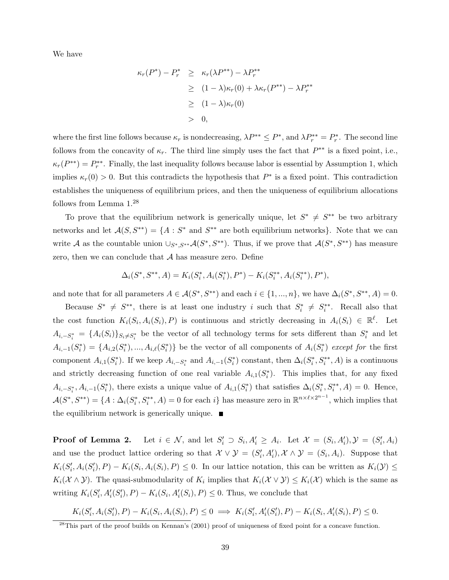We have

$$
\kappa_r(P^*) - P_r^* \ge \kappa_r(\lambda P^{**}) - \lambda P_r^{**}
$$
  
\n
$$
\ge (1 - \lambda)\kappa_r(0) + \lambda \kappa_r(P^{**}) - \lambda P_r^{**}
$$
  
\n
$$
\ge (1 - \lambda)\kappa_r(0)
$$
  
\n
$$
> 0,
$$

where the first line follows because  $\kappa_r$  is nondecreasing,  $\lambda P^{**} \leq P^*$ , and  $\lambda P_r^{**} = P_r^*$ . The second line follows from the concavity of  $\kappa_r$ . The third line simply uses the fact that  $P^{**}$  is a fixed point, i.e.,  $\kappa_r(P^{**}) = P_r^{**}$ . Finally, the last inequality follows because labor is essential by Assumption 1, which implies  $\kappa_r(0) > 0$ . But this contradicts the hypothesis that  $P^*$  is a fixed point. This contradiction establishes the uniqueness of equilibrium prices, and then the uniqueness of equilibrium allocations follows from Lemma 1.<sup>28</sup>

To prove that the equilibrium network is generically unique, let  $S^* \neq S^{**}$  be two arbitrary networks and let  $\mathcal{A}(S, S^{**}) = \{A : S^* \text{ and } S^{**} \text{ are both equilibrium networks}\}.$  Note that we can write A as the countable union  $\cup_{S^*,S^{**}}\mathcal{A}(S^*,S^{**})$ . Thus, if we prove that  $\mathcal{A}(S^*,S^{**})$  has measure zero, then we can conclude that  $A$  has measure zero. Define

$$
\Delta_i(S^*, S^{**}, A) = K_i(S_i^*, A_i(S_i^*), P^*) - K_i(S_i^{**}, A_i(S_i^{**}), P^*),
$$

and note that for all parameters  $A \in \mathcal{A}(S^*, S^{**})$  and each  $i \in \{1, ..., n\}$ , we have  $\Delta_i(S^*, S^{**}, A) = 0$ .

Because  $S^* \neq S^{**}$ , there is at least one industry i such that  $S_i^* \neq S_i^{**}$ . Recall also that the cost function  $K_i(S_i, A_i(S_i), P)$  is continuous and strictly decreasing in  $A_i(S_i) \in \mathbb{R}^{\ell}$ . Let  $A_{i,-S_i^*} = \{A_i(S_i)\}_{S_i \neq S_i^*}$  be the vector of all technology terms for sets different than  $S_i^*$  and let  $A_{i,-1}(S_i^*) = \{A_{i,2}(S_i^*),...,A_{i,\ell}(S_i^*)\}$  be the vector of all components of  $A_i(S_i^*)$  except for the first component  $A_{i,1}(S_i^*)$ . If we keep  $A_{i,-S_i^*}$  and  $A_{i,-1}(S_i^*)$  constant, then  $\Delta_i(S_i^*,S_i^{**},A)$  is a continuous and strictly decreasing function of one real variable  $A_{i,1}(S_i^*)$ . This implies that, for any fixed  $A_{i,-S_i^*}, A_{i,-1}(S_i^*)$ , there exists a unique value of  $A_{i,1}(S_i^*)$  that satisfies  $\Delta_i(S_i^*, S_i^{**}, A) = 0$ . Hence,  $\mathcal{A}(S^*, S^{**}) = \{A : \Delta_i(S_i^*, S_i^{**}, A) = 0 \text{ for each } i\}$  has measure zero in  $\mathbb{R}^{n \times \ell \times 2^{n-1}}$ , which implies that the equilibrium network is generically unique.  $\blacksquare$ 

**Proof of Lemma 2.** Let  $i \in \mathcal{N}$ , and let  $S_i' \supset S_i, A_i' \geq A_i$ . Let  $\mathcal{X} = (S_i, A_i'), \mathcal{Y} = (S_i', A_i)$ and use the product lattice ordering so that  $\mathcal{X} \vee \mathcal{Y} = (S_i', A_i'), \mathcal{X} \wedge \mathcal{Y} = (S_i, A_i).$  Suppose that  $K_i(S'_i, A_i(S'_i), P) - K_i(S_i, A_i(S_i), P) \leq 0$ . In our lattice notation, this can be written as  $K_i(\mathcal{Y}) \leq$  $K_i(\mathcal{X} \wedge \mathcal{Y})$ . The quasi-submodularity of  $K_i$  implies that  $K_i(\mathcal{X} \vee \mathcal{Y}) \leq K_i(\mathcal{X})$  which is the same as writing  $K_i(S'_i, A'_i(S'_i), P) - K_i(S_i, A'_i(S_i), P) \leq 0$ . Thus, we conclude that

$$
K_i(S'_i, A_i(S'_i), P) - K_i(S_i, A_i(S_i), P) \le 0 \implies K_i(S'_i, A'_i(S'_i), P) - K_i(S_i, A'_i(S_i), P) \le 0.
$$

 $^{28}$ This part of the proof builds on Kennan's (2001) proof of uniqueness of fixed point for a concave function.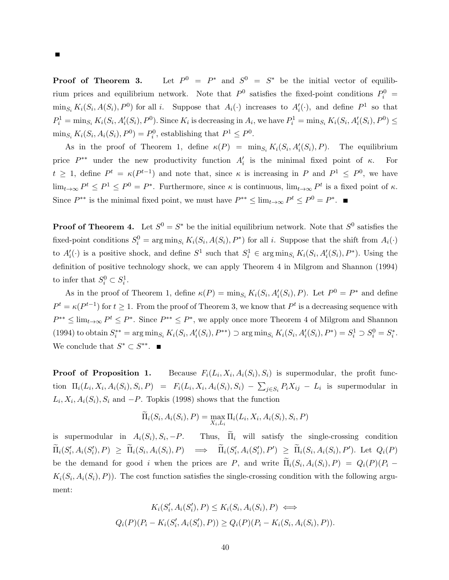Proof of Theorem 3.  $0 = P^*$  and  $S^0 = S^*$  be the initial vector of equilibrium prices and equilibrium network. Note that  $P^0$  satisfies the fixed-point conditions  $P_i^0$  =  $\min_{S_i} K_i(S_i, A(S_i), P^0)$  for all i. Suppose that  $A_i(\cdot)$  increases to  $A'_i(\cdot)$ , and define  $P^1$  so that  $P_i^1 = \min_{S_i} K_i(S_i, A'_i(S_i), P^0)$ . Since  $K_i$  is decreasing in  $A_i$ , we have  $P_i^1 = \min_{S_i} K_i(S_i, A'_i(S_i), P^0) \le$  $\min_{S_i} K_i(S_i, A_i(S_i), P^0) = P_i^0$ , establishing that  $P^1 \le P^0$ .

As in the proof of Theorem 1, define  $\kappa(P) = \min_{S_i} K_i(S_i, A'_i(S_i), P)$ . The equilibrium price  $P^{**}$  under the new productivity function  $A'_i$  is the minimal fixed point of  $\kappa$ . For  $t \geq 1$ , define  $P^t = \kappa(P^{t-1})$  and note that, since  $\kappa$  is increasing in P and  $P^1 \leq P^0$ , we have  $\lim_{t\to\infty} P^t \leq P^1 \leq P^0 = P^*$ . Furthermore, since  $\kappa$  is continuous,  $\lim_{t\to\infty} P^t$  is a fixed point of  $\kappa$ . Since  $P^{**}$  is the minimal fixed point, we must have  $P^{**} \leq \lim_{t \to \infty} P^t \leq P^0 = P^*$ .

**Proof of Theorem 4.** Let  $S^0 = S^*$  be the initial equilibrium network. Note that  $S^0$  satisfies the fixed-point conditions  $S_i^0 = \arg \min_{S_i} K_i(S_i, A(S_i), P^*)$  for all i. Suppose that the shift from  $A_i(\cdot)$ to  $A_i'(\cdot)$  is a positive shock, and define  $S^1$  such that  $S_i^1 \in \arg \min_{S_i} K_i(S_i, A_i'(S_i), P^*)$ . Using the definition of positive technology shock, we can apply Theorem 4 in Milgrom and Shannon (1994) to infer that  $S_i^0 \subset S_i^1$ .

As in the proof of Theorem 1, define  $\kappa(P) = \min_{S_i} K_i(S_i, A'_i(S_i), P)$ . Let  $P^0 = P^*$  and define  $P^t = \kappa(P^{t-1})$  for  $t \geq 1$ . From the proof of Theorem 3, we know that  $P^t$  is a decreasing sequence with  $P^{**} \leq \lim_{t \to \infty} P^t \leq P^*$ . Since  $P^{**} \leq P^*$ , we apply once more Theorem 4 of Milgrom and Shannon (1994) to obtain  $S_i^{**} = \arg \min_{S_i} K_i(S_i, A'_i(S_i), P^{**}) \supset \arg \min_{S_i} K_i(S_i, A'_i(S_i), P^*) = S_i^1 \supset S_i^0 = S_i^*$ . We conclude that  $S^* \subset S^{**}$ .

Proof of Proposition 1.  $, X_i, A_i(S_i), S_i)$  is supermodular, the profit function  $\Pi_i(L_i, X_i, A_i(S_i), S_i, P) = F_i(L_i, X_i, A_i(S_i), S_i) - \sum_{j \in S_i} P_i X_{ij} - L_i$  is supermodular in  $L_i, X_i, A_i(S_i), S_i$  and  $-P$ . Topkis (1998) shows that the function

$$
\Pi_i(S_i, A_i(S_i), P) = \max_{X_i, L_i} \Pi_i(L_i, X_i, A_i(S_i), S_i, P)
$$

is supermodular in  $A_i(S_i), S_i, -P$ . Thus,  $\Pi_i$  will satisfy the single-crossing condition  $\widetilde{\Pi}_i(S'_i, A_i(S'_i), P) \geq \widetilde{\Pi}_i(S_i, A_i(S_i), P) \implies \widetilde{\Pi}_i(S'_i, A_i(S'_i), P') \geq \widetilde{\Pi}_i(S_i, A_i(S_i), P')$ . Let  $Q_i(P)$ be the demand for good *i* when the prices are P, and write  $\Pi_i(S_i, A_i(S_i), P) = Q_i(P)(P_i - P_i)$  $K_i(S_i, A_i(S_i), P)$ . The cost function satisfies the single-crossing condition with the following argument:

$$
K_i(S'_i, A_i(S'_i), P) \le K_i(S_i, A_i(S_i), P) \iff
$$
  

$$
Q_i(P)(P_i - K_i(S'_i, A_i(S'_i), P)) \ge Q_i(P)(P_i - K_i(S_i, A_i(S_i), P)).
$$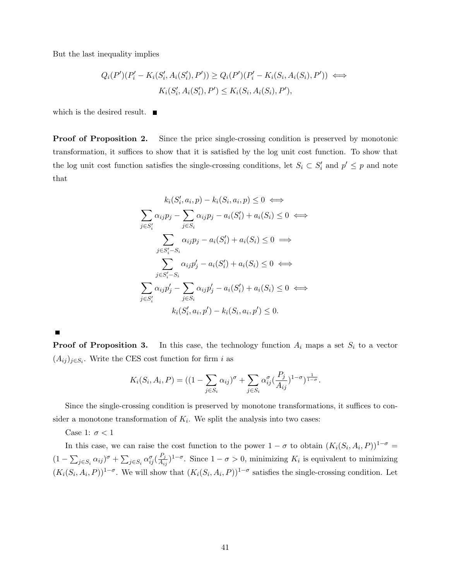But the last inequality implies

$$
Q_i(P')(P'_i - K_i(S'_i, A_i(S'_i), P')) \ge Q_i(P')(P'_i - K_i(S_i, A_i(S_i), P')) \iff K_i(S'_i, A_i(S'_i), P') \le K_i(S_i, A_i(S_i), P'),
$$

which is the desired result.  $\blacksquare$ 

**Proof of Proposition 2.** Since the price single-crossing condition is preserved by monotonic transformation, it suffices to show that it is satisfied by the log unit cost function. To show that the log unit cost function satisfies the single-crossing conditions, let  $S_i \subset S'_i$  and  $p' \leq p$  and note that

$$
k_i(S'_i, a_i, p) - k_i(S_i, a_i, p) \le 0 \iff
$$
  

$$
\sum_{j \in S'_i} \alpha_{ij} p_j - \sum_{j \in S_i} \alpha_{ij} p_j - a_i(S'_i) + a_i(S_i) \le 0 \iff
$$
  

$$
\sum_{j \in S'_i - S_i} \alpha_{ij} p_j - a_i(S'_i) + a_i(S_i) \le 0 \implies
$$
  

$$
\sum_{j \in S'_i - S_i} \alpha_{ij} p'_j - a_i(S'_i) + a_i(S_i) \le 0 \iff
$$
  

$$
\sum_{j \in S'_i} \alpha_{ij} p'_j - \sum_{j \in S_i} \alpha_{ij} p'_j - a_i(S'_i) + a_i(S_i) \le 0 \iff
$$
  

$$
k_i(S'_i, a_i, p') - k_i(S_i, a_i, p') \le 0.
$$

**Proof of Proposition 3.** In this case, the technology function  $A_i$  maps a set  $S_i$  to a vector  $(A_{ij})_{j\in S_i}$ . Write the CES cost function for firm i as

$$
K_i(S_i, A_i, P) = ((1 - \sum_{j \in S_i} \alpha_{ij})^{\sigma} + \sum_{j \in S_i} \alpha_{ij}^{\sigma} (\frac{P_j}{A_{ij}})^{1 - \sigma})^{\frac{1}{1 - \sigma}}.
$$

Since the single-crossing condition is preserved by monotone transformations, it suffices to consider a monotone transformation of  $K_i$ . We split the analysis into two cases:

Case 1:  $\sigma$  < 1

In this case, we can raise the cost function to the power  $1 - \sigma$  to obtain  $(K_i(S_i, A_i, P))^{1-\sigma} =$  $(1-\sum_{j\in S_i}\alpha_{ij})^{\sigma}+\sum_{j\in S_i}\alpha_{ij}^{\sigma}(\frac{P_j}{A_i})$  $\frac{P_j}{A_{ij}}$ )<sup>1- $\sigma$ </sup>. Since 1 −  $\sigma > 0$ , minimizing  $K_i$  is equivalent to minimizing  $(K_i(S_i, A_i, P))^{1-\sigma}$ . We will show that  $(K_i(S_i, A_i, P))^{1-\sigma}$  satisfies the single-crossing condition. Let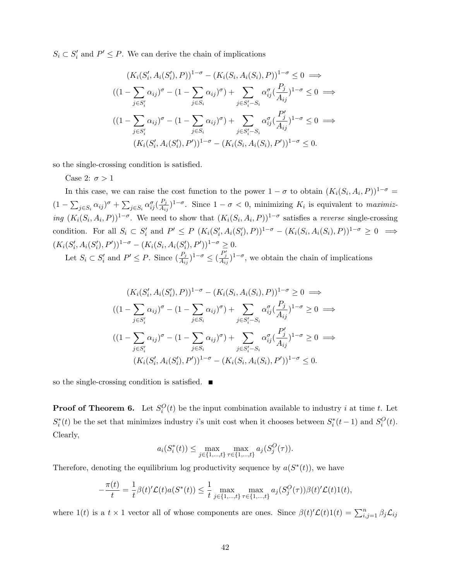$S_i \subset S'_i$  and  $P' \leq P$ . We can derive the chain of implications

$$
(K_i(S'_i, A_i(S'_i), P))^{1-\sigma} - (K_i(S_i, A_i(S_i), P))^{1-\sigma} \le 0 \implies
$$
  

$$
((1 - \sum_{j \in S'_i} \alpha_{ij})^{\sigma} - (1 - \sum_{j \in S_i} \alpha_{ij})^{\sigma}) + \sum_{j \in S'_i - S_i} \alpha_{ij}^{\sigma} (\frac{P_j}{A_{ij}})^{1-\sigma} \le 0 \implies
$$
  

$$
((1 - \sum_{j \in S'_i} \alpha_{ij})^{\sigma} - (1 - \sum_{j \in S_i} \alpha_{ij})^{\sigma}) + \sum_{j \in S'_i - S_i} \alpha_{ij}^{\sigma} (\frac{P'_j}{A_{ij}})^{1-\sigma} \le 0 \implies
$$
  

$$
(K_i(S'_i, A_i(S'_i), P'))^{1-\sigma} - (K_i(S_i, A_i(S_i), P'))^{1-\sigma} \le 0.
$$

so the single-crossing condition is satisfied.

Case 2:  $\sigma > 1$ 

In this case, we can raise the cost function to the power  $1 - \sigma$  to obtain  $(K_i(S_i, A_i, P))^{1-\sigma} =$  $(1-\sum_{j\in S_i}\alpha_{ij})^{\sigma}+\sum_{j\in S_i}\alpha_{ij}^{\sigma}(\frac{P_j}{A_i})$  $\frac{P_j}{A_{ij}}$ )<sup>1- $\sigma$ </sup>. Since 1 −  $\sigma$  < 0, minimizing  $K_i$  is equivalent to *maximiz*ing  $(K_i(S_i, A_i, P))^{1-\sigma}$ . We need to show that  $(K_i(S_i, A_i, P))^{1-\sigma}$  satisfies a reverse single-crossing condition. For all  $S_i \subset S'_i$  and  $P' \subseteq P$   $(K_i(S'_i, A_i(S'_i), P))^{1-\sigma} - (K_i(S_i, A_i(S_i), P))^{1-\sigma} \geq 0 \implies$  $(K_i(S'_i, A_i(S'_i), P'))^{1-\sigma} - (K_i(S_i, A_i(S'_i), P'))^{1-\sigma} \geq 0.$ 

Let  $S_i \subset S'_i$  and  $P' \leq P$ . Since  $(\frac{P_j}{A_{ij}})^{1-\sigma} \leq (\frac{P'_j}{A_{ij}})^{1-\sigma}$ , we obtain the chain of implications

$$
(K_i(S'_i, A_i(S'_i), P))^{1-\sigma} - (K_i(S_i, A_i(S_i), P))^{1-\sigma} \ge 0 \implies
$$
  

$$
((1 - \sum_{j \in S'_i} \alpha_{ij})^{\sigma} - (1 - \sum_{j \in S_i} \alpha_{ij})^{\sigma}) + \sum_{j \in S'_i - S_i} \alpha_{ij}^{\sigma} (\frac{P_j}{A_{ij}})^{1-\sigma} \ge 0 \implies
$$
  

$$
((1 - \sum_{j \in S'_i} \alpha_{ij})^{\sigma} - (1 - \sum_{j \in S_i} \alpha_{ij})^{\sigma}) + \sum_{j \in S'_i - S_i} \alpha_{ij}^{\sigma} (\frac{P'_j}{A_{ij}})^{1-\sigma} \ge 0 \implies
$$
  

$$
(K_i(S'_i, A_i(S'_i), P'))^{1-\sigma} - (K_i(S_i, A_i(S_i), P'))^{1-\sigma} \le 0.
$$

so the single-crossing condition is satisfied.

**Proof of Theorem 6.** Let  $S_i^O(t)$  be the input combination available to industry i at time t. Let  $S_i^*(t)$  be the set that minimizes industry *i*'s unit cost when it chooses between  $S_i^*(t-1)$  and  $S_i^O(t)$ . Clearly,

$$
a_i(S_i^*(t)) \le \max_{j \in \{1,\dots,t\}} \max_{\tau \in \{1,\dots,t\}} a_j(S_j^O(\tau)).
$$

Therefore, denoting the equilibrium log productivity sequence by  $a(S^*(t))$ , we have

$$
-\frac{\pi(t)}{t} = \frac{1}{t}\beta(t)'\mathcal{L}(t)a(S^*(t)) \le \frac{1}{t} \max_{j \in \{1,\dots,t\}} \max_{\tau \in \{1,\dots,t\}} a_j(S_j^O(\tau))\beta(t)'\mathcal{L}(t)1(t),
$$

where 1(t) is a t × 1 vector all of whose components are ones. Since  $\beta(t)'\mathcal{L}(t)1(t) = \sum_{i,j=1}^n \beta_j \mathcal{L}_{ij}$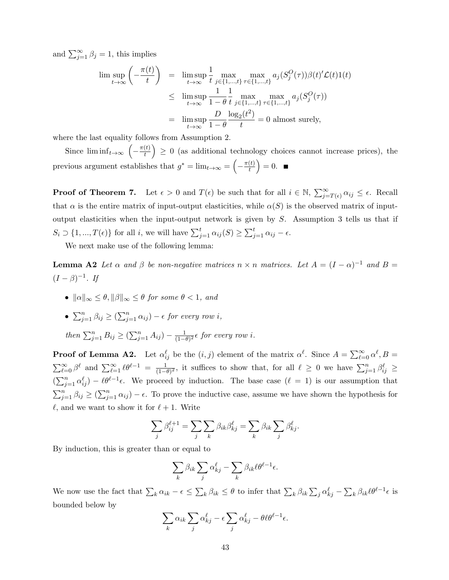and  $\sum_{j=1}^{\infty} \beta_j = 1$ , this implies

$$
\limsup_{t \to \infty} \left( -\frac{\pi(t)}{t} \right) = \limsup_{t \to \infty} \frac{1}{t} \max_{j \in \{1, \dots, t\}} \max_{\tau \in \{1, \dots, t\}} a_j (S_j^O(\tau)) \beta(t)' \mathcal{L}(t) 1(t)
$$
\n
$$
\leq \limsup_{t \to \infty} \frac{1}{1 - \theta} \frac{1}{t} \max_{j \in \{1, \dots, t\}} \max_{\tau \in \{1, \dots, t\}} a_j (S_j^O(\tau))
$$
\n
$$
= \limsup_{t \to \infty} \frac{D}{1 - \theta} \frac{\log_2(t^2)}{t} = 0 \text{ almost surely,}
$$

where the last equality follows from Assumption 2.

Since  $\liminf_{t\to\infty}$   $\left(-\frac{\pi(t)}{t}\right)$  $\left(\frac{t}{t}\right) \geq 0$  (as additional technology choices cannot increase prices), the previous argument establishes that  $g^* = \lim_{t \to \infty} = \left(-\frac{\pi(t)}{t}\right)$  $\left(\frac{t}{t}\right)=0.$ 

**Proof of Theorem 7.** Let  $\epsilon > 0$  and  $T(\epsilon)$  be such that for all  $i \in \mathbb{N}$ ,  $\sum_{j=T(\epsilon)}^{\infty} \alpha_{ij} \leq \epsilon$ . Recall that  $\alpha$  is the entire matrix of input-output elasticities, while  $\alpha(S)$  is the observed matrix of inputoutput elasticities when the input-output network is given by  $S$ . Assumption 3 tells us that if  $S_i \supset \{1, ..., T(\epsilon)\}\$ for all i, we will have  $\sum_{j=1}^t \alpha_{ij}(S) \geq \sum_{j=1}^t \alpha_{ij} - \epsilon.$ 

We next make use of the following lemma:

**Lemma A2** Let  $\alpha$  and  $\beta$  be non-negative matrices  $n \times n$  matrices. Let  $A = (I - \alpha)^{-1}$  and  $B =$  $(I - \beta)^{-1}$ . If

- $\|\alpha\|_{\infty} \leq \theta$ ,  $\|\beta\|_{\infty} \leq \theta$  for some  $\theta < 1$ , and
- $\sum_{j=1}^n \beta_{ij} \geq (\sum_{j=1}^n \alpha_{ij}) \epsilon$  for every row i,

then 
$$
\sum_{j=1}^{n} B_{ij} \geq (\sum_{j=1}^{n} A_{ij}) - \frac{1}{(1-\theta)^2} \epsilon
$$
 for every row *i*.

**Proof of Lemma A2.** Let  $\alpha_{ij}^{\ell}$  be the  $(i, j)$  element of the matrix  $\alpha^{\ell}$ . Since  $A = \sum_{\ell=0}^{\infty} \alpha^{\ell}, B =$  $\sum_{\ell=0}^{\infty} \beta^{\ell}$  and  $\sum_{\ell=1}^{\infty} \ell \theta^{\ell-1} = \frac{1}{(1-\epsilon)}$  $\frac{1}{(1-\theta)^2}$ , it suffices to show that, for all  $\ell \geq 0$  we have  $\sum_{j=1}^n \beta_{ij}^{\ell}$  ≥  $(\sum_{j=1}^n \alpha_{ij}^{\ell}) - \ell \theta^{\ell-1} \epsilon$ . We proceed by induction. The base case  $(\ell = 1)$  is our assumption that  $\sum_{j=1}^n \beta_{ij} \geq (\sum_{j=1}^n \alpha_{ij}) - \epsilon$ . To prove the inductive case, assume we have shown the hypothesis for  $\ell$ , and we want to show it for  $\ell + 1$ . Write

$$
\sum_{j} \beta_{ij}^{\ell+1} = \sum_{j} \sum_{k} \beta_{ik} \beta_{kj}^{\ell} = \sum_{k} \beta_{ik} \sum_{j} \beta_{kj}^{\ell}.
$$

By induction, this is greater than or equal to

$$
\sum_{k} \beta_{ik} \sum_{j} \alpha_{kj}^{\ell} - \sum_{k} \beta_{ik} \ell \theta^{\ell-1} \epsilon.
$$

We now use the fact that  $\sum_k \alpha_{ik} - \epsilon \leq \sum_k \beta_{ik} \leq \theta$  to infer that  $\sum_k \beta_{ik} \sum_j \alpha_{kj}^{\ell} - \sum_k \beta_{ik} \ell \theta^{\ell-1} \epsilon$  is bounded below by

$$
\sum_{k} \alpha_{ik} \sum_{j} \alpha_{kj}^{\ell} - \epsilon \sum_{j} \alpha_{kj}^{\ell} - \theta \ell \theta^{\ell-1} \epsilon.
$$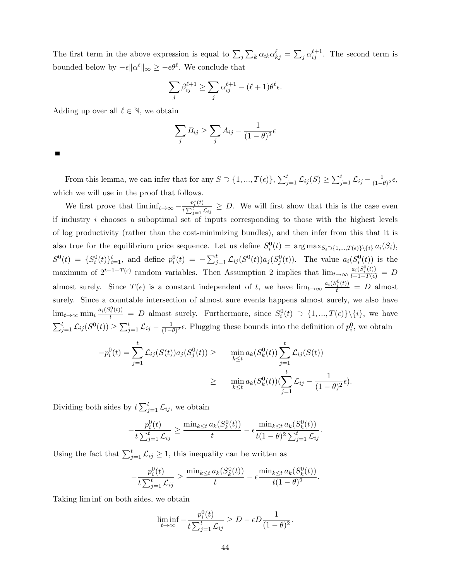The first term in the above expression is equal to  $\sum_j \sum_k \alpha_{ik} \alpha_{kj}^{\ell} = \sum_j \alpha_{ij}^{\ell+1}$ . The second term is bounded below by  $-\epsilon \|\alpha^{\ell}\|_{\infty} \geq -\epsilon \theta^{\ell}$ . We conclude that

$$
\sum_{j} \beta_{ij}^{\ell+1} \ge \sum_{j} \alpha_{ij}^{\ell+1} - (\ell+1)\theta^{\ell} \epsilon.
$$

Adding up over all  $\ell \in \mathbb{N}$ , we obtain

$$
\sum_{j} B_{ij} \ge \sum_{j} A_{ij} - \frac{1}{(1-\theta)^2} \epsilon
$$

 $\blacksquare$ 

From this lemma, we can infer that for any  $S \supset \{1, ..., T(\epsilon)\}\$ ,  $\sum_{j=1}^{t} \mathcal{L}_{ij}(S) \ge \sum_{j=1}^{t} \mathcal{L}_{ij} - \frac{1}{(1-\epsilon)}$  $\frac{1}{(1-\theta)^2}\epsilon,$ which we will use in the proof that follows.

We first prove that  $\liminf_{t\to\infty} -\frac{p_i^*(t)}{t}$  $\frac{p_i(t)}{t\sum_{j=1}^t \mathcal{L}_{ij}} \geq D.$  We will first show that this is the case even if industry  $i$  chooses a suboptimal set of inputs corresponding to those with the highest levels of log productivity (rather than the cost-minimizing bundles), and then infer from this that it is also true for the equilibrium price sequence. Let us define  $S_i^0(t) = \arg \max_{S_i \supset \{1,\dots,T(\epsilon)\} \setminus \{i\}} a_i(S_i)$ ,  $S^0(t) = \{S_i^0(t)\}_{i=1}^t$ , and define  $p_i^0(t) = -\sum_{j=1}^t \mathcal{L}_{ij}(S^0(t))a_j(S_j^0(t))$ . The value  $a_i(S_i^0(t))$  is the maximum of  $2^{t-1-T(\epsilon)}$  random variables. Then Assumption 2 implies that  $\lim_{t\to\infty} \frac{a_i(S_i^0(t))}{t-1-T(\epsilon)} = D$ almost surely. Since  $T(\epsilon)$  is a constant independent of t, we have  $\lim_{t\to\infty} \frac{a_i(S_i^0(t))}{t} = D$  almost surely. Since a countable intersection of almost sure events happens almost surely, we also have  $\lim_{t\to\infty} \min_i \frac{a_i(S_i^0(t))}{t} = D$  almost surely. Furthermore, since  $S_i^0(t) \supset \{1, ..., T(\epsilon)\}\setminus\{i\}$ , we have  $\sum_{j=1}^t \mathcal{L}_{ij}(S^0(t)) \geq \sum_{j=1}^t \mathcal{L}_{ij} - \frac{1}{(1-t)^2}$  $\frac{1}{(1-\theta)^2}$ *ε*. Plugging these bounds into the definition of  $p_i^0$ , we obtain

$$
-p_i^0(t) = \sum_{j=1}^t \mathcal{L}_{ij}(S(t))a_j(S_j^0(t)) \ge \min_{k \le t} a_k(S_k^0(t)) \sum_{j=1}^t \mathcal{L}_{ij}(S(t))
$$
  
 
$$
\ge \min_{k \le t} a_k(S_k^0(t)) (\sum_{j=1}^t \mathcal{L}_{ij} - \frac{1}{(1-\theta)^2} \epsilon).
$$

Dividing both sides by  $t\sum_{j=1}^{t} \mathcal{L}_{ij}$ , we obtain

$$
-\frac{p_i^0(t)}{t\sum_{j=1}^t \mathcal{L}_{ij}} \ge \frac{\min_{k\le t} a_k(S_k^0(t))}{t} - \epsilon \frac{\min_{k\le t} a_k(S_k^0(t))}{t(1-\theta)^2\sum_{j=1}^t \mathcal{L}_{ij}}.
$$

Using the fact that  $\sum_{j=1}^{t} \mathcal{L}_{ij} \geq 1$ , this inequality can be written as

$$
-\frac{p_i^0(t)}{t\sum_{j=1}^t \mathcal{L}_{ij}} \ge \frac{\min_{k\le t} a_k(S_k^0(t))}{t} - \epsilon \frac{\min_{k\le t} a_k(S_k^0(t))}{t(1-\theta)^2}.
$$

Taking lim inf on both sides, we obtain

$$
\liminf_{t \to \infty} -\frac{p_i^0(t)}{t \sum_{j=1}^t \mathcal{L}_{ij}} \ge D - \epsilon D \frac{1}{(1-\theta)^2}.
$$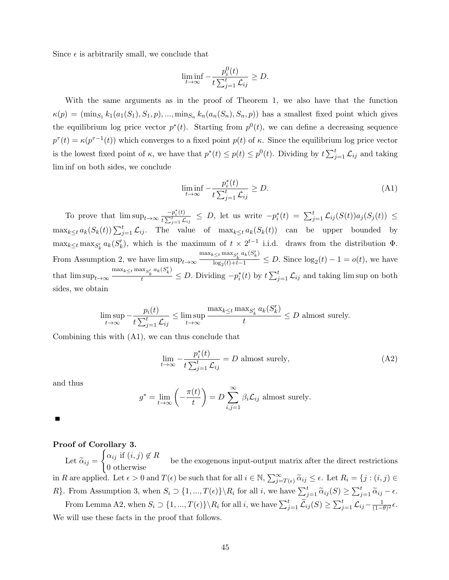Since  $\epsilon$  is arbitrarily small, we conclude that

$$
\liminf_{t \to \infty} -\frac{p_i^0(t)}{t \sum_{j=1}^t \mathcal{L}_{ij}} \ge D.
$$

With the same arguments as in the proof of Theorem 1, we also have that the function  $\kappa(p) = (\min_{S_1} k_1(a_1(S_1), S_1, p), ..., \min_{S_n} k_n(a_n(S_n), S_n, p))$  has a smallest fixed point which gives the equilibrium log price vector  $p^*(t)$ . Starting from  $p^0(t)$ , we can define a decreasing sequence  $p^{\tau}(t) = \kappa(p^{\tau-1}(t))$  which converges to a fixed point  $p(t)$  of  $\kappa$ . Since the equilibrium log price vector is the lowest fixed point of  $\kappa$ , we have that  $p^*(t) \leq p(t) \leq p^0(t)$ . Dividing by  $t \sum_{j=1}^t \mathcal{L}_{ij}$  and taking lim inf on both sides, we conclude

$$
\liminf_{t \to \infty} -\frac{p_i^*(t)}{t \sum_{j=1}^t \mathcal{L}_{ij}} \ge D. \tag{A1}
$$

To prove that  $\limsup_{t\to\infty} \frac{-p_i^*(t)}{t\sum_{i=1}^t f_i}$  $\frac{-p_i^*(t)}{t\sum_{j=1}^t\mathcal{L}_{ij}} \le D$ , let us write  $-p_i^*(t) = \sum_{j=1}^t\mathcal{L}_{ij}(S(t))a_j(S_j(t)) \le$  $\max_{k\leq t} a_k(S_k(t)) \sum_{j=1}^t \mathcal{L}_{ij}$ . The value of  $\max_{k\leq t} a_k(S_k(t))$  can be upper bounded by  $\max_{k\leq t} \max_{S'_k} a_k(S'_k)$ , which is the maximum of  $t \times 2^{t-1}$  i.i.d. draws from the distribution  $\Phi$ . From Assumption 2, we have  $\limsup_{t\to\infty} \frac{\max_{k\leq t} \max_{S'_k} a_k(S'_k)}{\log_2(t)+t-1}$  $\frac{S_k}{\log_2(t)+t-1}$   $\leq D$ . Since  $\log_2(t)-1 = o(t)$ , we have that  $\limsup_{t\to\infty} \frac{\max_{k\leq t} \max_{S'_k} a_k(S'_k)}{t} \leq D$ . Dividing  $-p_i^*(t)$  by  $t \sum_{j=1}^t \mathcal{L}_{ij}$  and taking lim sup on both sides, we obtain

$$
\limsup_{t \to \infty} -\frac{p_i(t)}{t \sum_{j=1}^t \mathcal{L}_{ij}} \le \limsup_{t \to \infty} \frac{\max_{k \le t} \max_{S'_k} a_k(S'_k)}{t} \le D \text{ almost surely.}
$$

Combining this with (A1), we can thus conclude that

$$
\lim_{t \to \infty} -\frac{p_i^*(t)}{t \sum_{j=1}^t \mathcal{L}_{ij}} = D \text{ almost surely},\tag{A2}
$$

and thus

$$
g^* = \lim_{t \to \infty} \left( -\frac{\pi(t)}{t} \right) = D \sum_{i,j=1}^{\infty} \beta_i \mathcal{L}_{ij}
$$
 almost surely.

#### Proof of Corollary

Let  $\widetilde{\alpha}_{ij} =$  $\int \alpha_{ij}$  if  $(i, j) \notin R$ 0 otherwise be the exogenous input-output matrix after the direct restrictions in R are applied. Let  $\epsilon > 0$  and  $T(\epsilon)$  be such that for all  $i \in \mathbb{N}$ ,  $\sum_{j=T(\epsilon)}^{\infty} \widetilde{\alpha}_{ij} \leq \epsilon$ . Let  $R_i = \{j : (i, j) \in$ R}. From Assumption 3, when  $S_i \supset \{1, ..., T(\epsilon)\} \setminus R_i$  for all i, we have  $\sum_{j=1}^t \widetilde{\alpha}_{ij}(S) \ge \sum_{j=1}^t \widetilde{\alpha}_{ij} - \epsilon$ . From Lemma A2, when  $S_i \supset \{1, ..., T(\epsilon)\} \setminus R_i$  for all i, we have  $\sum_{j=1}^t \widetilde{\mathcal{L}}_{ij}(S) \ge \sum_{j=1}^t \mathcal{L}_{ij} - \frac{1}{(1-t)^2}$  $\frac{1}{(1-\theta)^2}\epsilon.$ 

We will use these facts in the proof that follows.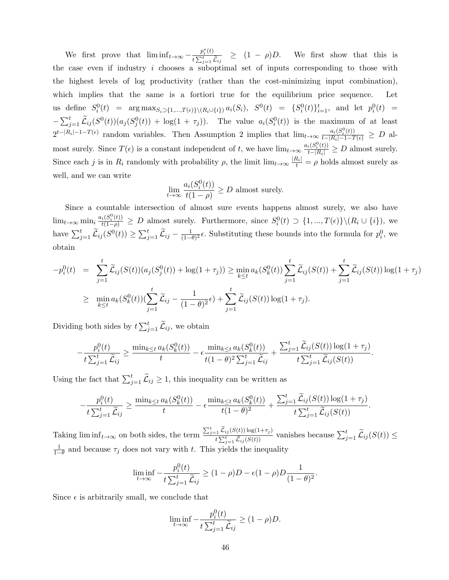We first prove that  $\liminf_{t\to\infty} -\frac{p_i^*(t)}{t}$  $t\sum_{j=1}^t \widetilde{\mathcal{L}}_{ij}$  $\geq (1 - \rho)D$ . We first show that this is the case even if industry  $i$  chooses a suboptimal set of inputs corresponding to those with the highest levels of log productivity (rather than the cost-minimizing input combination), which implies that the same is a fortiori true for the equilibrium price sequence. Let us define  $S_i^0(t) = \arg \max_{S_i \supset \{1, ..., T(\epsilon)\} \setminus (R_i \cup \{i\})} a_i(S_i), S^0(t) = \{S_i^0(t)\}_{i=1}^t$ , and let  $p_i^0(t) =$  $-\sum_{j=1}^t \widetilde{\mathcal{L}}_{ij}(S^0(t))(a_j(S_j^0(t)) + \log(1 + \tau_j)).$  The value  $a_i(S_i^0(t))$  is the maximum of at least  $2^{t-|R_i|-1-T(\epsilon)}$  random variables. Then Assumption 2 implies that  $\lim_{t\to\infty} \frac{a_i(S_i^0(t))}{t-|R_i|-1-T(\epsilon)} \ge D$  almost surely. Since  $T(\epsilon)$  is a constant independent of t, we have  $\lim_{t\to\infty} \frac{a_i(S_i^0(t))}{t-|R_i|} \ge D$  almost surely. Since each j is in  $R_i$  randomly with probability  $\rho$ , the limit  $\lim_{t\to\infty} \frac{|R_i|}{t} = \rho$  holds almost surely as well, and we can write

$$
\lim_{t \to \infty} \frac{a_i(S_i^0(t))}{t(1-\rho)} \ge D
$$
 almost surely.

Since a countable intersection of almost sure events happens almost surely, we also have  $\lim_{t\to\infty} \min_i \frac{a_i(S_i^0(t))}{t(1-\rho)} \ge D$  almost surely. Furthermore, since  $S_i^0(t) \supset \{1, ..., T(\epsilon)\} \setminus (R_i \cup \{i\}),$  we have  $\sum_{j=1}^t \widetilde{\mathcal{L}}_{ij}(S^0(t)) \geq \sum_{j=1}^t \widetilde{\mathcal{L}}_{ij} - \frac{1}{(1-t)^{t}}$  $\frac{1}{(1-\theta)^2}$ *ε*. Substituting these bounds into the formula for  $p_i^0$ , we obtain

$$
-p_i^0(t) = \sum_{j=1}^t \widetilde{\mathcal{L}}_{ij}(S(t))(a_j(S_j^0(t)) + \log(1 + \tau_j)) \ge \min_{k \le t} a_k(S_k^0(t)) \sum_{j=1}^t \widetilde{\mathcal{L}}_{ij}(S(t)) + \sum_{j=1}^t \widetilde{\mathcal{L}}_{ij}(S(t)) \log(1 + \tau_j)
$$
  

$$
\ge \min_{k \le t} a_k(S_k^0(t)) (\sum_{j=1}^t \widetilde{\mathcal{L}}_{ij} - \frac{1}{(1-\theta)^2} \epsilon) + \sum_{j=1}^t \widetilde{\mathcal{L}}_{ij}(S(t)) \log(1 + \tau_j).
$$

Dividing both sides by  $t \sum_{j=1}^{t} \widetilde{\mathcal{L}}_{ij}$ , we obtain

$$
-\frac{p_i^0(t)}{t\sum_{j=1}^t \widetilde{\mathcal{L}}_{ij}} \ge \frac{\min_{k\le t} a_k(S_k^0(t))}{t} - \epsilon \frac{\min_{k\le t} a_k(S_k^0(t))}{t(1-\theta)^2 \sum_{j=1}^t \widetilde{\mathcal{L}}_{ij}} + \frac{\sum_{j=1}^t \widetilde{\mathcal{L}}_{ij}(S(t)) \log(1+\tau_j)}{t\sum_{j=1}^t \widetilde{\mathcal{L}}_{ij}(S(t))}.
$$

Using the fact that  $\sum_{j=1}^{t} \widetilde{L}_{ij} \geq 1$ , this inequality can be written as

$$
-\frac{p_i^0(t)}{t\sum_{j=1}^t \widetilde{\mathcal{L}}_{ij}} \ge \frac{\min_{k\le t} a_k(S_k^0(t))}{t} - \epsilon \frac{\min_{k\le t} a_k(S_k^0(t))}{t(1-\theta)^2} + \frac{\sum_{j=1}^t \widetilde{\mathcal{L}}_{ij}(S(t))\log(1+\tau_j)}{t\sum_{j=1}^t \widetilde{\mathcal{L}}_{ij}(S(t))}.
$$

Taking  $\liminf_{t\to\infty}$  on both sides, the term  $\frac{\sum_{j=1}^{t} \widetilde{L}_{ij}(S(t)) \log(1+\tau_j)}{\sqrt{\sum_{j=1}^{t} \widetilde{C}_{i,j}(S(t))}}$  $\frac{t_1 \mathcal{L}_{ij}(S(t)) \log(1+\tau_j)}{t \sum_{j=1}^t \widetilde{\mathcal{L}}_{ij}(S(t))}$  vanishes because  $\sum_{j=1}^t \widetilde{\mathcal{L}}_{ij}(S(t)) \leq$  $\frac{1}{1-\theta}$  and because  $\tau_j$  does not vary with t. This yields the inequality

$$
\liminf_{t \to \infty} -\frac{p_i^0(t)}{t \sum_{j=1}^t \widetilde{\mathcal{L}}_{ij}} \ge (1 - \rho)D - \epsilon (1 - \rho)D \frac{1}{(1 - \theta)^2}.
$$

Since  $\epsilon$  is arbitrarily small, we conclude that

$$
\liminf_{t \to \infty} -\frac{p_i^0(t)}{t \sum_{j=1}^t \widetilde{\mathcal{L}}_{ij}} \ge (1 - \rho) D.
$$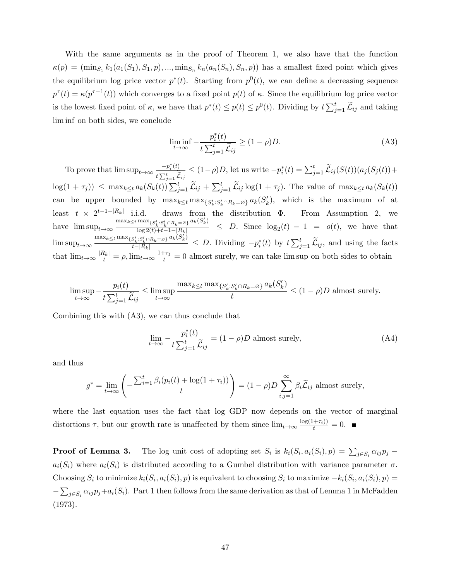With the same arguments as in the proof of Theorem 1, we also have that the function  $\kappa(p) = (\min_{S_1} k_1(a_1(S_1), S_1, p), ..., \min_{S_n} k_n(a_n(S_n), S_n, p))$  has a smallest fixed point which gives the equilibrium log price vector  $p^*(t)$ . Starting from  $p^0(t)$ , we can define a decreasing sequence  $p^{\tau}(t) = \kappa(p^{\tau-1}(t))$  which converges to a fixed point  $p(t)$  of  $\kappa$ . Since the equilibrium log price vector is the lowest fixed point of  $\kappa$ , we have that  $p^*(t) \leq p(t) \leq p^0(t)$ . Dividing by  $t \sum_{j=1}^t \widetilde{\mathcal{L}}_{ij}$  and taking lim inf on both sides, we conclude

$$
\liminf_{t \to \infty} -\frac{p_i^*(t)}{t \sum_{j=1}^t \widetilde{\mathcal{L}}_{ij}} \ge (1 - \rho) D. \tag{A3}
$$

To prove that  $\limsup_{t\to\infty} \frac{-p_i^*(t)}{\sqrt{2\pi}}$  $t\sum_{j=1}^t \widetilde{\mathcal{L}}_{ij}$  $\leq (1-\rho)D$ , let us write  $-p_i^*(t) = \sum_{j=1}^t \widetilde{\mathcal{L}}_{ij}(S(t))(a_j(S_j(t)) +$  $\log(1+\tau_j)$   $\leq \max_{k\leq t} a_k(S_k(t)) \sum_{j=1}^t \widetilde{\mathcal{L}}_{ij} + \sum_{j=1}^t \widetilde{\mathcal{L}}_{ij} \log(1+\tau_j)$ . The value of  $\max_{k\leq t} a_k(S_k(t))$ can be upper bounded by  $\max_{k \leq t} \max_{\{S'_k : S'_k \cap R_k = \varnothing\}} a_k(S'_k)$ , which is the maximum of at  $k\cdot^\omega k$ least  $t \times 2^{t-1-|R_k|}$  i.i.d. draws from the distribution  $\Phi$ . From Assumption 2, we have  $\limsup_{t\to\infty} \frac{\max_{k\leq t} \max_{\{S_k^t: S_k^t\cap R_k=\varnothing\}} a_k(S_k^t)}{\log_2(t)+t-1-|R_k|} \leq D$ . Since  $\log_2(t)-1 = o(t)$ , we have that  $\limsup_{t\to\infty} \frac{\max_{k\leq t} \max_{\{S'_k:S'_k\cap R_k=\varnothing\}} a_k(S'_k)}{t-|R_k|} \leq D.$  Dividing  $-p_i^*(t)$  by  $t\sum_{j=1}^t \widetilde{\mathcal{L}}_{ij}$ , and using the facts that  $\lim_{t\to\infty}\frac{|R_k|}{t}=\rho$ ,  $\lim_{t\to\infty}\frac{1+\tau_j}{t}=0$  almost surely, we can take lim sup on both sides to obtain

$$
\limsup_{t \to \infty} -\frac{p_i(t)}{t \sum_{j=1}^t \widetilde{\mathcal{L}}_{ij}} \le \limsup_{t \to \infty} \frac{\max_{k \le t} \max_{\{S'_k : S'_k \cap R_k = \varnothing\}} a_k(S'_k)}{t} \le (1 - \rho)D
$$
 almost surely.

Combining this with (A3), we can thus conclude that

$$
\lim_{t \to \infty} -\frac{p_i^*(t)}{t \sum_{j=1}^t \widetilde{\mathcal{L}}_{ij}} = (1 - \rho)D \text{ almost surely},\tag{A4}
$$

and thus

$$
g^* = \lim_{t \to \infty} \left( -\frac{\sum_{i=1}^t \beta_i (p_i(t) + \log(1 + \tau_i))}{t} \right) = (1 - \rho) D \sum_{i,j=1}^{\infty} \beta_i \widetilde{\mathcal{L}}_{ij} \text{ almost surely,}
$$

where the last equation uses the fact that log GDP now depends on the vector of marginal distortions  $\tau$ , but our growth rate is unaffected by them since  $\lim_{t\to\infty} \frac{\log(1+\tau_i)}{t} = 0$ .

**Proof of Lemma 3.** The log unit cost of adopting set  $S_i$  is  $k_i(S_i, a_i(S_i), p) = \sum_{j \in S_i} \alpha_{ij} p_j$  $a_i(S_i)$  where  $a_i(S_i)$  is distributed according to a Gumbel distribution with variance parameter  $\sigma$ . Choosing  $S_i$  to minimize  $k_i(S_i, a_i(S_i), p)$  is equivalent to choosing  $S_i$  to maximize  $-k_i(S_i, a_i(S_i), p)$  $-\sum_{j\in S_i} \alpha_{ij} p_j + a_i(S_i)$ . Part 1 then follows from the same derivation as that of Lemma 1 in McFadden (1973).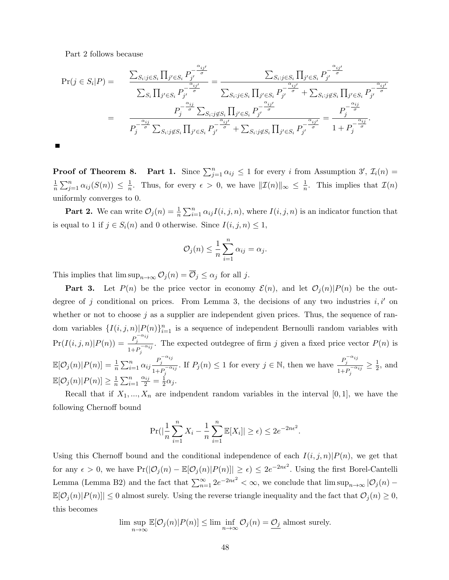Part 2 follows because

$$
\Pr(j \in S_i | P) = \frac{\sum_{S_i:j \in S_i} \prod_{j' \in S_i} P_{j'}^{-\frac{\alpha_{ij'}}{\sigma}}}{\sum_{S_i \prod_{j' \in S_i} P_{j'}^{-\frac{\alpha_{ij'}}{\sigma}}} = \frac{\sum_{S_i:j \in S_i} \prod_{j' \in S_i} P_{j'}^{-\frac{\alpha_{ij'}}{\sigma}}}{\sum_{S_i:j \in S_i} \prod_{j' \in S_i} P_{j'}^{-\frac{\alpha_{ij'}}{\sigma}}} + \sum_{S_i:j \notin S_i} \prod_{j' \in S_i} P_{j'}^{-\frac{\alpha_{ij'}}{\sigma}}}{\prod_{j' \in S_i} P_{j'}^{-\frac{\alpha_{ij'}}{\sigma}}} = \frac{P_j^{-\frac{\alpha_{ij}}{\sigma}}}{P_j^{-\frac{\alpha_{ij}}{\sigma}}} \sum_{S_i:j \notin S_i} \prod_{j' \in S_i} P_{j'}^{-\frac{\alpha_{ij'}}{\sigma}} + \sum_{S_i:j \notin S_i} \prod_{j' \in S_i} P_{j'}^{-\frac{\alpha_{ij'}}{\sigma}}}{\prod_{j' \in S_i} P_{j'}^{-\frac{\alpha_{ij'}}{\sigma}}} = \frac{P_j^{-\frac{\alpha_{ij}}{\sigma}}}{1 + P_j^{-\frac{\alpha_{ij}}{\sigma}}}.
$$

**Proof of Theorem 8. Part 1.** Since  $\sum_{j=1}^{n} \alpha_{ij} \leq 1$  for every i from Assumption 3',  $\mathcal{I}_i(n) =$ 1  $\frac{1}{n}\sum_{j=1}^n \alpha_{ij}(S(n)) \leq \frac{1}{n}$  $\frac{1}{n}$ . Thus, for every  $\epsilon > 0$ , we have  $||\mathcal{I}(n)||_{\infty} \leq \frac{1}{n}$  $\frac{1}{n}$ . This implies that  $\mathcal{I}(n)$ uniformly converges to 0.

**Part 2.** We can write  $\mathcal{O}_j(n) = \frac{1}{n} \sum_{i=1}^n \alpha_{ij} I(i, j, n)$ , where  $I(i, j, n)$  is an indicator function that is equal to 1 if  $j \in S_i(n)$  and 0 otherwise. Since  $I(i, j, n) \leq 1$ ,

$$
\mathcal{O}_j(n) \leq \frac{1}{n} \sum_{i=1}^n \alpha_{ij} = \alpha_j.
$$

This implies that  $\limsup_{n\to\infty} \mathcal{O}_j(n) = \overline{\mathcal{O}}_j \leq \alpha_j$  for all j.

**Part 3.** Let  $P(n)$  be the price vector in economy  $\mathcal{E}(n)$ , and let  $\mathcal{O}_j(n)|P(n)$  be the outdegree of j conditional on prices. From Lemma 3, the decisions of any two industries  $i, i'$  on whether or not to choose j as a supplier are independent given prices. Thus, the sequence of random variables  $\{I(i,j,n)|P(n)\}_{i=1}^n$  is a sequence of independent Bernoulli random variables with  $\Pr(I(i, j, n) | P(n)) = \frac{P_j^{-\alpha_{ij}}}{\sum_{n=0}^{n} P(n)}$  $\frac{1}{1+P_i^{-\alpha_{ij}}}$ . The expected outdegree of firm j given a fixed price vector  $P(n)$  is j  $\mathbb{E}[\mathcal{O}_j(n)|P(n)] = \frac{1}{n} \sum_{i=1}^n \alpha_{ij} \frac{P_j^{-\alpha_{ij}}}{1+P_j^{-\alpha_{ij}}}$  $\overline{1+P_j^{-\alpha_{ij}}}$ . If  $P_j(n) \leq 1$  for every  $j \in \mathbb{N}$ , then we have  $\frac{P_j^{-\alpha_{ij}}}{\cdots}$  $\overline{1+P_j^{-\alpha_{ij}}}$  $\geq \frac{1}{2}$  $\frac{1}{2}$ , and  $\mathbb{E}[\mathcal{O}_j(n)|P(n)] \geq \frac{1}{n}$  $\frac{1}{n}\sum_{i=1}^n$  $\frac{\alpha_{ij}}{2}=\frac{1}{2}$  $rac{1}{2}\alpha_j$ .

Recall that if  $X_1, ..., X_n$  are indpendent random variables in the interval [0,1], we have the following Chernoff bound

$$
\Pr(|\frac{1}{n}\sum_{i=1}^n X_i - \frac{1}{n}\sum_{i=1}^n \mathbb{E}[X_i]| \ge \epsilon) \le 2e^{-2n\epsilon^2}.
$$

Using this Chernoff bound and the conditional independence of each  $I(i, j, n)|P(n)$ , we get that for any  $\epsilon > 0$ , we have  $Pr(|\mathcal{O}_j(n) - \mathbb{E}[\mathcal{O}_j(n)|P(n)]| \geq \epsilon) \leq 2e^{-2n\epsilon^2}$ . Using the first Borel-Cantelli Lemma (Lemma B2) and the fact that  $\sum_{n=1}^{\infty} 2e^{-2n\epsilon^2} < \infty$ , we conclude that  $\limsup_{n\to\infty} |\mathcal{O}_j(n) \mathbb{E}[\mathcal{O}_j(n)|P(n)] \leq 0$  almost surely. Using the reverse triangle inequality and the fact that  $\mathcal{O}_j(n) \geq 0$ , this becomes

$$
\lim \sup_{n \to \infty} \mathbb{E}[\mathcal{O}_j(n)|P(n)] \le \lim \inf_{n \to \infty} \mathcal{O}_j(n) = \underline{\mathcal{O}_j} \text{ almost surely.}
$$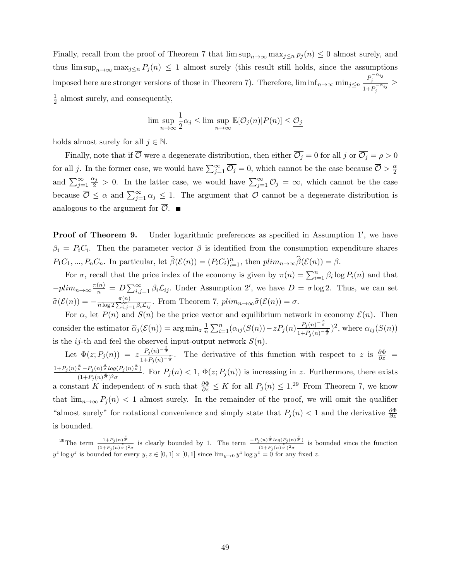Finally, recall from the proof of Theorem 7 that  $\limsup_{n\to\infty} \max_{j\leq n} p_j(n) \leq 0$  almost surely, and thus  $\limsup_{n\to\infty} \max_{j\leq n} P_j(n) \leq 1$  almost surely (this result still holds, since the assumptions imposed here are stronger versions of those in Theorem 7). Therefore,  $\liminf_{n\to\infty} \min_{j\leq n} \frac{P_j^{-\alpha_{ij}}}{\cdots}$  $\overline{1+P_j^{-\alpha_{ij}}}$ ≥ 1  $\frac{1}{2}$  almost surely, and consequently,

$$
\limsup_{n \to \infty} \frac{1}{2} \alpha_j \le \limsup_{n \to \infty} \mathbb{E}[\mathcal{O}_j(n)|P(n)] \le \underline{\mathcal{O}_j}
$$

holds almost surely for all  $j \in \mathbb{N}$ .

Finally, note that if  $\overline{\mathcal{O}}$  were a degenerate distribution, then either  $\overline{\mathcal{O}_j} = 0$  for all j or  $\overline{\mathcal{O}_j} = \rho > 0$ for all j. In the former case, we would have  $\sum_{j=1}^{\infty} \overline{O_j} = 0$ , which cannot be the case because  $\overline{O} > \frac{\alpha}{2}$ 2 and  $\sum_{j=1}^{\infty}$  $\frac{\alpha_j}{2} > 0$ . In the latter case, we would have  $\sum_{j=1}^{\infty} \overline{O_j} = \infty$ , which cannot be the case because  $\overline{\mathcal{O}} \leq \alpha$  and  $\sum_{j=1}^{\infty} \alpha_j \leq 1$ . The argument that  $\mathcal{Q}$  cannot be a degenerate distribution is analogous to the argument for  $\mathcal{O}$ .

**Proof of Theorem 9.** Under logarithmic preferences as specified in Assumption  $1'$ , we have  $\beta_i = P_i C_i$ . Then the parameter vector  $\beta$  is identified from the consumption expenditure shares  $P_1C_1, ..., P_nC_n$ . In particular, let  $\widehat{\beta}(\mathcal{E}(n)) = (P_iC_i)_{i=1}^n$ , then  $plim_{n\to\infty}\widehat{\beta}(\mathcal{E}(n)) = \beta$ .

For  $\sigma$ , recall that the price index of the economy is given by  $\pi(n) = \sum_{i=1}^{n} \beta_i \log P_i(n)$  and that  $-plim_{n\to\infty}\frac{\pi(n)}{n} = D\sum_{i,j=1}^{\infty}\beta_i\mathcal{L}_{ij}$ . Under Assumption 2', we have  $D = \sigma \log 2$ . Thus, we can set  $\widehat{\sigma}(\mathcal{E}(n)) = -\frac{\pi(n)}{n \log 2 \sum_{i,j=1}^{\infty} \beta_i \mathcal{L}_{ij}}$ . From Theorem 7,  $plim_{n \to \infty} \widehat{\sigma}(\mathcal{E}(n)) = \sigma$ .

For  $\alpha$ , let  $P(n)$  and  $S(n)$  be the price vector and equilibrium network in economy  $\mathcal{E}(n)$ . Then consider the estimator  $\widehat{\alpha}_{j}(\mathcal{E}(n)) = \arg \min_{z} \frac{1}{n}$  $\frac{1}{n} \sum_{i=1}^{n} (\alpha_{ij}(S(n)) - zP_j(n) \frac{P_j(n)^{-\frac{z}{\sigma}}}{1+P_j(n)^{-\frac{z}{\sigma}}}$  $\frac{P_j(n)-\sigma}{1+P_j(n)-\frac{z}{\sigma}}$  >?, where  $\alpha_{ij}(S(n))$ is the *ij*-th and feel the observed input-output network  $S(n)$ .

Let  $\Phi(z; P_j(n)) = z \frac{P_j(n)^{-\frac{z}{\sigma}}}{1+P_j(n)^{-\frac{z}{\sigma}}}$  $\frac{P_j(n)^{-\frac{z}{\sigma}}}{1+P_j(n)^{-\frac{z}{\sigma}}}$ . The derivative of this function with respect to z is  $\frac{\partial \Phi}{\partial z}$  =  $1+P_j(n)^{\frac{z}{\sigma}}-P_j(n)^{\frac{z}{\sigma}}log(P_j(n)^{\frac{z}{\sigma}})$  $\frac{\partial^2 - F_j(n)\partial log(F_j(n)\partial)}{(1+P_j(n)\tilde{\sigma})^2\sigma}$ . For  $P_j(n) < 1$ ,  $\Phi(z; P_j(n))$  is increasing in z. Furthermore, there exists a constant K independent of n such that  $\frac{\partial \Phi}{\partial z} \leq K$  for all  $P_j(n) \leq 1^{29}$  From Theorem 7, we know that  $\lim_{n\to\infty} P_i(n)$  < 1 almost surely. In the remainder of the proof, we will omit the qualifier "almost surely" for notational convenience and simply state that  $P_j(n) < 1$  and the derivative  $\frac{\partial \Phi}{\partial z}$ is bounded.

<sup>&</sup>lt;sup>29</sup>The term  $\frac{1+P_j(n)^{\frac{z}{\sigma}}}{\sigma^{\frac{z}{\sigma}}}$  $\frac{1+P_j(n)^{\frac{z}{\sigma}}}{(1+P_j(n)^{\frac{z}{\sigma}})^2\sigma}$  is clearly bounded by 1. The term  $\frac{-P_j(n)^{\frac{z}{\sigma}}\log(P_j(n)^{\frac{z}{\sigma}})}{(1+P_j(n)^{\frac{z}{\sigma}})^2\sigma}$  $\frac{i(n)\sigma \log(r_j(n)\sigma)}{(1+p_j(n)\frac{\tilde{\sigma}}{\sigma})^2\sigma}$  is bounded since the function  $y^z \log y^z$  is bounded for every  $y, z \in [0, 1] \times [0, 1]$  since  $\lim_{y\to 0} y^z \log y^z = 0$  for any fixed z.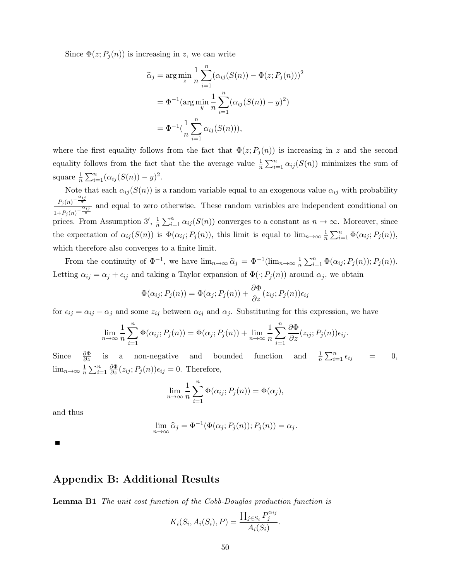Since  $\Phi(z; P_j(n))$  is increasing in z, we can write

$$
\hat{\alpha}_j = \arg \min_{z} \frac{1}{n} \sum_{i=1}^n (\alpha_{ij}(S(n)) - \Phi(z; P_j(n)))^2
$$

$$
= \Phi^{-1} (\arg \min_{y} \frac{1}{n} \sum_{i=1}^n (\alpha_{ij}(S(n)) - y)^2)
$$

$$
= \Phi^{-1} (\frac{1}{n} \sum_{i=1}^n \alpha_{ij}(S(n))),
$$

where the first equality follows from the fact that  $\Phi(z; P_j(n))$  is increasing in z and the second equality follows from the fact that the the average value  $\frac{1}{n} \sum_{i=1}^{n} \alpha_{ij}(S(n))$  minimizes the sum of square  $\frac{1}{n} \sum_{i=1}^{n} (\alpha_{ij}(S(n)) - y)^2$ .

Note that each  $\alpha_{ij}(S(n))$  is a random variable equal to an exogenous value  $\alpha_{ij}$  with probability  $P_j(n)^{-\frac{\alpha_{ij}}{\sigma}}$  $\frac{P_j(n)}{1+P_j(n)^{-\frac{\alpha_{ij}}{\sigma}}}$  and equal to zero otherwise. These random variables are independent conditional on prices. From Assumption 3',  $\frac{1}{n}$  $\frac{1}{n} \sum_{i=1}^{n} \alpha_{ij}(S(n))$  converges to a constant as  $n \to \infty$ . Moreover, since the expectation of  $\alpha_{ij}(S(n))$  is  $\Phi(\alpha_{ij}; P_j(n))$ , this limit is equal to  $\lim_{n\to\infty}\frac{1}{n}$  $\frac{1}{n} \sum_{i=1}^n \Phi(\alpha_{ij}; P_j(n)),$ which therefore also converges to a finite limit.

From the continuity of  $\Phi^{-1}$ , we have  $\lim_{n\to\infty} \hat{\alpha}_j = \Phi^{-1}(\lim_{n\to\infty} \frac{1}{n})$  $\frac{1}{n} \sum_{i=1}^{n} \Phi(\alpha_{ij}; P_j(n)); P_j(n)$ . Letting  $\alpha_{ij} = \alpha_j + \epsilon_{ij}$  and taking a Taylor expansion of  $\Phi(\cdot; P_j(n))$  around  $\alpha_j$ , we obtain

$$
\Phi(\alpha_{ij}; P_j(n)) = \Phi(\alpha_j; P_j(n)) + \frac{\partial \Phi}{\partial z}(z_{ij}; P_j(n))\epsilon_{ij}
$$

for  $\epsilon_{ij} = \alpha_{ij} - \alpha_j$  and some  $z_{ij}$  between  $\alpha_{ij}$  and  $\alpha_j$ . Substituting for this expression, we have

$$
\lim_{n \to \infty} \frac{1}{n} \sum_{i=1}^{n} \Phi(\alpha_{ij}; P_j(n)) = \Phi(\alpha_j; P_j(n)) + \lim_{n \to \infty} \frac{1}{n} \sum_{i=1}^{n} \frac{\partial \Phi}{\partial z}(z_{ij}; P_j(n)) \epsilon_{ij}.
$$

Since  $\frac{\partial \Phi}{\partial z}$  is a non-negative and bounded function and  $\frac{1}{n} \sum_{i=1}^{n} \epsilon_{ij} = 0$ ,  $\lim_{n\to\infty}\frac{1}{n}$  $\frac{1}{n} \sum_{i=1}^{n} \frac{\partial \Phi}{\partial z}(z_{ij}; P_j(n)) \epsilon_{ij} = 0$ . Therefore,

$$
\lim_{n \to \infty} \frac{1}{n} \sum_{i=1}^{n} \Phi(\alpha_{ij}; P_j(n)) = \Phi(\alpha_j),
$$

and thus

$$
\lim_{n \to \infty} \widehat{\alpha}_j = \Phi^{-1}(\Phi(\alpha_j; P_j(n)); P_j(n)) = \alpha_j.
$$

# Appendix B: Additional Results

Lemma B1 The unit cost function of the Cobb-Douglas production function is

$$
K_i(S_i, A_i(S_i), P) = \frac{\prod_{j \in S_i} P_j^{\alpha_{ij}}}{A_i(S_i)}.
$$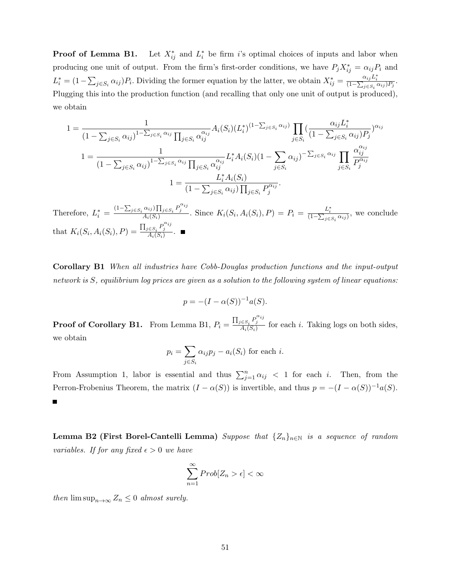**Proof of Lemma B1.** Let  $X_{ij}^*$  and  $L_i^*$  be firm i's optimal choices of inputs and labor when producing one unit of output. From the firm's first-order conditions, we have  $P_j X_{ij}^* = \alpha_{ij} P_i$  and  $L_i^* = (1 - \sum_{j \in S_i} \alpha_{ij}) P_i$ . Dividing the former equation by the latter, we obtain  $X_{ij}^* = \frac{\alpha_{ij} L_i^*}{(1 - \sum_{j \in S_i} \alpha_{ij}) P_j}$ . Plugging this into the production function (and recalling that only one unit of output is produced), we obtain

$$
1 = \frac{1}{(1 - \sum_{j \in S_i} \alpha_{ij})^{1 - \sum_{j \in S_i} \alpha_{ij}} \prod_{j \in S_i} \alpha_{ij}^{\alpha_{ij}}} A_i(S_i) (L_i^*)^{(1 - \sum_{j \in S_i} \alpha_{ij})} \prod_{j \in S_i} (\frac{\alpha_{ij} L_i^*}{(1 - \sum_{j \in S_i} \alpha_{ij}) P_j})^{\alpha_{ij}}
$$
  
\n
$$
1 = \frac{1}{(1 - \sum_{j \in S_i} \alpha_{ij})^{1 - \sum_{j \in S_i} \alpha_{ij}} \prod_{j \in S_i} \alpha_{ij}^{\alpha_{ij}}} L_i^* A_i(S_i) (1 - \sum_{j \in S_i} \alpha_{ij})^{-\sum_{j \in S_i} \alpha_{ij}} \prod_{j \in S_i} \frac{\alpha_{ij}^{\alpha_{ij}}}{P_j^{\alpha_{ij}}}
$$
  
\n
$$
1 = \frac{L_i^* A_i(S_i)}{(1 - \sum_{j \in S_i} \alpha_{ij}) \prod_{j \in S_i} P_j^{\alpha_{ij}}}.
$$

Therefore,  $L_i^* = \frac{(1-\sum_{j \in S_i} \alpha_{ij}) \prod_{j \in S_i} P_j^{\alpha_{ij}}}{A_i(S_i)}$ . Since  $K_i(S_i, A_i(S_i), P) = P_i = \frac{L_i^*}{(1-\sum_{j \in S_i} \alpha_{ij})}$ , we conclude that  $K_i(S_i, A_i(S_i), P) = \frac{\prod_{j \in S_i} P_j^{\alpha_{ij}}}{A_i(S_i)}$ .

Corollary B1 When all industries have Cobb-Douglas production functions and the input-output network is S, equilibrium log prices are given as a solution to the following system of linear equations:

$$
p = -(I - \alpha(S))^{-1} \alpha(S).
$$

**Proof of Corollary B1.** From Lemma B1,  $P_i = \frac{\prod_{j \in S_i} P_j^{\alpha_{ij}}}{A_i(S_i)}$  for each *i*. Taking logs on both sides, we obtain

$$
p_i = \sum_{j \in S_i} \alpha_{ij} p_j - a_i(S_i)
$$
 for each *i*.

From Assumption 1, labor is essential and thus  $\sum_{j=1}^{n} \alpha_{ij}$  < 1 for each i. Then, from the Perron-Frobenius Theorem, the matrix  $(I - \alpha(S))$  is invertible, and thus  $p = -(I - \alpha(S))^{-1} \alpha(S)$ . П

**Lemma B2 (First Borel-Cantelli Lemma)** Suppose that  $\{Z_n\}_{n\in\mathbb{N}}$  is a sequence of random variables. If for any fixed  $\epsilon > 0$  we have

$$
\sum_{n=1}^{\infty} Prob[Z_n > \epsilon] < \infty
$$

then  $\limsup_{n\to\infty} Z_n \leq 0$  almost surely.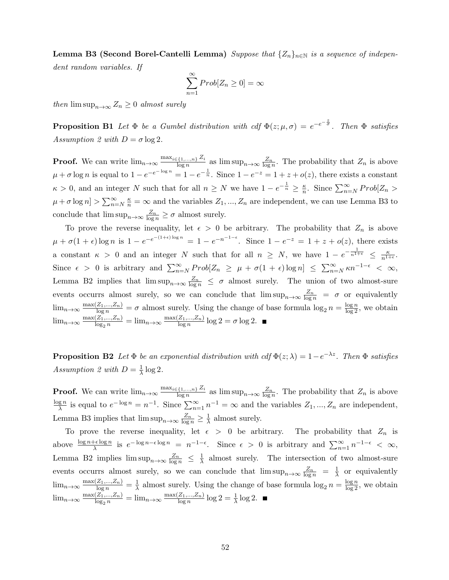**Lemma B3 (Second Borel-Cantelli Lemma)** Suppose that  $\{Z_n\}_{n\in\mathbb{N}}$  is a sequence of independent random variables. If

$$
\sum_{n=1}^{\infty} Prob[Z_n \ge 0] = \infty
$$

then  $\limsup_{n\to\infty} Z_n \geq 0$  almost surely

**Proposition B1** Let  $\Phi$  be a Gumbel distribution with cdf  $\Phi(z;\mu,\sigma) = e^{-e^{-\frac{z}{\sigma}}}.$  Then  $\Phi$  satisfies Assumption 2 with  $D = \sigma \log 2$ .

**Proof.** We can write  $\lim_{n\to\infty} \frac{\max_{i\in\{1,\dots,n\}} Z_i}{\log n}$  $\frac{z_{n}}{\log n}$  as  $\limsup_{n\to\infty} \frac{Z_n}{\log n}$ . The probability that  $Z_n$  is above  $\mu + \sigma \log n$  is equal to  $1 - e^{-e^{-\log n}} = 1 - e^{-\frac{1}{n}}$ . Since  $1 - e^{-z} = 1 + z + o(z)$ , there exists a constant  $\kappa > 0$ , and an integer N such that for all  $n \geq N$  we have  $1 - e^{-\frac{1}{n}} \geq \frac{\kappa}{n}$  $\frac{\kappa}{n}$ . Since  $\sum_{n=N}^{\infty} Prob[Z_n >$  $\mu + \sigma \log n$  >  $\sum_{n=N}^{\infty} \frac{\kappa}{n} = \infty$  and the variables  $Z_1, ..., Z_n$  are independent, we can use Lemma B3 to conclude that  $\limsup_{n\to\infty} \frac{Z_n}{\log n} \geq \sigma$  almost surely.

To prove the reverse inequality, let  $\epsilon > 0$  be arbitrary. The probability that  $Z_n$  is above  $\mu + \sigma(1+\epsilon) \log n$  is  $1 - e^{-e^{-(1+\epsilon) \log n}} = 1 - e^{-n^{-1-\epsilon}}$ . Since  $1 - e^{-z} = 1 + z + o(z)$ , there exists a constant  $\kappa > 0$  and an integer N such that for all  $n \geq N$ , we have  $1 - e^{-\frac{1}{n^{1+\epsilon}}} \leq \frac{\kappa}{n^{1+\epsilon}}$ . Since  $\epsilon > 0$  is arbitrary and  $\sum_{n=N}^{\infty} Prob[Z_n \geq \mu + \sigma(1+\epsilon) \log n] \leq \sum_{n=N}^{\infty} \kappa n^{-1-\epsilon} < \infty$ , Lemma B2 implies that  $\limsup_{n\to\infty} \frac{Z_n}{\log n} \leq \sigma$  almost surely. The union of two almost-sure events occurrs almost surely, so we can conclude that  $\limsup_{n\to\infty} \frac{Z_n}{\log n} = \sigma$  or equivalently  $\lim_{n\to\infty} \frac{\max(Z_1,...,Z_n)}{\log n} = \sigma$  almost surely. Using the change of base formula  $\log_2 n = \frac{\log n}{\log 2}$ , we obtain  $\lim_{n\to\infty} \frac{\max(Z_1,...,Z_n)}{\log_2 n} = \lim_{n\to\infty} \frac{\max(Z_1,...,Z_n)}{\log n}$  $\frac{\sum_{1,\ldots,\infty}^{n}}{\log n} \log 2 = \sigma \log 2.$ 

**Proposition B2** Let  $\Phi$  be an exponential distribution with cdf  $\Phi(z; \lambda) = 1 - e^{-\lambda z}$ . Then  $\Phi$  satisfies Assumption 2 with  $D=\frac{1}{\lambda}$  $\frac{1}{\lambda} \log 2$ .

**Proof.** We can write  $\lim_{n\to\infty} \frac{\max_{i\in\{1,\dots,n\}} Z_i}{\log n}$  $\frac{z_{n}}{\log n}$  as  $\limsup_{n\to\infty} \frac{Z_n}{\log n}$ . The probability that  $Z_n$  is above  $\log n$  $\frac{g n}{\lambda}$  is equal to  $e^{-\log n} = n^{-1}$ . Since  $\sum_{n=1}^{\infty} n^{-1} = \infty$  and the variables  $Z_1, ..., Z_n$  are independent, Lemma B3 implies that  $\limsup_{n\to\infty} \frac{Z_n}{\log n} \geq \frac{1}{\lambda}$  $\frac{1}{\lambda}$  almost surely.

To prove the reverse inequality, let  $\epsilon > 0$  be arbitrary. The probability that  $Z_n$  is above  $\frac{\log n + \epsilon \log n}{\lambda}$  is  $e^{-\log n - \epsilon \log n} = n^{-1-\epsilon}$ . Since  $\epsilon > 0$  is arbitrary and  $\sum_{n=1}^{\infty} n^{-1-\epsilon} < \infty$ , Lemma B2 implies  $\limsup_{n\to\infty} \frac{Z_n}{\log n} \leq \frac{1}{\lambda}$  $\frac{1}{\lambda}$  almost surely. The intersection of two almost-sure events occurrs almost surely, so we can conclude that  $\limsup_{n\to\infty} \frac{Z_n}{\log n} = \frac{1}{\lambda}$  $\frac{1}{\lambda}$  or equivalently  $\lim_{n\to\infty} \frac{\max(Z_1,...,Z_n)}{\log n} = \frac{1}{\lambda}$  $\frac{1}{\lambda}$  almost surely. Using the change of base formula  $\log_2 n = \frac{\log n}{\log 2}$ , we obtain  $\lim_{n\to\infty} \frac{\max(Z_1,...,Z_n)}{\log_2 n} = \lim_{n\to\infty} \frac{\max(Z_1,...,Z_n)}{\log n}$  $\frac{Z_1,...,Z_n)}{\log n} \log 2 = \frac{1}{\lambda} \log 2.$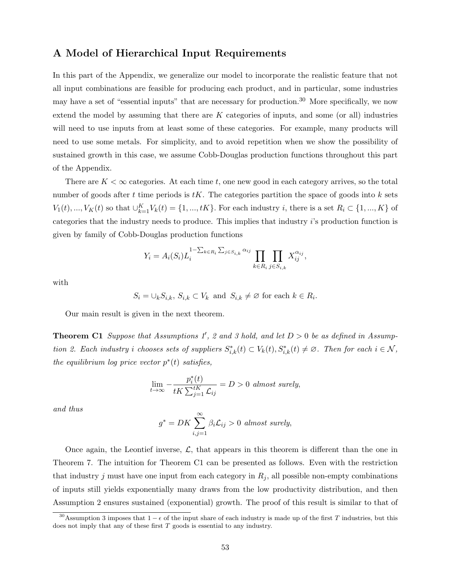# A Model of Hierarchical Input Requirements

In this part of the Appendix, we generalize our model to incorporate the realistic feature that not all input combinations are feasible for producing each product, and in particular, some industries may have a set of "essential inputs" that are necessary for production.<sup>30</sup> More specifically, we now extend the model by assuming that there are  $K$  categories of inputs, and some (or all) industries will need to use inputs from at least some of these categories. For example, many products will need to use some metals. For simplicity, and to avoid repetition when we show the possibility of sustained growth in this case, we assume Cobb-Douglas production functions throughout this part of the Appendix.

There are  $K < \infty$  categories. At each time t, one new good in each category arrives, so the total number of goods after t time periods is  $tK$ . The categories partition the space of goods into k sets  $V_1(t), ..., V_K(t)$  so that  $\cup_{k=1}^K V_k(t) = \{1, ..., tK\}$ . For each industry *i*, there is a set  $R_i \subset \{1, ..., K\}$  of categories that the industry needs to produce. This implies that industry i's production function is given by family of Cobb-Douglas production functions

$$
Y_i = A_i(S_i)L_i^{1-\sum_{k \in R_i} \sum_{j \in S_{i,k}} \alpha_{ij}} \prod_{k \in R_i} \prod_{j \in S_{i,k}} X_{ij}^{\alpha_{ij}},
$$

with

 $S_i = \bigcup_k S_{i,k}, S_{i,k} \subset V_k$  and  $S_{i,k} \neq \emptyset$  for each  $k \in R_i$ .

Our main result is given in the next theorem.

**Theorem C1** Suppose that Assumptions 1', 2 and 3 hold, and let  $D > 0$  be as defined in Assumption 2. Each industry i chooses sets of suppliers  $S_{i,k}^*(t) \subset V_k(t), S_{i,k}^*(t) \neq \emptyset$ . Then for each  $i \in \mathcal{N}$ , the equilibrium log price vector  $p^*(t)$  satisfies,

$$
\lim_{t \to \infty} -\frac{p_i^*(t)}{tK \sum_{j=1}^{tK} \mathcal{L}_{ij}} = D > 0 \text{ almost surely,}
$$

and thus

$$
g^* = DK \sum_{i,j=1}^{\infty} \beta_i \mathcal{L}_{ij} > 0 \text{ almost surely,}
$$

Once again, the Leontief inverse,  $\mathcal{L}$ , that appears in this theorem is different than the one in Theorem 7. The intuition for Theorem C1 can be presented as follows. Even with the restriction that industry j must have one input from each category in  $R_j$ , all possible non-empty combinations of inputs still yields exponentially many draws from the low productivity distribution, and then Assumption 2 ensures sustained (exponential) growth. The proof of this result is similar to that of

<sup>&</sup>lt;sup>30</sup>Assumption 3 imposes that  $1 - \epsilon$  of the input share of each industry is made up of the first T industries, but this does not imply that any of these first T goods is essential to any industry.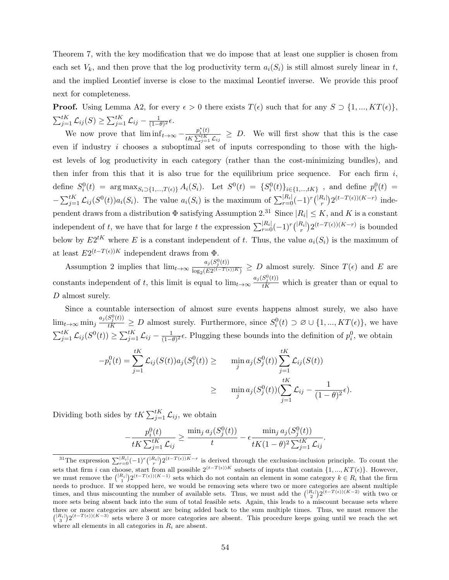Theorem 7, with the key modification that we do impose that at least one supplier is chosen from each set  $V_k$ , and then prove that the log productivity term  $a_i(S_i)$  is still almost surely linear in t, and the implied Leontief inverse is close to the maximal Leontief inverse. We provide this proof next for completeness.

**Proof.** Using Lemma A2, for every  $\epsilon > 0$  there exists  $T(\epsilon)$  such that for any  $S \supset \{1, ..., KT(\epsilon)\}\$ ,  $\sum_{j=1}^{tK} \mathcal{L}_{ij}(S) \geq \sum_{j=1}^{tK} \mathcal{L}_{ij} - \frac{1}{(1-t)}$  $\frac{1}{(1-\theta)^2}\epsilon.$ 

We now prove that  $\liminf_{t\to\infty} -\frac{p_i^*(t)}{tK}$  $\frac{p_i(t)}{tK\sum_{j=1}^{tK}\mathcal{L}_{ij}} \geq D.$  We will first show that this is the case even if industry  $i$  chooses a suboptimal set of inputs corresponding to those with the highest levels of log productivity in each category (rather than the cost-minimizing bundles), and then infer from this that it is also true for the equilibrium price sequence. For each firm  $i$ , define  $S_i^0(t) = \arg \max_{S_i \supset \{1,\dots,T(\epsilon)\}} A_i(S_i)$ . Let  $S^0(t) = \{S_i^0(t)\}_{i \in \{1,\dots,tK\}}$ , and define  $p_i^0(t) =$  $-\sum_{j=1}^{tK} \mathcal{L}_{ij}(S^0(t))a_i(S_i)$ . The value  $a_i(S_i)$  is the maximum of  $\sum_{r=0}^{|R_i|} (-1)^r { |R_i| \choose r} 2^{(t-T(\epsilon))(K-r)}$  independent draws from a distribution  $\Phi$  satisfying Assumption 2.<sup>31</sup> Since  $|R_i| \leq K$ , and K is a constant independent of t, we have that for large t the expression  $\sum_{r=0}^{|R_i|} (-1)^r {(|R_i| \choose r} 2^{(t-T(\epsilon))(K-r)}$  is bounded below by  $E2^{tK}$  where E is a constant independent of t. Thus, the value  $a_i(S_i)$  is the maximum of at least  $E2^{(t-T(\epsilon))K}$  independent draws from  $\Phi$ .

Assumption 2 implies that  $\lim_{t\to\infty} \frac{a_j(S_j^0(t))}{\log(E)^{C}t-T(s)}$  $\frac{d_{g}(\mathcal{C}_{j}(\ell))}{\log_{2}(E2^{(t-T(\epsilon))K})} \geq D$  almost surely. Since  $T(\epsilon)$  and E are constants independent of t, this limit is equal to  $\lim_{t\to\infty} \frac{a_j(S_j^0(t))}{tK}$  which is greater than or equal to D almost surely.

Since a countable intersection of almost sure events happens almost surely, we also have  $\lim_{t\to\infty} \min_j \frac{a_j(S_j^0(t))}{tK} \ge D$  almost surely. Furthermore, since  $S_i^0(t) \supset \varnothing \cup \{1, ..., KT(\epsilon)\}\)$ , we have  $\sum_{j=1}^{tK} \mathcal{L}_{ij}(S^0(t)) \ge \sum_{j=1}^{tK} \mathcal{L}_{ij} - \frac{1}{(1-t)}$  $\frac{1}{(1-\theta)^2}$ *ε*. Plugging these bounds into the definition of  $p_i^0$ , we obtain

$$
-p_i^0(t) = \sum_{j=1}^{tK} \mathcal{L}_{ij}(S(t)) a_j(S_j^0(t)) \ge \min_j a_j(S_j^0(t)) \sum_{j=1}^{tK} \mathcal{L}_{ij}(S(t))
$$
  
 
$$
\ge \min_j a_j(S_j^0(t)) (\sum_{j=1}^{tK} \mathcal{L}_{ij} - \frac{1}{(1-\theta)^2} \epsilon).
$$

Dividing both sides by  $tK\sum_{j=1}^{tK} \mathcal{L}_{ij}$ , we obtain

$$
-\frac{p_i^0(t)}{tK\sum_{j=1}^{tK}\mathcal{L}_{ij}} \ge \frac{\min_j a_j(S_j^0(t))}{t} - \epsilon \frac{\min_j a_j(S_j^0(t))}{tK(1-\theta)^2\sum_{j=1}^{tK}\mathcal{L}_{ij}}.
$$

<sup>&</sup>lt;sup>31</sup>The expression  $\sum_{r=0}^{|R_i|}(-1)^r\binom{|R_i|}{r}2^{(t-T(\epsilon))K-r}$  is derived through the exclusion-inclusion principle. To count the sets that firm i can choose, start from all possible  $2^{(t-T(\epsilon))K}$  subsets of inputs that contain  $\{1, ..., KT(\epsilon)\}$ . However, we must remove the  $\binom{|R_i|}{1} 2^{(t-T(\epsilon))(K-1)}$  sets which do not contain an element in some category  $k \in R_i$  that the firm needs to produce. If we stopped here, we would be removing sets where two or more categories are absent multiple times, and thus miscounting the number of available sets. Thus, we must add the  $\binom{|R_i|}{2} 2^{(t-T(\epsilon))(K-2)}$  with two or more sets being absent back into the sum of total feasible sets. Again, this leads to a miscount because sets where three or more categories are absent are being added back to the sum multiple times. Thus, we must remove the  $\binom{|R_i|}{3} 2^{(t-T(\epsilon))(K-3)}$  sets where 3 or more categories are absent. This procedure keeps going until we reach the set where all elements in all categories in  $R_i$  are absent.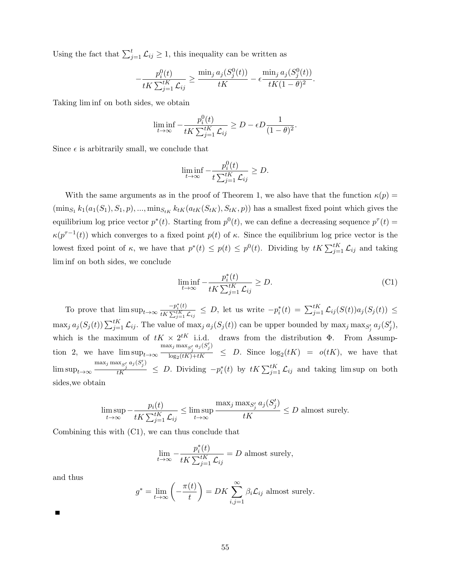Using the fact that  $\sum_{j=1}^{t} \mathcal{L}_{ij} \geq 1$ , this inequality can be written as

$$
-\frac{p_i^0(t)}{tK\sum_{j=1}^{tK}\mathcal{L}_{ij}} \ge \frac{\min_j a_j(S_j^0(t))}{tK} - \epsilon \frac{\min_j a_j(S_j^0(t))}{tK(1-\theta)^2}.
$$

Taking lim inf on both sides, we obtain

$$
\liminf_{t \to \infty} -\frac{p_i^0(t)}{tK \sum_{j=1}^{tK} \mathcal{L}_{ij}} \ge D - \epsilon D \frac{1}{(1-\theta)^2}.
$$

Since  $\epsilon$  is arbitrarily small, we conclude that

$$
\liminf_{t \to \infty} -\frac{p_i^0(t)}{t \sum_{j=1}^{tK} \mathcal{L}_{ij}} \ge D.
$$

With the same arguments as in the proof of Theorem 1, we also have that the function  $\kappa(p)$  =  $(\min_{S_1} k_1(a_1(S_1), S_1, p), ..., \min_{S_{tK}} k_{tK}(a_{tK}(S_{tK}), S_{tK}, p))$  has a smallest fixed point which gives the equilibrium log price vector  $p^*(t)$ . Starting from  $p^0(t)$ , we can define a decreasing sequence  $p^{\tau}(t)$  $\kappa(p^{\tau-1}(t))$  which converges to a fixed point  $p(t)$  of  $\kappa$ . Since the equilibrium log price vector is the lowest fixed point of  $\kappa$ , we have that  $p^*(t) \leq p(t) \leq p^0(t)$ . Dividing by  $tK \sum_{j=1}^{tK} \mathcal{L}_{ij}$  and taking lim inf on both sides, we conclude

$$
\liminf_{t \to \infty} -\frac{p_i^*(t)}{tK \sum_{j=1}^{tK} \mathcal{L}_{ij}} \ge D.
$$
\n(C1)

To prove that  $\limsup_{t\to\infty} \frac{-p_i^*(t)}{tK\sum_{k} tK}$  $\frac{-p_i^*(t)}{tK\sum_{j=1}^{tK}\mathcal{L}_{ij}} \leq D$ , let us write  $-p_i^*(t) = \sum_{j=1}^{tK}\mathcal{L}_{ij}(S(t))a_j(S_j(t)) \leq$  $\max_j a_j(S_j(t)) \sum_{j=1}^{tK} \mathcal{L}_{ij}$ . The value of  $\max_j a_j(S_j(t))$  can be upper bounded by  $\max_j \max_{S'_j} a_j(S'_j)$ , which is the maximum of  $tK \times 2^{tK}$  i.i.d. draws from the distribution  $\Phi$ . From Assumption 2, we have  $\limsup_{t\to\infty}$  $\max_j \max_{S_j'} a_j(S_j')$  $\frac{\int_{\log_2(t)}^{t} f(x,y)}{\log_2(t)} \leq D.$  Since  $\log_2(t) = o(tK)$ , we have that  $\limsup_{t\to\infty}$  $\frac{\max_j \max_{S'_j} a_j(S'_j)}{tK} \leq D.$  Dividing  $-p_i^*(t)$  by  $tK\sum_{j=1}^{tK} \mathcal{L}_{ij}$  and taking lim sup on both sides,we obtain

$$
\limsup_{t \to \infty} -\frac{p_i(t)}{tK \sum_{j=1}^{tK} \mathcal{L}_{ij}} \le \limsup_{t \to \infty} \frac{\max_j \max_{S'_j} a_j(S'_j)}{tK} \le D \text{ almost surely.}
$$

Combining this with (C1), we can thus conclude that

$$
\lim_{t \to \infty} -\frac{p_i^*(t)}{tK \sum_{j=1}^{tK} \mathcal{L}_{ij}} = D \text{ almost surely},
$$

and thus

$$
g^* = \lim_{t \to \infty} \left( -\frac{\pi(t)}{t} \right) = DK \sum_{i,j=1}^{\infty} \beta_i \mathcal{L}_{ij}
$$
 almost surely.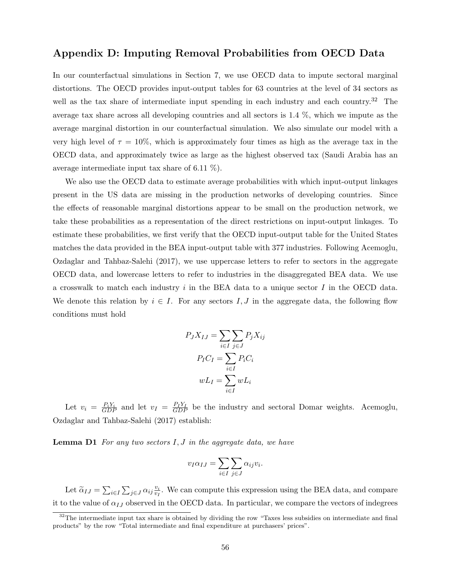## Appendix D: Imputing Removal Probabilities from OECD Data

In our counterfactual simulations in Section 7, we use OECD data to impute sectoral marginal distortions. The OECD provides input-output tables for 63 countries at the level of 34 sectors as well as the tax share of intermediate input spending in each industry and each country.<sup>32</sup> The average tax share across all developing countries and all sectors is 1.4 %, which we impute as the average marginal distortion in our counterfactual simulation. We also simulate our model with a very high level of  $\tau = 10\%$ , which is approximately four times as high as the average tax in the OECD data, and approximately twice as large as the highest observed tax (Saudi Arabia has an average intermediate input tax share of 6.11 %).

We also use the OECD data to estimate average probabilities with which input-output linkages present in the US data are missing in the production networks of developing countries. Since the effects of reasonable marginal distortions appear to be small on the production network, we take these probabilities as a representation of the direct restrictions on input-output linkages. To estimate these probabilities, we first verify that the OECD input-output table for the United States matches the data provided in the BEA input-output table with 377 industries. Following Acemoglu, Ozdaglar and Tahbaz-Salehi (2017), we use uppercase letters to refer to sectors in the aggregate OECD data, and lowercase letters to refer to industries in the disaggregated BEA data. We use a crosswalk to match each industry  $i$  in the BEA data to a unique sector  $I$  in the OECD data. We denote this relation by  $i \in I$ . For any sectors I, J in the aggregate data, the following flow conditions must hold

$$
P_J X_{IJ} = \sum_{i \in I} \sum_{j \in J} P_j X_{ij}
$$

$$
P_I C_I = \sum_{i \in I} P_i C_i
$$

$$
w L_I = \sum_{i \in I} w L_i
$$

Let  $v_i = \frac{P_i Y_i}{GDP}$  and let  $v_I = \frac{P_I Y_I}{GDP}$  be the industry and sectoral Domar weights. Acemoglu, Ozdaglar and Tahbaz-Salehi (2017) establish:

**Lemma D1** For any two sectors  $I, J$  in the aggregate data, we have

$$
v_I \alpha_{IJ} = \sum_{i \in I} \sum_{j \in J} \alpha_{ij} v_i.
$$

Let  $\widetilde{\alpha}_{IJ} = \sum_{i \in I} \sum_{j \in J} \alpha_{ij} \frac{v_i}{v_I}$  $\frac{v_i}{v_I}$ . We can compute this expression using the BEA data, and compare it to the value of  $\alpha_{IJ}$  observed in the OECD data. In particular, we compare the vectors of indegrees

 $32$ The intermediate input tax share is obtained by dividing the row "Taxes less subsidies on intermediate and final products" by the row "Total intermediate and final expenditure at purchasers' prices".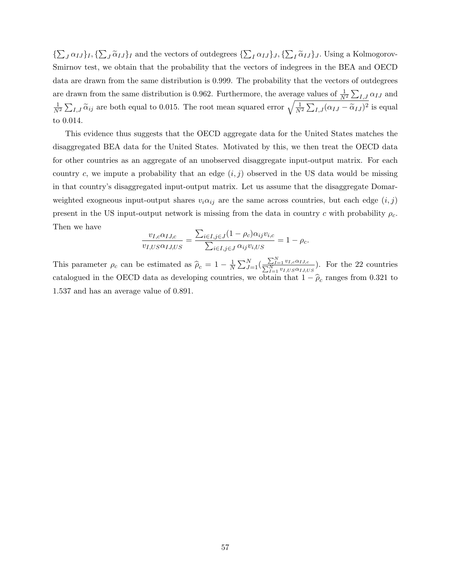$\{\sum_J \alpha_{IJ}\}_I, \{\sum_J \widetilde{\alpha}_{IJ}\}_I$  and the vectors of outdegrees  $\{\sum_I \alpha_{IJ}\}_J, \{\sum_I \widetilde{\alpha}_{IJ}\}_J$ . Using a Kolmogorov-Smirnov test, we obtain that the probability that the vectors of indegrees in the BEA and OECD data are drawn from the same distribution is 0.999. The probability that the vectors of outdegrees are drawn from the same distribution is 0.962. Furthermore, the average values of  $\frac{1}{N^2} \sum_{I,J} \alpha_{IJ}$  and  $\frac{1}{N^2}\sum_{I,J}\widetilde{\alpha}_{ij}$  are both equal to 0.015. The root mean squared error  $\sqrt{\frac{1}{N^2}\sum_{I,J}(\alpha_{IJ}-\widetilde{\alpha}_{IJ})^2}$  is equal to 0.014.

This evidence thus suggests that the OECD aggregate data for the United States matches the disaggregated BEA data for the United States. Motivated by this, we then treat the OECD data for other countries as an aggregate of an unobserved disaggregate input-output matrix. For each country c, we impute a probability that an edge  $(i, j)$  observed in the US data would be missing in that country's disaggregated input-output matrix. Let us assume that the disaggregate Domarweighted exogneous input-output shares  $v_i \alpha_{ij}$  are the same across countries, but each edge  $(i, j)$ present in the US input-output network is missing from the data in country c with probability  $\rho_c$ . Then we have

$$
\frac{v_{I,c}\alpha_{IJ,c}}{v_{I,US}\alpha_{IJ,US}} = \frac{\sum_{i\in I, j\in J} (1 - \rho_c)\alpha_{ij}v_{i,c}}{\sum_{i\in I, j\in J} \alpha_{ij}v_{i,US}} = 1 - \rho_c.
$$

This parameter  $\rho_c$  can be estimated as  $\hat{\rho}_c = 1 - \frac{1}{N}$  $\frac{1}{N} \sum_{J=1}^{N} (\frac{\sum_{I=1}^{N}}{\sum_{I=1}^{N} v_I}$  $\frac{\sum_{I=1}^{N} v_{I,c} \alpha_{IJ,c}}{N}$ . For the 22 countries catalogued in the OECD data as developing countries, we obtain that  $1 - \hat{\rho}_c$  ranges from 0.321 to 1.537 and has an average value of 0.891.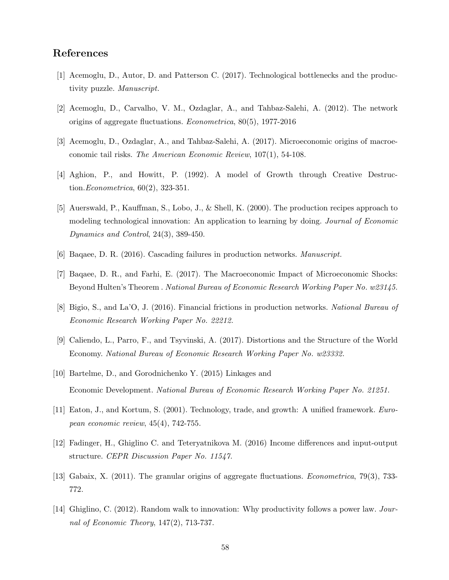# References

- [1] Acemoglu, D., Autor, D. and Patterson C. (2017). Technological bottlenecks and the productivity puzzle. Manuscript.
- [2] Acemoglu, D., Carvalho, V. M., Ozdaglar, A., and Tahbaz-Salehi, A. (2012). The network origins of aggregate fluctuations. Econometrica, 80(5), 1977-2016
- [3] Acemoglu, D., Ozdaglar, A., and Tahbaz-Salehi, A. (2017). Microeconomic origins of macroeconomic tail risks. The American Economic Review, 107(1), 54-108.
- [4] Aghion, P., and Howitt, P. (1992). A model of Growth through Creative Destruction.Econometrica, 60(2), 323-351.
- [5] Auerswald, P., Kauffman, S., Lobo, J., & Shell, K. (2000). The production recipes approach to modeling technological innovation: An application to learning by doing. Journal of Economic Dynamics and Control, 24(3), 389-450.
- [6] Baqaee, D. R. (2016). Cascading failures in production networks. Manuscript.
- [7] Baqaee, D. R., and Farhi, E. (2017). The Macroeconomic Impact of Microeconomic Shocks: Beyond Hulten's Theorem . National Bureau of Economic Research Working Paper No. w23145.
- [8] Bigio, S., and La'O, J. (2016). Financial frictions in production networks. National Bureau of Economic Research Working Paper No. 22212.
- [9] Caliendo, L., Parro, F., and Tsyvinski, A. (2017). Distortions and the Structure of the World Economy. National Bureau of Economic Research Working Paper No. w23332.
- [10] Bartelme, D., and Gorodnichenko Y. (2015) Linkages and Economic Development. National Bureau of Economic Research Working Paper No. 21251.
- [11] Eaton, J., and Kortum, S. (2001). Technology, trade, and growth: A unified framework. European economic review, 45(4), 742-755.
- [12] Fadinger, H., Ghiglino C. and Teteryatnikova M. (2016) Income differences and input-output structure. CEPR Discussion Paper No. 11547.
- [13] Gabaix, X. (2011). The granular origins of aggregate fluctuations. Econometrica, 79(3), 733- 772.
- [14] Ghiglino, C. (2012). Random walk to innovation: Why productivity follows a power law. Journal of Economic Theory, 147(2), 713-737.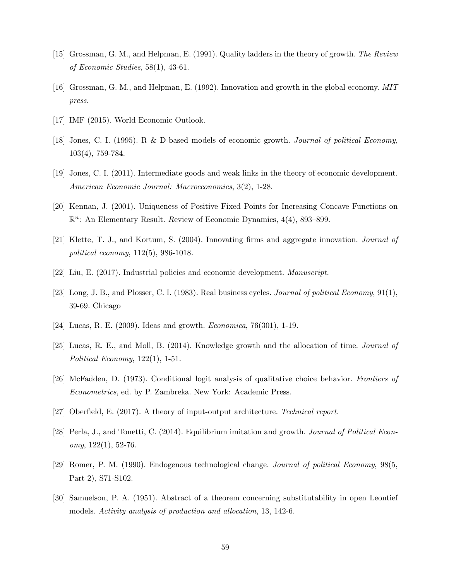- [15] Grossman, G. M., and Helpman, E. (1991). Quality ladders in the theory of growth. The Review of Economic Studies, 58(1), 43-61.
- [16] Grossman, G. M., and Helpman, E. (1992). Innovation and growth in the global economy. MIT press.
- [17] IMF (2015). World Economic Outlook.
- [18] Jones, C. I. (1995). R & D-based models of economic growth. Journal of political Economy, 103(4), 759-784.
- [19] Jones, C. I. (2011). Intermediate goods and weak links in the theory of economic development. American Economic Journal: Macroeconomics, 3(2), 1-28.
- [20] Kennan, J. (2001). Uniqueness of Positive Fixed Points for Increasing Concave Functions on R n : An Elementary Result. Review of Economic Dynamics, 4(4), 893–899.
- [21] Klette, T. J., and Kortum, S. (2004). Innovating firms and aggregate innovation. Journal of political economy, 112(5), 986-1018.
- [22] Liu, E. (2017). Industrial policies and economic development. Manuscript.
- [23] Long, J. B., and Plosser, C. I. (1983). Real business cycles. Journal of political Economy, 91(1), 39-69. Chicago
- [24] Lucas, R. E. (2009). Ideas and growth. Economica, 76(301), 1-19.
- [25] Lucas, R. E., and Moll, B. (2014). Knowledge growth and the allocation of time. Journal of Political Economy,  $122(1)$ , 1-51.
- [26] McFadden, D. (1973). Conditional logit analysis of qualitative choice behavior. Frontiers of Econometrics, ed. by P. Zambreka. New York: Academic Press.
- [27] Oberfield, E. (2017). A theory of input-output architecture. Technical report.
- [28] Perla, J., and Tonetti, C. (2014). Equilibrium imitation and growth. Journal of Political Econ $omy, 122(1), 52-76.$
- [29] Romer, P. M. (1990). Endogenous technological change. Journal of political Economy, 98(5, Part 2), S71-S102.
- [30] Samuelson, P. A. (1951). Abstract of a theorem concerning substitutability in open Leontief models. Activity analysis of production and allocation, 13, 142-6.